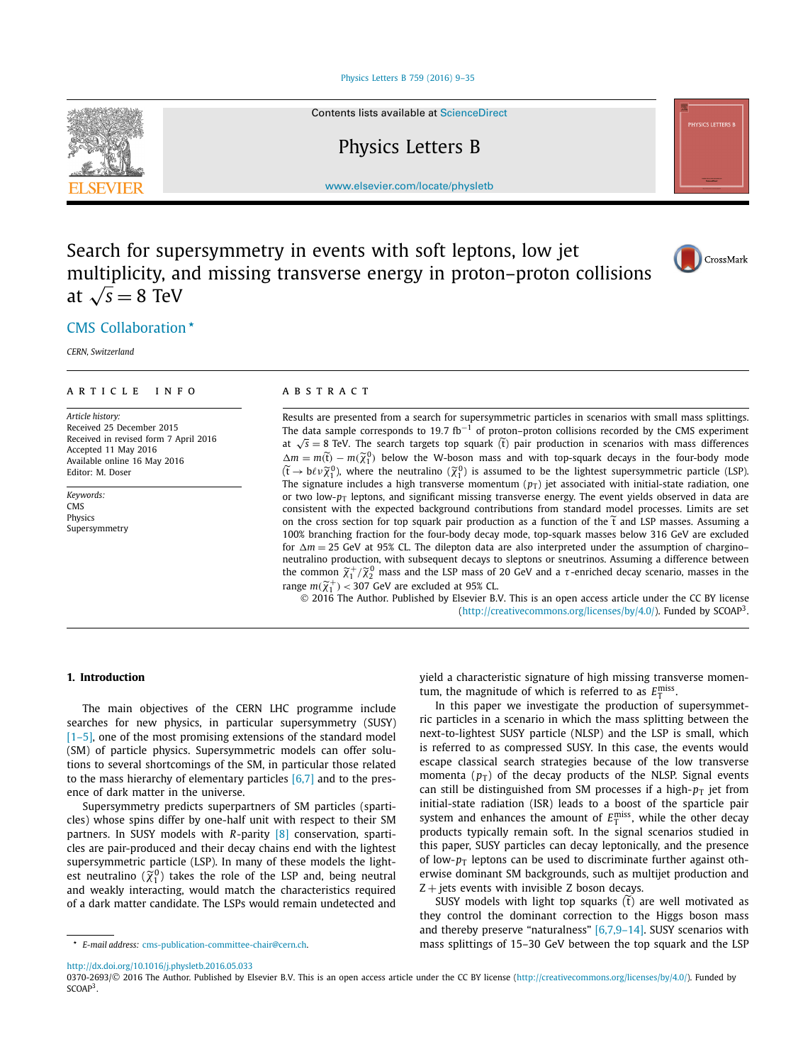#### [Physics Letters B 759 \(2016\) 9–35](http://dx.doi.org/10.1016/j.physletb.2016.05.033)



Physics Letters B

[www.elsevier.com/locate/physletb](http://www.elsevier.com/locate/physletb)

## Search for supersymmetry in events with soft leptons, low jet multiplicity, and missing transverse energy in proton–proton collisions at  $\sqrt{s} = 8$  TeV

# $\Gamma$ CrossMark

### .CMS [Collaboration](#page-11-0) *-*

*CERN, Switzerland*

#### A R T I C L E I N F O A B S T R A C T

*Article history:* Received 25 December 2015 Received in revised form 7 April 2016 Accepted 11 May 2016 Available online 16 May 2016 Editor: M. Doser

*Keywords:* CMS Physics Supersymmetry

Results are presented from a search for supersymmetric particles in scenarios with small mass splittings. The data sample corresponds to 19.7 fb<sup>-1</sup> of proton–proton collisions recorded by the CMS experiment at  $\sqrt{s} = 8$  TeV. The search targets top squark  $(\tilde{t})$  pair production in scenarios with mass differences  $\Delta m = m(\tilde{t}) - m(\tilde{\chi}_1^0)$  below the W-boson mass and with top-squark decays in the four-body mode  $(\widetilde{t} \to b\ell\nu \widetilde{\chi}_1^0)$ , where the neutralino  $(\widetilde{\chi}_1^0)$  is assumed to be the lightest supersymmetric particle (LSP). The signature includes a high transverse momentum  $(p_T)$  jet associated with initial-state radiation, one or two low- $p_T$  leptons, and significant missing transverse energy. The event yields observed in data are consistent with the expected background contributions from standard model processes. Limits are set on the cross section for top squark pair production as a function of the t and LSP masses. Assuming a 100% branching fraction for the four-body decay mode, top-squark masses below 316 GeV are excluded for  $\Delta m = 25$  GeV at 95% CL. The dilepton data are also interpreted under the assumption of chargino– neutralino production, with subsequent decays to sleptons or sneutrinos. Assuming a difference between the common  $\widetilde{\chi}_1^+/\widetilde{\chi}_2^0$  mass and the LSP mass of 20 GeV and a *τ*-enriched decay scenario, masses in the range  $m(\widetilde{\chi}_1^+)$  < 307 GeV are excluded at 95% CL.

© 2016 The Author. Published by Elsevier B.V. This is an open access article under the CC BY license [\(http://creativecommons.org/licenses/by/4.0/\)](http://creativecommons.org/licenses/by/4.0/). Funded by  $SCOAP<sup>3</sup>$ .

#### **1. Introduction**

The main objectives of the CERN LHC programme include searches for new physics, in particular supersymmetry (SUSY)  $[1-5]$ , one of the most promising extensions of the standard model (SM) of particle physics. Supersymmetric models can offer solutions to several shortcomings of the SM, in particular those related to the mass hierarchy of elementary particles  $[6,7]$  and to the presence of dark matter in the universe.

Supersymmetry predicts superpartners of SM particles (sparticles) whose spins differ by one-half unit with respect to their SM partners. In SUSY models with *R*-parity [\[8\]](#page-10-0) conservation, sparticles are pair-produced and their decay chains end with the lightest supersymmetric particle (LSP). In many of these models the lightest neutralino  $({\tilde{\chi}}_1^0)$  takes the role of the LSP and, being neutral and weakly interacting, would match the characteristics required of a dark matter candidate. The LSPs would remain undetected and



In this paper we investigate the production of supersymmetric particles in a scenario in which the mass splitting between the next-to-lightest SUSY particle (NLSP) and the LSP is small, which is referred to as compressed SUSY. In this case, the events would escape classical search strategies because of the low transverse momenta  $(p_T)$  of the decay products of the NLSP. Signal events can still be distinguished from SM processes if a high- $p<sub>T</sub>$  jet from initial-state radiation (ISR) leads to a boost of the sparticle pair system and enhances the amount of  $E_{\text{T}}^{\text{miss}}$ , while the other decay products typically remain soft. In the signal scenarios studied in this paper, SUSY particles can decay leptonically, and the presence of low- $p_T$  leptons can be used to discriminate further against otherwise dominant SM backgrounds, such as multijet production and  $Z + jets$  events with invisible Z boson decays.

SUSY models with light top squarks (t) are well motivated as they control the dominant correction to the Higgs boson mass and thereby preserve "naturalness"  $[6,7,9-14]$ . SUSY scenarios with mass splittings of 15–30 GeV between the top squark and the LSP



*<sup>-</sup> E-mail address:* [cms-publication-committee-chair@cern.ch](mailto:cms-publication-committee-chair@cern.ch).

<http://dx.doi.org/10.1016/j.physletb.2016.05.033>

<sup>0370-2693/© 2016</sup> The Author. Published by Elsevier B.V. This is an open access article under the CC BY license [\(http://creativecommons.org/licenses/by/4.0/](http://creativecommons.org/licenses/by/4.0/)). Funded by SCOAP<sup>3</sup>.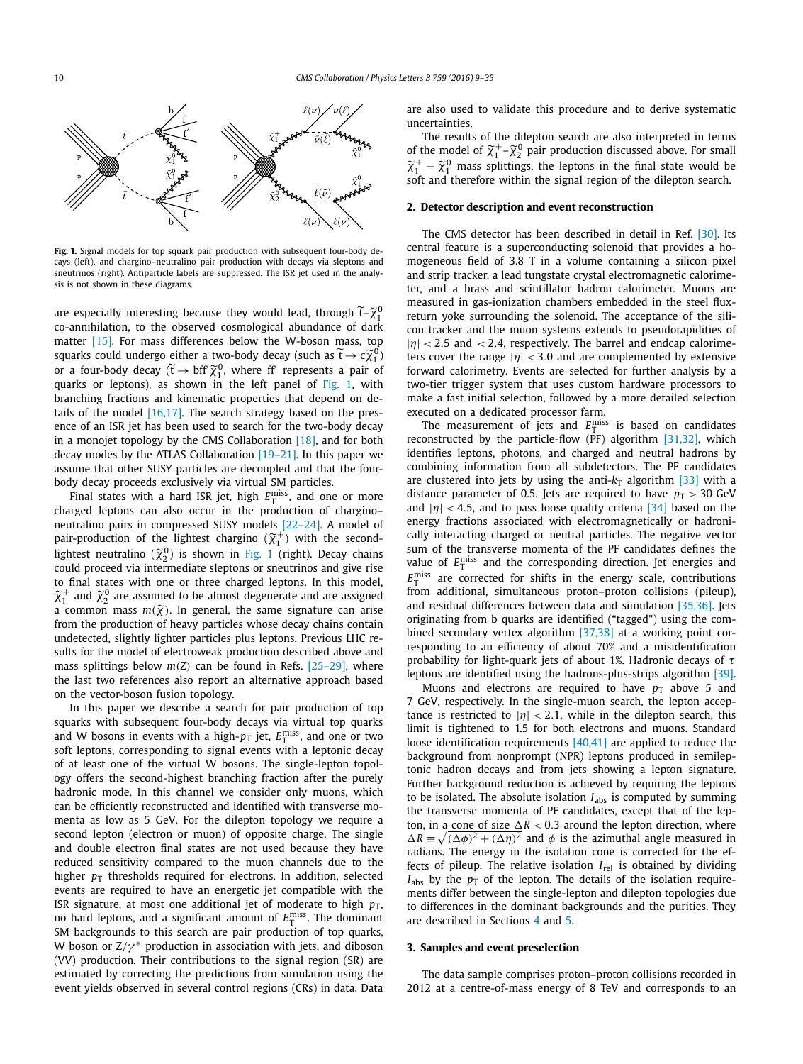<span id="page-1-0"></span>

**Fig. 1.** Signal models for top squark pair production with subsequent four-body decays (left), and chargino–neutralino pair production with decays via sleptons and sneutrinos (right). Antiparticle labels are suppressed. The ISR jet used in the analysis is not shown in these diagrams.

are especially interesting because they would lead, through  $\widetilde{t}$  –  $\widetilde{\chi}_1^0$ co-annihilation, to the observed cosmological abundance of dark matter [\[15\].](#page-10-0) For mass differences below the W-boson mass, top squarks could undergo either a two-body decay (such as  $\widetilde{\mathsf{t}} \to \mathsf{c}\widetilde{\chi}_1^0$ ) or a four-body decay ( $\tilde{t} \rightarrow bff' \tilde{\chi}_1^0$ , where ff' represents a pair of quarks or leptons), as shown in the left panel of Fig. 1, with branching fractions and kinematic properties that depend on details of the model  $[16,17]$ . The search strategy based on the presence of an ISR jet has been used to search for the two-body decay in a monojet topology by the CMS Collaboration [\[18\],](#page-10-0) and for both decay modes by the ATLAS Collaboration [\[19–21\].](#page-10-0) In this paper we assume that other SUSY particles are decoupled and that the fourbody decay proceeds exclusively via virtual SM particles.

Final states with a hard ISR jet, high  $E_{\rm T}^{\rm miss}$ , and one or more charged leptons can also occur in the production of chargino– neutralino pairs in compressed SUSY models [\[22–24\].](#page-10-0) A model of pair-production of the lightest chargino  $(\widetilde{\chi}_1^+)$  with the secondlightest neutralino  $({\tilde{\chi}}_2^0)$  is shown in Fig. 1 (right). Decay chains could proceed via intermediate sleptons or sneutrinos and give rise to final states with one or three charged leptons. In this model,  $\widetilde{\chi}_1^+$  and  $\widetilde{\chi}_2^0$  are assumed to be almost degenerate and are assigned a common mass  $m(\tilde{\chi})$ . In general, the same signature can arise from the production of heavy particles whose decay chains contain undetected, slightly lighter particles plus leptons. Previous LHC results for the model of electroweak production described above and mass splittings below  $m(Z)$  can be found in Refs.  $[25-29]$ , where the last two references also report an alternative approach based on the vector-boson fusion topology.

In this paper we describe a search for pair production of top squarks with subsequent four-body decays via virtual top quarks and W bosons in events with a high- $p_{\rm T}$  jet,  $E_{\rm T}^{\rm miss}$ , and one or two soft leptons, corresponding to signal events with a leptonic decay of at least one of the virtual W bosons. The single-lepton topology offers the second-highest branching fraction after the purely hadronic mode. In this channel we consider only muons, which can be efficiently reconstructed and identified with transverse momenta as low as 5 GeV. For the dilepton topology we require a second lepton (electron or muon) of opposite charge. The single and double electron final states are not used because they have reduced sensitivity compared to the muon channels due to the higher  $p_T$  thresholds required for electrons. In addition, selected events are required to have an energetic jet compatible with the ISR signature, at most one additional jet of moderate to high  $p<sub>T</sub>$ , no hard leptons, and a significant amount of  $E_{\textrm{T}}^{\textrm{miss}}$ . The dominant SM backgrounds to this search are pair production of top quarks, W boson or *Z*/*γ*<sup>\*</sup> production in association with jets, and diboson (VV) production. Their contributions to the signal region (SR) are estimated by correcting the predictions from simulation using the event yields observed in several control regions (CRs) in data. Data

are also used to validate this procedure and to derive systematic uncertainties.

The results of the dilepton search are also interpreted in terms of the model of  $\widetilde{\chi}_1^+$ – $\widetilde{\chi}_2^0$  pair production discussed above. For small  $\widetilde{\chi}_{1}^{+} - \widetilde{\chi}_{1}^{0}$  mass splittings, the leptons in the final state would be soft and therefore within the signal region of the dilepton search.

#### **2. Detector description and event reconstruction**

The CMS detector has been described in detail in Ref. [\[30\].](#page-10-0) Its central feature is a superconducting solenoid that provides a homogeneous field of 3.8 T in a volume containing a silicon pixel and strip tracker, a lead tungstate crystal electromagnetic calorimeter, and a brass and scintillator hadron calorimeter. Muons are measured in gas-ionization chambers embedded in the steel fluxreturn yoke surrounding the solenoid. The acceptance of the silicon tracker and the muon systems extends to pseudorapidities of |*η*| *<* <sup>2</sup>*.*5 and *<* <sup>2</sup>*.*4, respectively. The barrel and endcap calorimeters cover the range  $|\eta|$  < 3.0 and are complemented by extensive forward calorimetry. Events are selected for further analysis by a two-tier trigger system that uses custom hardware processors to make a fast initial selection, followed by a more detailed selection executed on a dedicated processor farm.

The measurement of jets and  $E_{\text{T}}^{\text{miss}}$  is based on candidates reconstructed by the particle-flow  $(\Pr)$  algorithm [\[31,32\],](#page-10-0) which identifies leptons, photons, and charged and neutral hadrons by combining information from all subdetectors. The PF candidates are clustered into jets by using the anti- $k<sub>T</sub>$  algorithm [\[33\]](#page-10-0) with a distance parameter of 0.5. Jets are required to have  $p_T > 30$  GeV and  $|\eta|$  < 4.5, and to pass loose quality criteria [\[34\]](#page-10-0) based on the energy fractions associated with electromagnetically or hadronically interacting charged or neutral particles. The negative vector sum of the transverse momenta of the PF candidates defines the value of  $E_T^{\text{miss}}$  and the corresponding direction. Jet energies and  $E_{\text{T}}^{\text{miss}}$  are corrected for shifts in the energy scale, contributions from additional, simultaneous proton–proton collisions (pileup), and residual differences between data and simulation [\[35,36\].](#page-10-0) Jets originating from b quarks are identified ("tagged") using the com-bined secondary vertex algorithm [\[37,38\]](#page-10-0) at a working point corresponding to an efficiency of about 70% and a misidentification probability for light-quark jets of about 1%. Hadronic decays of *τ* leptons are identified using the hadrons-plus-strips algorithm [\[39\].](#page-10-0)

Muons and electrons are required to have  $p_T$  above 5 and 7 GeV, respectively. In the single-muon search, the lepton acceptance is restricted to  $|\eta|$  < 2.1, while in the dilepton search, this limit is tightened to 1.5 for both electrons and muons. Standard loose identification requirements [\[40,41\]](#page-10-0) are applied to reduce the background from nonprompt (NPR) leptons produced in semileptonic hadron decays and from jets showing a lepton signature. Further background reduction is achieved by requiring the leptons to be isolated. The absolute isolation  $I_{\text{abs}}$  is computed by summing the transverse momenta of PF candidates, except that of the lepton, in a cone of size  $\Delta R < 0.3$  around the lepton direction, where  $\Delta R = \sqrt{(\Delta \phi)^2 + (\Delta \eta)^2}$  and  $\phi$  is the azimuthal angle measured in radians. The energy in the isolation cone is corrected for the effects of pileup. The relative isolation *I*<sub>rel</sub> is obtained by dividing  $I_{\text{abs}}$  by the  $p_{\text{T}}$  of the lepton. The details of the isolation requirements differ between the single-lepton and dilepton topologies due to differences in the dominant backgrounds and the purities. They are described in Sections [4](#page-2-0) and [5.](#page-5-0)

#### **3. Samples and event preselection**

The data sample comprises proton–proton collisions recorded in 2012 at a centre-of-mass energy of 8 TeV and corresponds to an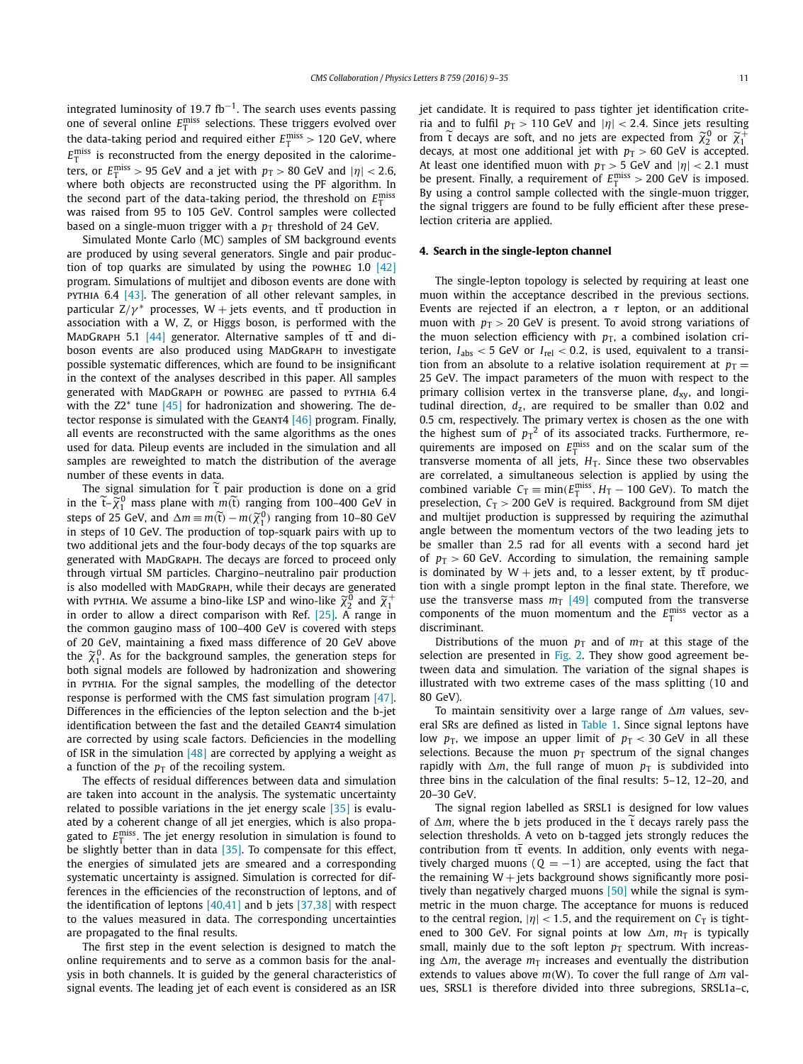<span id="page-2-0"></span>integrated luminosity of 19*.*7 fb<sup>−</sup>1. The search uses events passing one of several online  $E_{\text{T}}^{\text{miss}}$  selections. These triggers evolved over the data-taking period and required either  $E_T^{\text{miss}} > 120$  GeV, where  $E_{\text{T}}^{\text{miss}}$  is reconstructed from the energy deposited in the calorimeters, or  $E_{\text{T}}^{\text{miss}} > 95$  GeV and a jet with  $p_{\text{T}} > 80$  GeV and  $|\eta| < 2.6$ , where both objects are reconstructed using the PF algorithm. In the second part of the data-taking period, the threshold on *E*miss T was raised from 95 to 105 GeV. Control samples were collected based on a single-muon trigger with a  $p<sub>T</sub>$  threshold of 24 GeV.

Simulated Monte Carlo (MC) samples of SM background events are produced by using several generators. Single and pair production of top quarks are simulated by using the POWHEG 1.0  $[42]$ program. Simulations of multijet and diboson events are done with PYTHIA  $6.4$  [\[43\].](#page-10-0) The generation of all other relevant samples, in particular  $Z/\gamma^*$  processes, W + jets events, and tt production in association with a W, Z, or Higgs boson, is performed with the MADGRAPH 5.1 [\[44\]](#page-10-0) generator. Alternative samples of tt and diboson events are also produced using MADGRAPH to investigate possible systematic differences, which are found to be insignificant in the context of the analyses described in this paper. All samples generated with MadGraph or powheg are passed to pythia 6.4 with the  $Z2^*$  tune  $[45]$  for hadronization and showering. The detector response is simulated with the GEANT4  $[46]$  program. Finally, all events are reconstructed with the same algorithms as the ones used for data. Pileup events are included in the simulation and all samples are reweighted to match the distribution of the average number of these events in data.

The signal simulation for t pair production is done on a grid in the  $\widetilde{t}$ - $\widetilde{\chi}_1^0$  mass plane with  $m(\widetilde{t})$  ranging from 100-400 GeV in steps of 25 GeV, and  $\Delta m \equiv m(\tilde{t}) - m(\tilde{\chi}_1^0)$  ranging from 10–80 GeV in steps of 10 GeV. The production of top-squark pairs with up to two additional jets and the four-body decays of the top squarks are generated with MADGRAPH. The decays are forced to proceed only through virtual SM particles. Chargino–neutralino pair production is also modelled with MADGRAPH, while their decays are generated with pythia. We assume a bino-like LSP and wino-like  $\widetilde{\chi}_2^0$  and  $\widetilde{\chi}_1^+$ in order to allow a direct comparison with Ref. [\[25\].](#page-10-0) A range in the common gaugino mass of 100–400 GeV is covered with steps of 20 GeV, maintaining a fixed mass difference of 20 GeV above the  $\widetilde{\chi}_1^0$ . As for the background samples, the generation steps for both signal models are followed by hadronization and showering in pythia. For the signal samples, the modelling of the detector response is performed with the CMS fast simulation program [\[47\].](#page-10-0) Differences in the efficiencies of the lepton selection and the b-jet identification between the fast and the detailed GEANT4 simulation are corrected by using scale factors. Deficiencies in the modelling of ISR in the simulation  $[48]$  are corrected by applying a weight as a function of the  $p<sub>T</sub>$  of the recoiling system.

The effects of residual differences between data and simulation are taken into account in the analysis. The systematic uncertainty related to possible variations in the jet energy scale [\[35\]](#page-10-0) is evaluated by a coherent change of all jet energies, which is also propagated to  $E_{\textrm{T}}^{\textrm{miss}}$ . The jet energy resolution in simulation is found to be slightly better than in data [\[35\].](#page-10-0) To compensate for this effect, the energies of simulated jets are smeared and a corresponding systematic uncertainty is assigned. Simulation is corrected for differences in the efficiencies of the reconstruction of leptons, and of the identification of leptons  $[40,41]$  and b jets  $[37,38]$  with respect to the values measured in data. The corresponding uncertainties are propagated to the final results.

The first step in the event selection is designed to match the online requirements and to serve as a common basis for the analysis in both channels. It is guided by the general characteristics of signal events. The leading jet of each event is considered as an ISR jet candidate. It is required to pass tighter jet identification criteria and to fulfil  $p_T > 110$  GeV and  $|\eta| < 2.4$ . Since jets resulting from  $\tilde{t}$  decays are soft, and no jets are expected from  $\tilde{\chi}_2^0$  or  $\tilde{\chi}_1^+$ decays, at most one additional jet with  $p_T > 60$  GeV is accepted. At least one identified muon with  $p_T > 5$  GeV and  $|\eta| < 2.1$  must be present. Finally, a requirement of  $E_{\text{T}}^{\text{miss}} > 200$  GeV is imposed. By using a control sample collected with the single-muon trigger, the signal triggers are found to be fully efficient after these preselection criteria are applied.

#### **4. Search in the single-lepton channel**

The single-lepton topology is selected by requiring at least one muon within the acceptance described in the previous sections. Events are rejected if an electron, a *τ* lepton, or an additional muon with  $p_T > 20$  GeV is present. To avoid strong variations of the muon selection efficiency with  $p<sub>T</sub>$ , a combined isolation criterion,  $I_{\text{abs}} < 5$  GeV or  $I_{\text{rel}} < 0.2$ , is used, equivalent to a transition from an absolute to a relative isolation requirement at  $p_T =$ 25 GeV. The impact parameters of the muon with respect to the primary collision vertex in the transverse plane,  $d_{xy}$ , and longitudinal direction,  $d_{z}$ , are required to be smaller than  $0.02$  and 0.5 cm, respectively. The primary vertex is chosen as the one with the highest sum of  $p_T^2$  of its associated tracks. Furthermore, requirements are imposed on  $E_{\text{T}}^{\text{miss}}$  and on the scalar sum of the transverse momenta of all jets,  $H<sub>T</sub>$ . Since these two observables are correlated, a simultaneous selection is applied by using the combined variable  $C_T \equiv \min(E_T^{\text{miss}}, H_T - 100 \text{ GeV})$ . To match the preselection,  $C_T > 200$  GeV is required. Background from SM dijet and multijet production is suppressed by requiring the azimuthal angle between the momentum vectors of the two leading jets to be smaller than 2.5 rad for all events with a second hard jet of  $p_T > 60$  GeV. According to simulation, the remaining sample is dominated by  $W +$  jets and, to a lesser extent, by tt production with a single prompt lepton in the final state. Therefore, we use the transverse mass  $m<sub>T</sub>$  [\[49\]](#page-11-0) computed from the transverse components of the muon momentum and the  $E_{\text{T}}^{\text{miss}}$  vector as a discriminant.

Distributions of the muon  $p<sub>T</sub>$  and of  $m<sub>T</sub>$  at this stage of the selection are presented in [Fig. 2.](#page-3-0) They show good agreement between data and simulation. The variation of the signal shapes is illustrated with two extreme cases of the mass splitting (10 and 80 GeV).

To maintain sensitivity over a large range of  $\Delta m$  values, several SRs are defined as listed in [Table 1.](#page-4-0) Since signal leptons have low  $p_T$ , we impose an upper limit of  $p_T < 30$  GeV in all these selections. Because the muon  $p<sub>T</sub>$  spectrum of the signal changes rapidly with  $\Delta m$ , the full range of muon  $p<sub>T</sub>$  is subdivided into three bins in the calculation of the final results: 5–12, 12–20, and 20–30 GeV.

The signal region labelled as SRSL1 is designed for low values of  $\Delta m$ , where the b jets produced in the t decays rarely pass the selection thresholds. A veto on b-tagged jets strongly reduces the contribution from tt events. In addition, only events with negatively charged muons ( $Q = -1$ ) are accepted, using the fact that the remaining  $W +$  jets background shows significantly more positively than negatively charged muons [\[50\]](#page-11-0) while the signal is symmetric in the muon charge. The acceptance for muons is reduced to the central region,  $|\eta|$  < 1.5, and the requirement on  $C_T$  is tightened to 300 GeV. For signal points at low  $\Delta m$ ,  $m<sub>T</sub>$  is typically small, mainly due to the soft lepton  $p<sub>T</sub>$  spectrum. With increasing  $\Delta m$ , the average  $m<sub>T</sub>$  increases and eventually the distribution extends to values above  $m(W)$ . To cover the full range of  $\Delta m$  values, SRSL1 is therefore divided into three subregions, SRSL1a–c,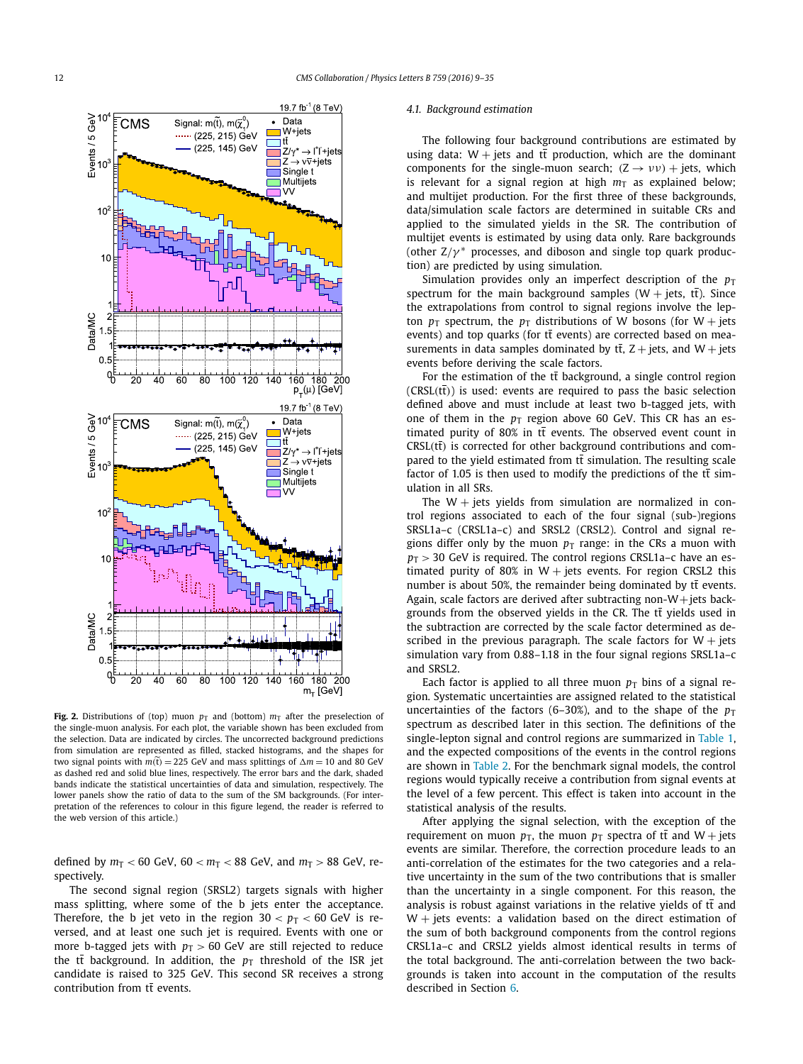<span id="page-3-0"></span>

Fig. 2. Distributions of (top) muon  $p_T$  and (bottom)  $m_T$  after the preselection of the single-muon analysis. For each plot, the variable shown has been excluded from the selection. Data are indicated by circles. The uncorrected background predictions from simulation are represented as filled, stacked histograms, and the shapes for two signal points with  $m(t) = 225$  GeV and mass splittings of  $\Delta m = 10$  and 80 GeV as dashed red and solid blue lines, respectively. The error bars and the dark, shaded bands indicate the statistical uncertainties of data and simulation, respectively. The lower panels show the ratio of data to the sum of the SM backgrounds. (For interpretation of the references to colour in this figure legend, the reader is referred to the web version of this article.)

defined by  $m_T < 60$  GeV,  $60 < m_T < 88$  GeV, and  $m_T > 88$  GeV, respectively.

The second signal region (SRSL2) targets signals with higher mass splitting, where some of the b jets enter the acceptance. Therefore, the b jet veto in the region  $30 < p_T < 60$  GeV is reversed, and at least one such jet is required. Events with one or more b-tagged jets with  $p_T > 60$  GeV are still rejected to reduce the tt background. In addition, the  $p<sub>T</sub>$  threshold of the ISR jet candidate is raised to 325 GeV. This second SR receives a strong contribution from tt events.

#### *4.1. Background estimation*

The following four background contributions are estimated by using data:  $W + jets$  and tt production, which are the dominant components for the single-muon search;  $(Z \rightarrow \nu \nu)$  + jets, which is relevant for a signal region at high  $m<sub>T</sub>$  as explained below; and multijet production. For the first three of these backgrounds, data/simulation scale factors are determined in suitable CRs and applied to the simulated yields in the SR. The contribution of multijet events is estimated by using data only. Rare backgrounds (other  $Z/\gamma^*$  processes, and diboson and single top quark production) are predicted by using simulation.

Simulation provides only an imperfect description of the  $p<sub>T</sub>$ spectrum for the main background samples ( $W +$  jets, tt). Since the extrapolations from control to signal regions involve the lepton  $p_T$  spectrum, the  $p_T$  distributions of W bosons (for W + jets events) and top quarks (for tt events) are corrected based on measurements in data samples dominated by  $t\bar{t}$ ,  $Z + j$ ets, and  $W + j$ ets events before deriving the scale factors.

For the estimation of the tt background, a single control region (CRSL*(*tt*)*) is used: events are required to pass the basic selection defined above and must include at least two b-tagged jets, with one of them in the  $p_T$  region above 60 GeV. This CR has an estimated purity of 80% in tt events. The observed event count in  $CRSL(t\bar{t})$  is corrected for other background contributions and compared to the yield estimated from  $t\bar{t}$  simulation. The resulting scale factor of 1.05 is then used to modify the predictions of the tt simulation in all SRs.

The  $W + jets$  yields from simulation are normalized in control regions associated to each of the four signal (sub-)regions SRSL1a–c (CRSL1a–c) and SRSL2 (CRSL2). Control and signal regions differ only by the muon  $p<sub>T</sub>$  range: in the CRs a muon with  $p_T$  > 30 GeV is required. The control regions CRSL1a–c have an estimated purity of 80% in  $W$  + jets events. For region CRSL2 this number is about 50%, the remainder being dominated by tt events. Again, scale factors are derived after subtracting non- $W +$ jets backgrounds from the observed yields in the CR. The tt yields used in the subtraction are corrected by the scale factor determined as described in the previous paragraph. The scale factors for  $W + jets$ simulation vary from 0.88–1.18 in the four signal regions SRSL1a–c and SRSL2.

Each factor is applied to all three muon  $p<sub>T</sub>$  bins of a signal region. Systematic uncertainties are assigned related to the statistical uncertainties of the factors (6–30%), and to the shape of the  $p_T$ spectrum as described later in this section. The definitions of the single-lepton signal and control regions are summarized in [Table 1,](#page-4-0) and the expected compositions of the events in the control regions are shown in [Table 2.](#page-4-0) For the benchmark signal models, the control regions would typically receive a contribution from signal events at the level of a few percent. This effect is taken into account in the statistical analysis of the results.

After applying the signal selection, with the exception of the requirement on muon  $p<sub>T</sub>$ , the muon  $p<sub>T</sub>$  spectra of tt and W + jets events are similar. Therefore, the correction procedure leads to an anti-correlation of the estimates for the two categories and a relative uncertainty in the sum of the two contributions that is smaller than the uncertainty in a single component. For this reason, the analysis is robust against variations in the relative yields of tt and  $W +$  jets events: a validation based on the direct estimation of the sum of both background components from the control regions CRSL1a–c and CRSL2 yields almost identical results in terms of the total background. The anti-correlation between the two backgrounds is taken into account in the computation of the results described in Section [6.](#page-8-0)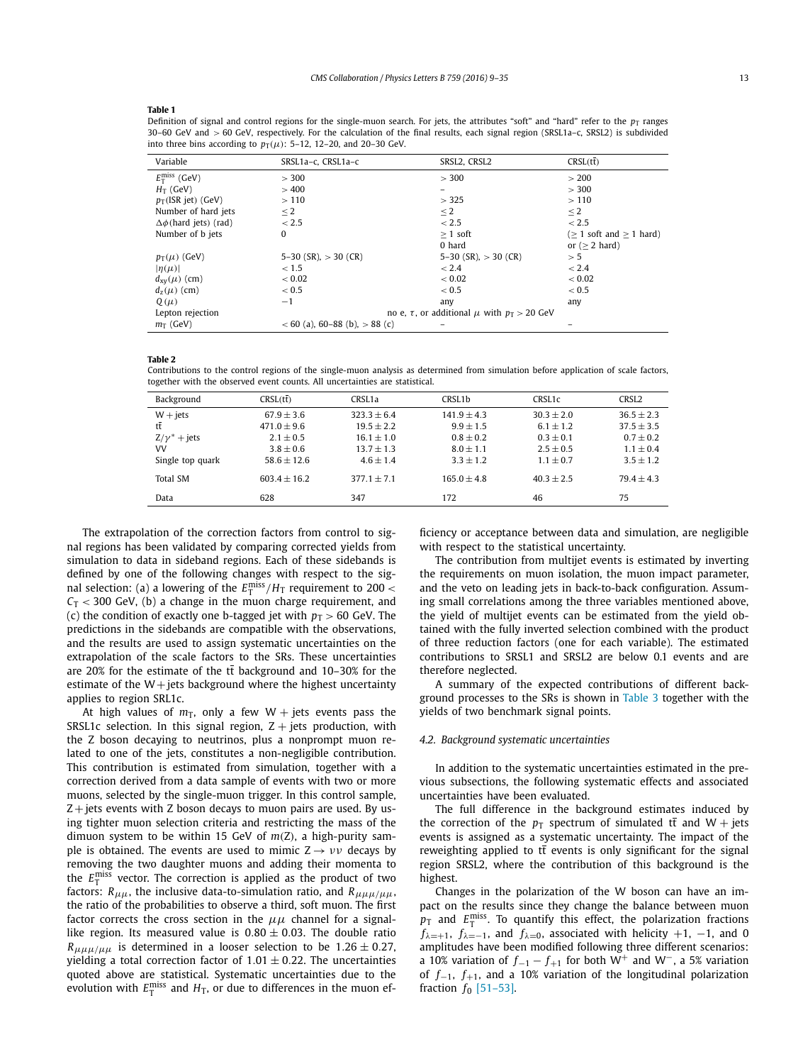<span id="page-4-0"></span>Definition of signal and control regions for the single-muon search. For jets, the attributes "soft" and "hard" refer to the  $p_T$  ranges 30–60 GeV and *>* 60 GeV, respectively. For the calculation of the final results, each signal region (SRSL1a–c, SRSL2) is subdivided into three bins according to  $p_T(\mu)$ : 5–12, 12–20, and 20–30 GeV.

| Variable                       | SRSL1a-c, CRSL1a-c                | SRSL2, CRSL2                                           | $CRSL(t\bar{t})$            |
|--------------------------------|-----------------------------------|--------------------------------------------------------|-----------------------------|
| $E_{\rm T}^{\rm miss}$ (GeV)   | > 300                             | > 300                                                  | > 200                       |
| $H_T$ (GeV)                    | >400                              |                                                        | > 300                       |
| $p_T$ (ISR jet) (GeV)          | >110                              | > 325                                                  | >110                        |
| Number of hard jets            | $\leq$ 2                          | $\leq$ 2                                               | $\leq$ 2                    |
| $\Delta\phi$ (hard jets) (rad) | < 2.5                             | < 2.5                                                  | < 2.5                       |
| Number of b jets               | $\bf{0}$                          | $> 1$ soft                                             | $(> 1$ soft and $> 1$ hard) |
|                                |                                   | 0 hard                                                 | or $(> 2$ hard)             |
| $p_T(\mu)$ (GeV)               | 5–30 (SR), $>$ 30 (CR)            | 5–30 (SR), $>$ 30 (CR)                                 | > 5                         |
| $ \eta(\mu) $                  | < 1.5                             | < 2.4                                                  | < 2.4                       |
| $d_{xy}(\mu)$ (cm)             | < 0.02                            | < 0.02                                                 | < 0.02                      |
| $d_{\rm z}(\mu)$ (cm)          | < 0.5                             | < 0.5                                                  | < 0.5                       |
| $Q(\mu)$                       | $-1$                              | any                                                    | any                         |
| Lepton rejection               |                                   | no e, $\tau$ , or additional $\mu$ with $p_T > 20$ GeV |                             |
| $mT$ (GeV)                     | $< 60$ (a), 60–88 (b), $> 88$ (c) |                                                        |                             |

| . . | $\sim$ |  |
|-----|--------|--|
|     |        |  |

Contributions to the control regions of the single-muon analysis as determined from simulation before application of scale factors, together with the observed event counts. All uncertainties are statistical.

| Background          | $CRSL(t\bar{t})$ | CRSL <sub>1</sub> a | CRSL <sub>1</sub> b | CRSL <sub>1</sub> c | CRSL <sub>2</sub> |
|---------------------|------------------|---------------------|---------------------|---------------------|-------------------|
| $W + iets$          | $67.9 + 3.6$     | $323.3 + 6.4$       | $141.9 + 4.3$       | $30.3 \pm 2.0$      | $36.5 + 2.3$      |
| $t\bar{t}$          | $471.0 \pm 9.6$  | $19.5 + 2.2$        | $9.9 + 1.5$         | $6.1 + 1.2$         | $37.5 \pm 3.5$    |
| $Z/\gamma^*$ + jets | $2.1 \pm 0.5$    | $16.1 + 1.0$        | $0.8 + 0.2$         | $0.3 + 0.1$         | $0.7 + 0.2$       |
| VV                  | $3.8 + 0.6$      | $13.7 + 1.3$        | $8.0 + 1.1$         | $2.5 + 0.5$         | $1.1 \pm 0.4$     |
| Single top quark    | $58.6 + 12.6$    | $4.6 + 1.4$         | $3.3 + 1.2$         | $1.1 \pm 0.7$       | $3.5 + 1.2$       |
| <b>Total SM</b>     | $603.4 + 16.2$   | $377.1 + 7.1$       | $165.0 + 4.8$       | $40.3 + 2.5$        | $79.4 + 4.3$      |
| Data                | 628              | 347                 | 172                 | 46                  | 75                |

The extrapolation of the correction factors from control to signal regions has been validated by comparing corrected yields from simulation to data in sideband regions. Each of these sidebands is defined by one of the following changes with respect to the signal selection: (a) a lowering of the  $E_{\text{T}}^{\text{miss}}/H_{\text{T}}$  requirement to 200  $<$  $C_T < 300$  GeV, (b) a change in the muon charge requirement, and (c) the condition of exactly one b-tagged jet with  $p_T > 60$  GeV. The predictions in the sidebands are compatible with the observations, and the results are used to assign systematic uncertainties on the extrapolation of the scale factors to the SRs. These uncertainties are 20% for the estimate of the tt background and 10–30% for the estimate of the  $W +$ jets background where the highest uncertainty applies to region SRL1c.

At high values of  $m<sub>T</sub>$ , only a few  $W$  + jets events pass the SRSL1c selection. In this signal region,  $Z +$  jets production, with the Z boson decaying to neutrinos, plus a nonprompt muon related to one of the jets, constitutes a non-negligible contribution. This contribution is estimated from simulation, together with a correction derived from a data sample of events with two or more muons, selected by the single-muon trigger. In this control sample,  $Z$ + jets events with Z boson decays to muon pairs are used. By using tighter muon selection criteria and restricting the mass of the dimuon system to be within 15 GeV of *m(*Z*)*, a high-purity sample is obtained. The events are used to mimic <sup>Z</sup> → *νν* decays by removing the two daughter muons and adding their momenta to the  $E_{\text{T}}^{\text{miss}}$  vector. The correction is applied as the product of two factors:  $R_{\mu\mu}$ , the inclusive data-to-simulation ratio, and  $R_{\mu\mu\mu}/\mu\mu$ , the ratio of the probabilities to observe a third, soft muon. The first factor corrects the cross section in the  $\mu\mu$  channel for a signallike region. Its measured value is  $0.80 \pm 0.03$ . The double ratio  $R_{\mu\mu\mu/\mu\mu}$  is determined in a looser selection to be 1.26  $\pm$  0.27, yielding a total correction factor of 1*.*01 ± 0*.*22. The uncertainties quoted above are statistical. Systematic uncertainties due to the evolution with  $E_{\text{T}}^{\text{miss}}$  and  $H_{\text{T}}$ , or due to differences in the muon efficiency or acceptance between data and simulation, are negligible with respect to the statistical uncertainty.

The contribution from multijet events is estimated by inverting the requirements on muon isolation, the muon impact parameter, and the veto on leading jets in back-to-back configuration. Assuming small correlations among the three variables mentioned above, the yield of multijet events can be estimated from the yield obtained with the fully inverted selection combined with the product of three reduction factors (one for each variable). The estimated contributions to SRSL1 and SRSL2 are below 0.1 events and are therefore neglected.

A summary of the expected contributions of different background processes to the SRs is shown in [Table 3](#page-5-0) together with the yields of two benchmark signal points.

#### *4.2. Background systematic uncertainties*

In addition to the systematic uncertainties estimated in the previous subsections, the following systematic effects and associated uncertainties have been evaluated.

The full difference in the background estimates induced by the correction of the  $p_T$  spectrum of simulated tt and  $W + j$ ets events is assigned as a systematic uncertainty. The impact of the reweighting applied to tt events is only significant for the signal region SRSL2, where the contribution of this background is the highest.

Changes in the polarization of the W boson can have an impact on the results since they change the balance between muon  $p_{\text{T}}$  and  $E_{\text{T}}^{\text{miss}}$ . To quantify this effect, the polarization fractions  $f_{\lambda=+1}$ ,  $f_{\lambda=-1}$ , and  $f_{\lambda=0}$ , associated with helicity +1, -1, and 0 amplitudes have been modified following three different scenarios: a 10% variation of *f*−<sup>1</sup> − *f*+<sup>1</sup> for both W<sup>+</sup> and W−, a 5% variation of *f*−1, *f*+1, and a 10% variation of the longitudinal polarization fraction *f*<sup>0</sup> [\[51–53\].](#page-11-0)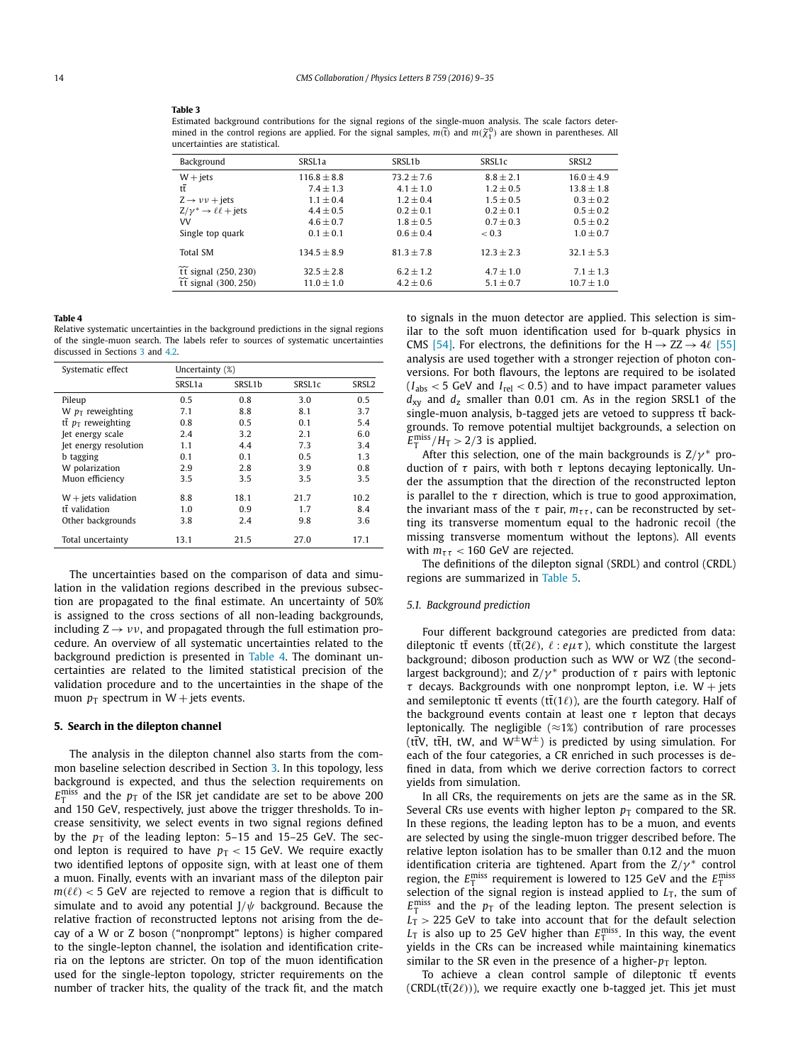<span id="page-5-0"></span>

| н |  |
|---|--|
|---|--|

Estimated background contributions for the signal regions of the single-muon analysis. The scale factors determined in the control regions are applied. For the signal samples,  $m(\tilde{t})$  and  $m(\tilde{\chi}_1^0)$  are shown in parentheses. All uncertainties are statistical.

| Background                                       | SRSL <sub>1</sub> a | SRSL <sub>1</sub> b | SRSL <sub>1</sub> c | SRSL <sub>2</sub> |
|--------------------------------------------------|---------------------|---------------------|---------------------|-------------------|
| $W + iets$                                       | $116.8 + 8.8$       | $73.2 + 7.6$        | $8.8 + 2.1$         | $16.0 + 4.9$      |
| tt                                               | $7.4 + 1.3$         | $4.1 + 1.0$         | $1.2 + 0.5$         | $13.8 + 1.8$      |
| $Z \rightarrow \nu \nu$ + jets                   | $1.1 + 0.4$         | $1.2 + 0.4$         | $1.5 + 0.5$         | $0.3 + 0.2$       |
| $Z/\gamma^* \rightarrow \ell \ell + \text{jets}$ | $4.4 + 0.5$         | $0.2 + 0.1$         | $0.2 + 0.1$         | $0.5 + 0.2$       |
| VV                                               | $4.6 + 0.7$         | $1.8 + 0.5$         | $0.7 + 0.3$         | $0.5 + 0.2$       |
| Single top quark                                 | $0.1 \pm 0.1$       | $0.6 + 0.4$         | ~< 0.3              | $1.0 + 0.7$       |
| <b>Total SM</b>                                  | $134.5 + 8.9$       | $81.3 + 7.8$        | $12.3 + 2.3$        | $32.1 + 5.3$      |
| tt signal (250, 230)                             | $32.5 + 2.8$        | $6.2 + 1.2$         | $4.7 \pm 1.0$       | $7.1 + 1.3$       |
| $\widetilde{t}$ t signal (300, 250)              | $11.0 \pm 1.0$      | $4.2 \pm 0.6$       | $5.1 \pm 0.7$       | $10.7 \pm 1.0$    |

#### **Table 4**

Relative systematic uncertainties in the background predictions in the signal regions of the single-muon search. The labels refer to sources of systematic uncertainties discussed in Sections [3](#page-1-0) and [4.2.](#page-4-0)

| Systematic effect                            | Uncertainty (%) |        |        |                   |  |
|----------------------------------------------|-----------------|--------|--------|-------------------|--|
|                                              | SRSL1a          | SRSL1b | SRSL1c | SRSL <sub>2</sub> |  |
| Pileup                                       | 0.5             | 0.8    | 3.0    | 0.5               |  |
| W $p_T$ reweighting                          | 7.1             | 8.8    | 8.1    | 3.7               |  |
| $t\bar{t}$ <i>p</i> <sub>T</sub> reweighting | 0.8             | 0.5    | 0.1    | 5.4               |  |
| Jet energy scale                             | 2.4             | 3.2    | 2.1    | 6.0               |  |
| Jet energy resolution                        | 1.1             | 4.4    | 7.3    | 3.4               |  |
| b tagging                                    | 0.1             | 0.1    | 0.5    | 1.3               |  |
| W polarization                               | 2.9             | 2.8    | 3.9    | 0.8               |  |
| Muon efficiency                              | 3.5             | 3.5    | 3.5    | 3.5               |  |
| $W +$ jets validation                        | 8.8             | 18.1   | 21.7   | 10.2              |  |
| tt validation                                | 1.0             | 0.9    | 1.7    | 8.4               |  |
| Other backgrounds                            | 3.8             | 2.4    | 9.8    | 3.6               |  |
| Total uncertainty                            | 13.1            | 21.5   | 27.0   | 17.1              |  |

The uncertainties based on the comparison of data and simulation in the validation regions described in the previous subsection are propagated to the final estimate. An uncertainty of 50% is assigned to the cross sections of all non-leading backgrounds, including  $Z \rightarrow \nu \nu$ , and propagated through the full estimation procedure. An overview of all systematic uncertainties related to the background prediction is presented in Table 4. The dominant uncertainties are related to the limited statistical precision of the validation procedure and to the uncertainties in the shape of the muon  $p_T$  spectrum in W + jets events.

#### **5. Search in the dilepton channel**

The analysis in the dilepton channel also starts from the common baseline selection described in Section [3.](#page-1-0) In this topology, less background is expected, and thus the selection requirements on  $E_{\rm T}^{\rm miss}$  and the  $p_{\rm T}$  of the ISR jet candidate are set to be above 200 and 150 GeV, respectively, just above the trigger thresholds. To increase sensitivity, we select events in two signal regions defined by the  $p_T$  of the leading lepton: 5–15 and 15–25 GeV. The second lepton is required to have  $p_T < 15$  GeV. We require exactly two identified leptons of opposite sign, with at least one of them a muon. Finally, events with an invariant mass of the dilepton pair  $m(\ell\ell)$  < 5 GeV are rejected to remove a region that is difficult to simulate and to avoid any potential J*/ψ* background. Because the relative fraction of reconstructed leptons not arising from the decay of a W or Z boson ("nonprompt" leptons) is higher compared to the single-lepton channel, the isolation and identification criteria on the leptons are stricter. On top of the muon identification used for the single-lepton topology, stricter requirements on the number of tracker hits, the quality of the track fit, and the match

to signals in the muon detector are applied. This selection is similar to the soft muon identification used for b-quark physics in CMS [\[54\].](#page-11-0) For electrons, the definitions for the H  $\rightarrow$  ZZ  $\rightarrow$  4 $\ell$  [\[55\]](#page-11-0) analysis are used together with a stronger rejection of photon conversions. For both flavours, the leptons are required to be isolated  $(I_{\text{abs}} < 5 \text{ GeV}$  and  $I_{\text{rel}} < 0.5$ ) and to have impact parameter values *d*xy and *d*<sup>z</sup> smaller than 0.01 cm. As in the region SRSL1 of the single-muon analysis, b-tagged jets are vetoed to suppress tt backgrounds. To remove potential multijet backgrounds, a selection on  $E_{\text{T}}^{\text{miss}}/H_{\text{T}} > 2/3$  is applied.

After this selection, one of the main backgrounds is  $Z/\gamma^*$  production of *τ* pairs, with both *τ* leptons decaying leptonically. Under the assumption that the direction of the reconstructed lepton is parallel to the  $\tau$  direction, which is true to good approximation, the invariant mass of the  $\tau$  pair,  $m_{\tau\tau}$ , can be reconstructed by setting its transverse momentum equal to the hadronic recoil (the missing transverse momentum without the leptons). All events with  $m_{\tau\tau}$  < 160 GeV are rejected.

The definitions of the dilepton signal (SRDL) and control (CRDL) regions are summarized in [Table 5.](#page-6-0)

#### *5.1. Background prediction*

Four different background categories are predicted from data: dileptonic tt events (tt $(2\ell)$ ,  $\ell$ :  $e\mu\tau$ ), which constitute the largest background; diboson production such as WW or WZ (the secondlargest background); and  $Z/\gamma^*$  production of  $\tau$  pairs with leptonic  $\tau$  decays. Backgrounds with one nonprompt lepton, i.e.  $W +$  jets and semileptonic tt events ( $tt(1\ell)$ ), are the fourth category. Half of the background events contain at least one *τ* lepton that decays leptonically. The negligible  $(\approx 1\%)$  contribution of rare processes (tty, ttH, tW, and  $W^{\pm}W^{\pm}$ ) is predicted by using simulation. For each of the four categories, a CR enriched in such processes is defined in data, from which we derive correction factors to correct yields from simulation.

In all CRs, the requirements on jets are the same as in the SR. Several CRs use events with higher lepton  $p<sub>T</sub>$  compared to the SR. In these regions, the leading lepton has to be a muon, and events are selected by using the single-muon trigger described before. The relative lepton isolation has to be smaller than 0.12 and the muon identification criteria are tightened. Apart from the Z/γ<sup>\*</sup> control region, the  $E_{\text{T}}^{\text{miss}}$  requirement is lowered to 125 GeV and the  $E_{\text{T}}^{\text{miss}}$ selection of the signal region is instead applied to  $L<sub>T</sub>$ , the sum of  $E_{\text{T}}^{\text{miss}}$  and the  $p_{\text{T}}$  of the leading lepton. The present selection is  $L_{\rm T}$  > 225 GeV to take into account that for the default selection  $L_T$  is also up to 25 GeV higher than  $E_T^{\text{miss}}$ . In this way, the event yields in the CRs can be increased while maintaining kinematics similar to the SR even in the presence of a higher- $p<sub>T</sub>$  lepton.

To achieve a clean control sample of dileptonic tt events  $(CRDL(tt(2\ell))$ , we require exactly one b-tagged jet. This jet must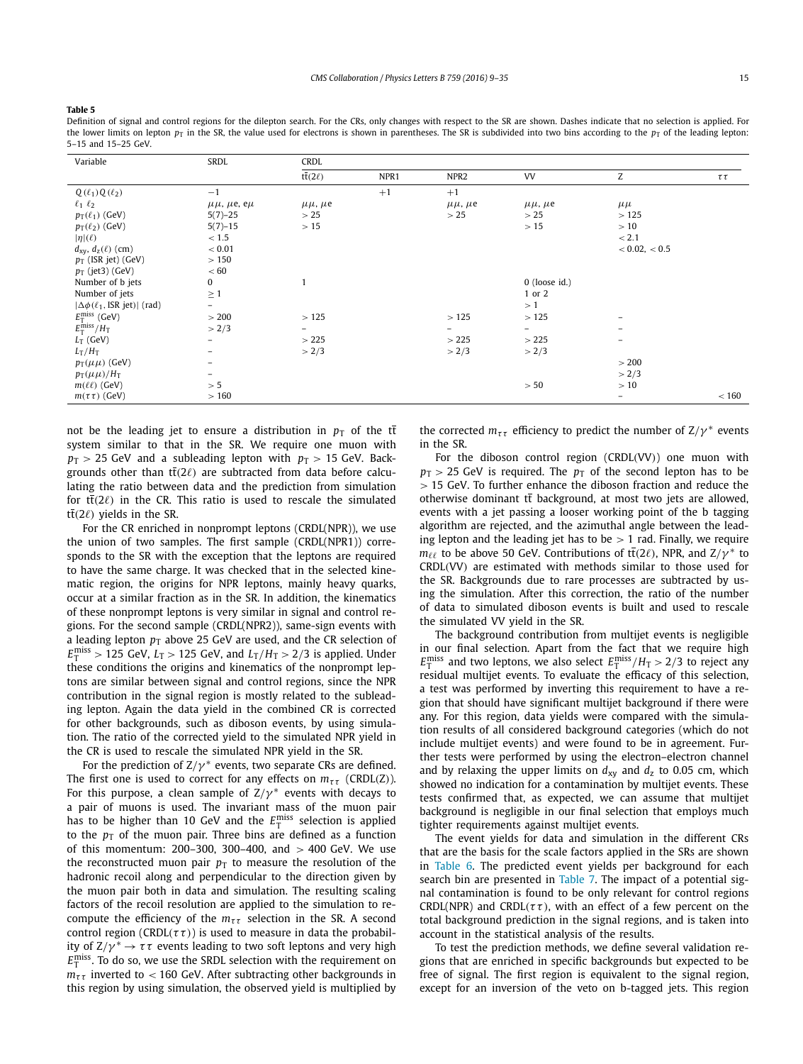#### <span id="page-6-0"></span>**Table 5**

Definition of signal and control regions for the dilepton search. For the CRs, only changes with respect to the SR are shown. Dashes indicate that no selection is applied. For the lower limits on lepton  $p<sub>T</sub>$  in the SR, the value used for electrons is shown in parentheses. The SR is subdivided into two bins according to the  $p<sub>T</sub>$  of the leading lepton: 5–15 and 15–25 GeV.

| Variable                                     | SRDL                        | CRDL                   |      |                    |                    |               |       |
|----------------------------------------------|-----------------------------|------------------------|------|--------------------|--------------------|---------------|-------|
|                                              |                             | $t\overline{t}(2\ell)$ | NPR1 | NPR2               | <b>VV</b>          | Z             | ττ    |
| $Q(\ell_1)Q(\ell_2)$                         | $-1$                        |                        | $+1$ | $+1$               |                    |               |       |
| $\ell_1$ $\ell_2$                            | $\mu\mu$ , $\mu$ e, e $\mu$ | $\mu\mu$ , $\mu$ e     |      | $\mu\mu$ , $\mu$ e | $\mu\mu$ , $\mu$ e | $\mu\mu$      |       |
| $p_T(\ell_1)$ (GeV)                          | $5(7)-25$                   | >25                    |      | >25                | >25                | >125          |       |
| $p_T(\ell_2)$ (GeV)                          | $5(7)-15$                   | >15                    |      |                    | >15                | >10           |       |
| $ \eta (\ell)$                               | < 1.5                       |                        |      |                    |                    | < 2.1         |       |
| $d_{xy}$ , $d_z(\ell)$ (cm)                  | < 0.01                      |                        |      |                    |                    | < 0.02, < 0.5 |       |
| $p_T$ (ISR jet) (GeV)                        | >150                        |                        |      |                    |                    |               |       |
| $p_T$ (jet3) (GeV)                           | < 60                        |                        |      |                    |                    |               |       |
| Number of b jets                             | 0                           |                        |      |                    | $0$ (loose id.)    |               |       |
| Number of jets                               | $\geq 1$                    |                        |      |                    | 1 or 2             |               |       |
| $ \Delta\phi(\ell_1, \text{ISR jet}) $ (rad) | $\overline{\phantom{m}}$    |                        |      |                    | >1                 |               |       |
| $E_{\rm T}^{\rm miss}$ (GeV)                 | > 200                       | >125                   |      | >125               | >125               |               |       |
| $E_{\rm T}^{\rm miss}/H_{\rm T}$             | > 2/3                       | $-$                    |      |                    | $\qquad \qquad -$  |               |       |
| $L_T$ (GeV)                                  | $\overline{\phantom{0}}$    | >225                   |      | >225               | >225               | -             |       |
| $L_T/H_T$                                    |                             | > 2/3                  |      | > 2/3              | > 2/3              |               |       |
| $p_T(\mu\mu)$ (GeV)                          |                             |                        |      |                    |                    | > 200         |       |
| $p_T(\mu\mu)/H_T$                            |                             |                        |      |                    |                    | > 2/3         |       |
| $m(\ell\ell)$ (GeV)                          | > 5                         |                        |      |                    | > 50               | >10           |       |
| $m(\tau\tau)$ (GeV)                          | >160                        |                        |      |                    |                    |               | < 160 |

not be the leading jet to ensure a distribution in  $p<sub>T</sub>$  of the tt system similar to that in the SR. We require one muon with  $p_T > 25$  GeV and a subleading lepton with  $p_T > 15$  GeV. Backgrounds other than  $\text{tr}(2\ell)$  are subtracted from data before calculating the ratio between data and the prediction from simulation for  $tt(2\ell)$  in the CR. This ratio is used to rescale the simulated  $t\bar{t}(2\ell)$  yields in the SR.

For the CR enriched in nonprompt leptons (CRDL(NPR)), we use the union of two samples. The first sample (CRDL(NPR1)) corresponds to the SR with the exception that the leptons are required to have the same charge. It was checked that in the selected kinematic region, the origins for NPR leptons, mainly heavy quarks, occur at a similar fraction as in the SR. In addition, the kinematics of these nonprompt leptons is very similar in signal and control regions. For the second sample (CRDL(NPR2)), same-sign events with a leading lepton  $p_T$  above 25 GeV are used, and the CR selection of  $E_{\rm T}^{\rm miss}$  > 125 GeV,  $L_{\rm T}$  > 125 GeV, and  $L_{\rm T}/H_{\rm T}$  > 2/3 is applied. Under these conditions the origins and kinematics of the nonprompt leptons are similar between signal and control regions, since the NPR contribution in the signal region is mostly related to the subleading lepton. Again the data yield in the combined CR is corrected for other backgrounds, such as diboson events, by using simulation. The ratio of the corrected yield to the simulated NPR yield in the CR is used to rescale the simulated NPR yield in the SR.

For the prediction of Z/ $\gamma^*$  events, two separate CRs are defined. The first one is used to correct for any effects on  $m_{\tau\tau}$  (CRDL(Z)). For this purpose, a clean sample of  $Z/\gamma^*$  events with decays to a pair of muons is used. The invariant mass of the muon pair has to be higher than 10 GeV and the  $E_{\textrm{T}}^{\textrm{miss}}$  selection is applied to the  $p<sub>T</sub>$  of the muon pair. Three bins are defined as a function of this momentum: 200–300, 300–400, and *>* 400 GeV. We use the reconstructed muon pair  $p<sub>T</sub>$  to measure the resolution of the hadronic recoil along and perpendicular to the direction given by the muon pair both in data and simulation. The resulting scaling factors of the recoil resolution are applied to the simulation to recompute the efficiency of the *mττ* selection in the SR. A second control region ( $CRDL(\tau\tau)$ ) is used to measure in data the probability of  $Z/\gamma^* \to \tau \tau$  events leading to two soft leptons and very high  $E_{\rm T}^{\rm miss}$ . To do so, we use the SRDL selection with the requirement on  $m_{\tau\tau}$  inverted to < 160 GeV. After subtracting other backgrounds in this region by using simulation, the observed yield is multiplied by the corrected  $m_{\tau\tau}$  efficiency to predict the number of  $Z/\gamma^*$  events in the SR.

For the diboson control region (CRDL*(*VV*)*) one muon with  $p<sub>T</sub> > 25$  GeV is required. The  $p<sub>T</sub>$  of the second lepton has to be *>* 15 GeV. To further enhance the diboson fraction and reduce the otherwise dominant tt background, at most two jets are allowed, events with a jet passing a looser working point of the b tagging algorithm are rejected, and the azimuthal angle between the leading lepton and the leading jet has to be *>* 1 rad. Finally, we require *m*<sub>ℓℓ</sub> to be above 50 GeV. Contributions of tt(2ℓ), NPR, and Z/γ<sup>\*</sup> to CRDL*(*VV*)* are estimated with methods similar to those used for the SR. Backgrounds due to rare processes are subtracted by using the simulation. After this correction, the ratio of the number of data to simulated diboson events is built and used to rescale the simulated VV yield in the SR.

The background contribution from multijet events is negligible in our final selection. Apart from the fact that we require high  $E_{\rm T}^{\rm miss}$  and two leptons, we also select  $E_{\rm T}^{\rm miss}/H_{\rm T}$   $>$  2/3 to reject any residual multijet events. To evaluate the efficacy of this selection, a test was performed by inverting this requirement to have a region that should have significant multijet background if there were any. For this region, data yields were compared with the simulation results of all considered background categories (which do not include multijet events) and were found to be in agreement. Further tests were performed by using the electron–electron channel and by relaxing the upper limits on  $d_{xy}$  and  $d_{z}$  to 0.05 cm, which showed no indication for a contamination by multijet events. These tests confirmed that, as expected, we can assume that multijet background is negligible in our final selection that employs much tighter requirements against multijet events.

The event yields for data and simulation in the different CRs that are the basis for the scale factors applied in the SRs are shown in [Table 6.](#page-7-0) The predicted event yields per background for each search bin are presented in [Table 7.](#page-7-0) The impact of a potential signal contamination is found to be only relevant for control regions CRDL(NPR) and CRDL( $\tau\tau$ ), with an effect of a few percent on the total background prediction in the signal regions, and is taken into account in the statistical analysis of the results.

To test the prediction methods, we define several validation regions that are enriched in specific backgrounds but expected to be free of signal. The first region is equivalent to the signal region, except for an inversion of the veto on b-tagged jets. This region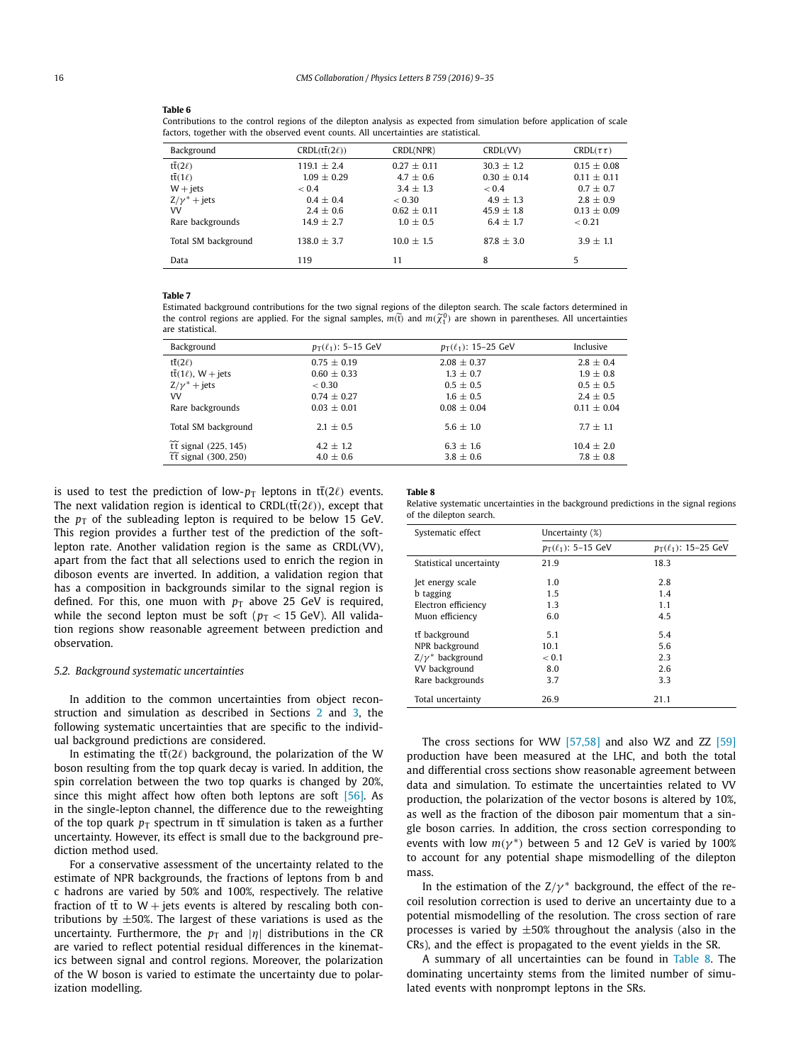#### <span id="page-7-0"></span>**Table 6**

Contributions to the control regions of the dilepton analysis as expected from simulation before application of scale factors, together with the observed event counts. All uncertainties are statistical.

| Background          | $CRDL(t\overline{t}(2\ell))$ | CRDL(NPR)       | CRDL(VV)       | CRDL $(\tau \tau)$ |
|---------------------|------------------------------|-----------------|----------------|--------------------|
| $t\bar{t}(2\ell)$   | $119.1 \pm 2.4$              | $0.27 \pm 0.11$ | $30.3 \pm 1.2$ | $0.15 \pm 0.08$    |
| $t\bar{t}(1\ell)$   | $1.09 + 0.29$                | $4.7 \pm 0.6$   | $0.30 + 0.14$  | $0.11 \pm 0.11$    |
| $W + jets$          | < 0.4                        | $3.4 + 1.3$     | < 0.4          | $0.7 \pm 0.7$      |
| $Z/\gamma^*$ + jets | $0.4 \pm 0.4$                | < 0.30          | $4.9 \pm 1.3$  | $2.8 \pm 0.9$      |
| VV                  | $2.4 \pm 0.6$                | $0.62 \pm 0.11$ | $45.9 \pm 1.8$ | $0.13 \pm 0.09$    |
| Rare backgrounds    | $14.9 \pm 2.7$               | $1.0 \pm 0.5$   | $6.4 \pm 1.7$  | < 0.21             |
| Total SM background | $138.0 \pm 3.7$              | $10.0 \pm 1.5$  | $87.8 \pm 3.0$ | $3.9 \pm 1.1$      |
| Data                | 119                          | 11              | 8              | 5                  |

#### **Table 7**

Estimated background contributions for the two signal regions of the dilepton search. The scale factors determined in the control regions are applied. For the signal samples,  $m(\tilde{t})$  and  $m(\tilde{\chi}^0_1)$  are shown in parentheses. All uncertainties are statistical.

| Background                          | $p_T(\ell_1)$ : 5–15 GeV | $p_T(\ell_1)$ : 15-25 GeV | Inclusive       |
|-------------------------------------|--------------------------|---------------------------|-----------------|
| $t\bar{t}(2\ell)$                   | $0.75 \pm 0.19$          | $2.08 \pm 0.37$           | $2.8 \pm 0.4$   |
| $t\bar{t}(1\ell)$ , W + jets        | $0.60 \pm 0.33$          | $1.3 \pm 0.7$             | $1.9 \pm 0.8$   |
| $Z/\gamma^*$ + jets                 | < 0.30                   | $0.5 \pm 0.5$             | $0.5 \pm 0.5$   |
| VV                                  | $0.74 \pm 0.27$          | $1.6 \pm 0.5$             | $2.4 \pm 0.5$   |
| Rare backgrounds                    | $0.03 \pm 0.01$          | $0.08 \pm 0.04$           | $0.11 \pm 0.04$ |
| Total SM background                 | $2.1 \pm 0.5$            | $5.6 \pm 1.0$             | $7.7 \pm 1.1$   |
| $\widetilde{t}$ t signal (225, 145) | $4.2 \pm 1.2$            | $6.3 \pm 1.6$             | $10.4 \pm 2.0$  |
| $\widetilde{t}$ t signal (300, 250) | $4.0 \pm 0.6$            | $3.8 \pm 0.6$             | $7.8 \pm 0.8$   |

is used to test the prediction of low- $p<sub>T</sub>$  leptons in  $t\bar{t}(2\ell)$  events. The next validation region is identical to  $CRDL(t\bar{t}(2\ell))$ , except that the  $p_T$  of the subleading lepton is required to be below 15 GeV. This region provides a further test of the prediction of the softlepton rate. Another validation region is the same as CRDL*(*VV*)*, apart from the fact that all selections used to enrich the region in diboson events are inverted. In addition, a validation region that has a composition in backgrounds similar to the signal region is defined. For this, one muon with  $p_T$  above 25 GeV is required, while the second lepton must be soft ( $p_T < 15$  GeV). All validation regions show reasonable agreement between prediction and observation.

#### *5.2. Background systematic uncertainties*

In addition to the common uncertainties from object reconstruction and simulation as described in Sections [2](#page-1-0) and [3,](#page-1-0) the following systematic uncertainties that are specific to the individual background predictions are considered.

In estimating the  $tr(2\ell)$  background, the polarization of the W boson resulting from the top quark decay is varied. In addition, the spin correlation between the two top quarks is changed by 20%, since this might affect how often both leptons are soft [\[56\].](#page-11-0) As in the single-lepton channel, the difference due to the reweighting of the top quark  $p_T$  spectrum in tt simulation is taken as a further uncertainty. However, its effect is small due to the background prediction method used.

For a conservative assessment of the uncertainty related to the estimate of NPR backgrounds, the fractions of leptons from b and c hadrons are varied by 50% and 100%, respectively. The relative fraction of tt to  $W$  + jets events is altered by rescaling both contributions by  $\pm 50\%$ . The largest of these variations is used as the uncertainty. Furthermore, the  $p_T$  and  $|\eta|$  distributions in the CR are varied to reflect potential residual differences in the kinematics between signal and control regions. Moreover, the polarization of the W boson is varied to estimate the uncertainty due to polarization modelling.

#### **Table 8**

Relative systematic uncertainties in the background predictions in the signal regions of the dilepton search.

| Systematic effect       | Uncertainty (%)          |                           |
|-------------------------|--------------------------|---------------------------|
|                         | $p_T(\ell_1)$ : 5-15 GeV | $p_T(\ell_1)$ : 15–25 GeV |
| Statistical uncertainty | 21.9                     | 18.3                      |
| Jet energy scale        | 1.0                      | 2.8                       |
| b tagging               | 1.5                      | 1.4                       |
| Electron efficiency     | 1.3                      | 1.1                       |
| Muon efficiency         | 6.0                      | 4.5                       |
| tt background           | 5.1                      | 5.4                       |
| NPR background          | 10.1                     | 5.6                       |
| $Z/\gamma^*$ background | < 0.1                    | 2.3                       |
| VV background           | 8.0                      | 2.6                       |
| Rare backgrounds        | 3.7                      | 3.3                       |
| Total uncertainty       | 26.9                     | 21.1                      |

The cross sections for WW [\[57,58\]](#page-11-0) and also WZ and ZZ [\[59\]](#page-11-0) production have been measured at the LHC, and both the total and differential cross sections show reasonable agreement between data and simulation. To estimate the uncertainties related to VV production, the polarization of the vector bosons is altered by 10%, as well as the fraction of the diboson pair momentum that a single boson carries. In addition, the cross section corresponding to events with low  $m(\gamma^*)$  between 5 and 12 GeV is varied by 100% to account for any potential shape mismodelling of the dilepton mass.

In the estimation of the  $Z/\gamma^*$  background, the effect of the recoil resolution correction is used to derive an uncertainty due to a potential mismodelling of the resolution. The cross section of rare processes is varied by  $\pm 50\%$  throughout the analysis (also in the CRs), and the effect is propagated to the event yields in the SR.

A summary of all uncertainties can be found in Table 8. The dominating uncertainty stems from the limited number of simulated events with nonprompt leptons in the SRs.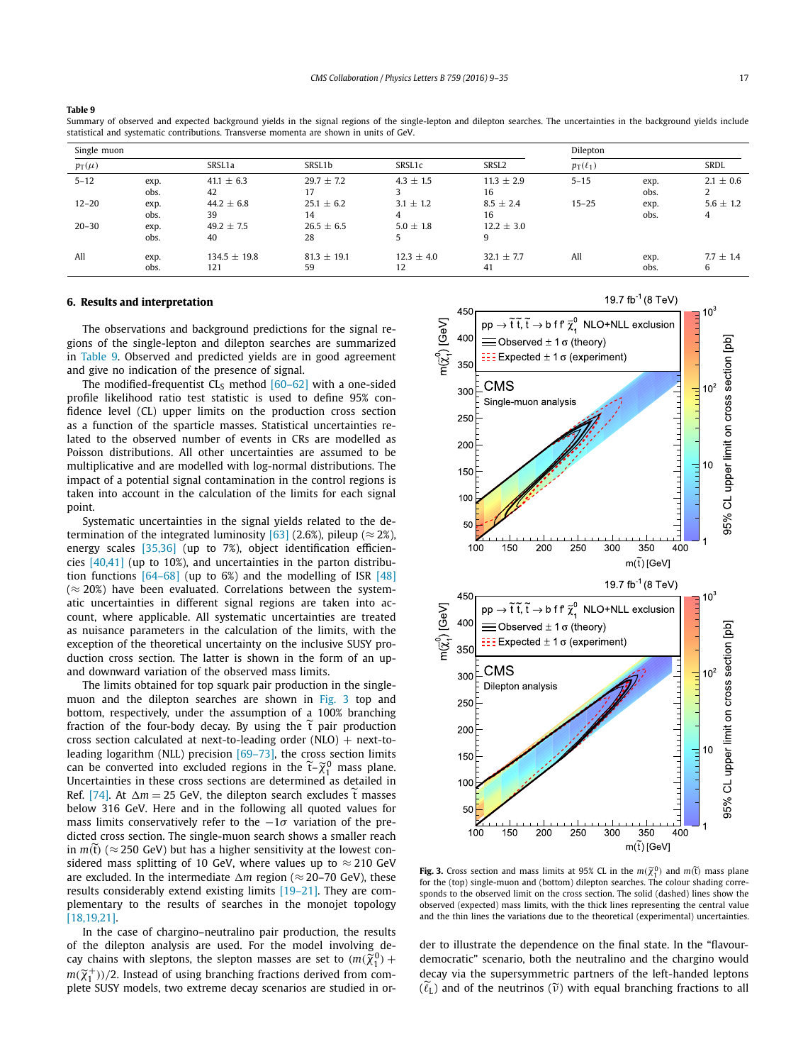<span id="page-8-0"></span>

| Single muon |              |                         |                       |                      |                      | Dilepton      |              |                    |
|-------------|--------------|-------------------------|-----------------------|----------------------|----------------------|---------------|--------------|--------------------|
| $p_T(\mu)$  |              | SRSL1a                  | SRSL1b                | SRSL1c               | SRSL <sub>2</sub>    | $p_T(\ell_1)$ |              | <b>SRDL</b>        |
| $5 - 12$    | exp.<br>obs. | $41.1 \pm 6.3$<br>42    | $29.7 \pm 7.2$<br>17  | $4.3 \pm 1.5$        | $11.3 \pm 2.9$<br>16 | $5 - 15$      | exp.<br>obs. | $2.1 \pm 0.6$      |
| $12 - 20$   | exp.<br>obs. | $44.2 \pm 6.8$<br>39    | $25.1 \pm 6.2$<br>14  | $3.1 \pm 1.2$<br>4   | $8.5 \pm 2.4$<br>16  | $15 - 25$     | exp.<br>obs. | $5.6 \pm 1.2$<br>4 |
| $20 - 30$   | exp.<br>obs. | $49.2 \pm 7.5$<br>40    | $26.5 \pm 6.5$<br>28  | $5.0 \pm 1.8$        | $12.2 \pm 3.0$<br>9  |               |              |                    |
| All         | exp.<br>obs. | $134.5 \pm 19.8$<br>121 | $81.3 \pm 19.1$<br>59 | $12.3 \pm 4.0$<br>12 | $32.1 \pm 7.7$<br>41 | All           | exp.<br>obs. | $7.7 \pm 1.4$<br>6 |

Summary of observed and expected background yields in the signal regions of the single-lepton and dilepton searches. The uncertainties in the background yields include statistical and systematic contributions. Transverse momenta are shown in units of GeV.

#### **6. Results and interpretation**

The observations and background predictions for the signal regions of the single-lepton and dilepton searches are summarized in Table 9. Observed and predicted yields are in good agreement and give no indication of the presence of signal.

The modified-frequentist  $CL<sub>S</sub>$  method [\[60–62\]](#page-11-0) with a one-sided profile likelihood ratio test statistic is used to define 95% confidence level (CL) upper limits on the production cross section as a function of the sparticle masses. Statistical uncertainties related to the observed number of events in CRs are modelled as Poisson distributions. All other uncertainties are assumed to be multiplicative and are modelled with log-normal distributions. The impact of a potential signal contamination in the control regions is taken into account in the calculation of the limits for each signal point.

Systematic uncertainties in the signal yields related to the de-termination of the integrated luminosity [\[63\]](#page-11-0) (2.6%), pileup ( $\approx$  2%), energy scales [\[35,36\]](#page-10-0) (up to 7%), object identification efficiencies [\[40,41\]](#page-10-0) (up to 10%), and uncertainties in the parton distribution functions [\[64–68\]](#page-11-0) (up to 6%) and the modelling of ISR [\[48\]](#page-10-0)  $(\approx 20\%)$  have been evaluated. Correlations between the systematic uncertainties in different signal regions are taken into account, where applicable. All systematic uncertainties are treated as nuisance parameters in the calculation of the limits, with the exception of the theoretical uncertainty on the inclusive SUSY production cross section. The latter is shown in the form of an upand downward variation of the observed mass limits.

The limits obtained for top squark pair production in the singlemuon and the dilepton searches are shown in Fig. 3 top and bottom, respectively, under the assumption of a 100% branching fraction of the four-body decay. By using the t pair production cross section calculated at next-to-leading order  $(NLO)$  + next-toleading logarithm (NLL) precision [\[69–73\],](#page-11-0) the cross section limits can be converted into excluded regions in the  $\widetilde{t}$  –  $\widetilde{\chi}_1^0$  mass plane. Uncertainties in these cross sections are determined as detailed in Ref. [\[74\].](#page-11-0) At  $\Delta m = 25$  GeV, the dilepton search excludes t masses below 316 GeV. Here and in the following all quoted values for mass limits conservatively refer to the −1*σ* variation of the predicted cross section. The single-muon search shows a smaller reach in  $m(t)$  ( $\approx$  250 GeV) but has a higher sensitivity at the lowest considered mass splitting of 10 GeV, where values up to  $\approx$  210 GeV are excluded. In the intermediate  $\Delta m$  region ( $\approx$  20–70 GeV), these results considerably extend existing limits [\[19–21\].](#page-10-0) They are complementary to the results of searches in the monojet topology [\[18,19,21\].](#page-10-0)

In the case of chargino–neutralino pair production, the results of the dilepton analysis are used. For the model involving decay chains with sleptons, the slepton masses are set to  $(m(\tilde{\chi}_1^0))$  +  $m(\widetilde{\chi}_1^+))/2$ . Instead of using branching fractions derived from complete SUSY models, two extreme decay scenarios are studied in or-



**Fig. 3.** Cross section and mass limits at 95% CL in the  $m(\widetilde{\chi}_1^0)$  and  $m(\widetilde{t})$  mass plane for the (top) single-muon and (bottom) dilepton searches. The colour shading corresponds to the observed limit on the cross section. The solid (dashed) lines show the observed (expected) mass limits, with the thick lines representing the central value and the thin lines the variations due to the theoretical (experimental) uncertainties.

der to illustrate the dependence on the final state. In the "flavourdemocratic" scenario, both the neutralino and the chargino would decay via the supersymmetric partners of the left-handed leptons  $(\tilde{\ell}_L)$  and of the neutrinos  $(\tilde{\nu})$  with equal branching fractions to all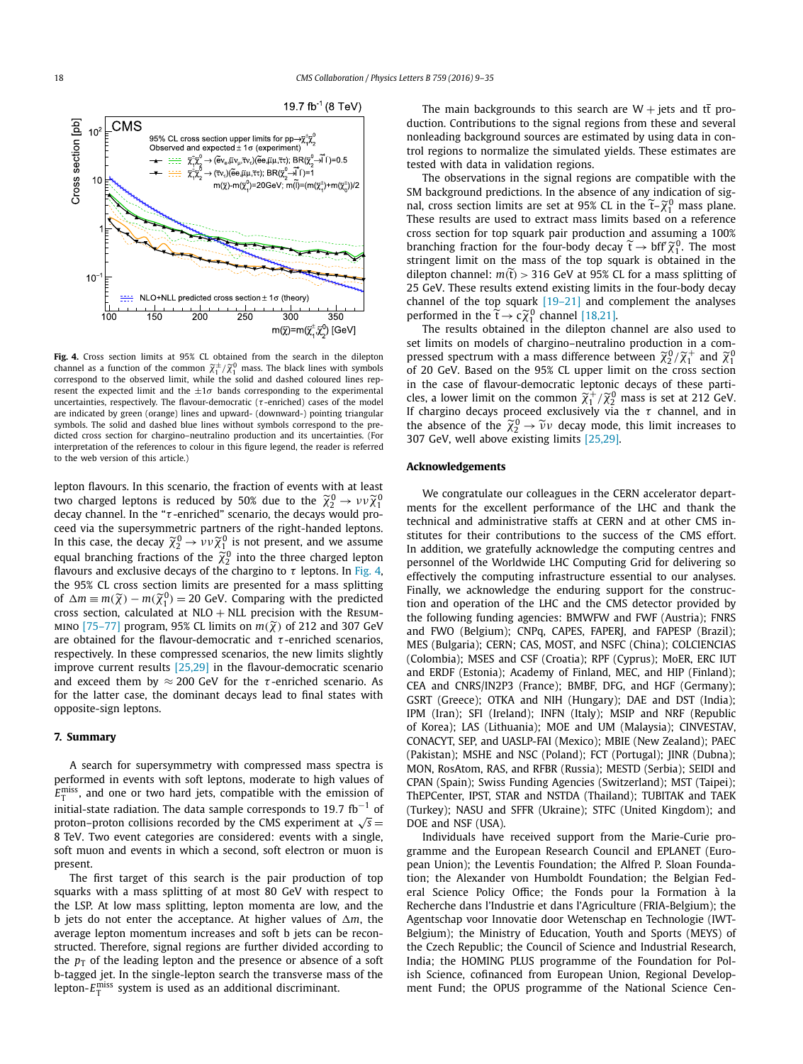

**Fig. 4.** Cross section limits at 95% CL obtained from the search in the dilepton channel as a function of the common  $\widetilde{\chi}_1^{\pm}/\widetilde{\chi}_1^0$  mass. The black lines with symbols<br>correspond to the observed limit, while the solid and dashed coloured lines represent the expected limit and the  $\pm 1\sigma$  bands corresponding to the experimental uncertainties, respectively. The flavour-democratic (*τ* -enriched) cases of the model are indicated by green (orange) lines and upward- (downward-) pointing triangular symbols. The solid and dashed blue lines without symbols correspond to the predicted cross section for chargino–neutralino production and its uncertainties. (For interpretation of the references to colour in this figure legend, the reader is referred to the web version of this article.)

lepton flavours. In this scenario, the fraction of events with at least two charged leptons is reduced by 50% due to the  $\widetilde{\chi}^0_2 \rightarrow \nu \nu \widetilde{\chi}^0_1$ decay channel. In the "*τ* -enriched" scenario, the decays would proceed via the supersymmetric partners of the right-handed leptons. In this case, the decay  $\widetilde{\chi}_2^0 \to \nu \nu \widetilde{\chi}_1^0$  is not present, and we assume equal branching fractions of the  $\widetilde{\chi}_2^0$  into the three charged lepton flavours and exclusive decays of the chargino to  $\tau$  leptons. In Fig. 4, the 95% CL cross section limits are presented for a mass splitting of  $\Delta m \equiv m(\tilde{\chi}) - m(\tilde{\chi}_1^0) = 20$  GeV. Comparing with the predicted cross section, calculated at  $NLO + NLL$  precision with the RESUMmino [\[75–77\]](#page-11-0) program, 95% CL limits on *<sup>m</sup>(χ*-*)* of 212 and 307 GeV are obtained for the flavour-democratic and *τ* -enriched scenarios, respectively. In these compressed scenarios, the new limits slightly improve current results [\[25,29\]](#page-10-0) in the flavour-democratic scenario and exceed them by  $\approx$  200 GeV for the  $\tau$ -enriched scenario. As for the latter case, the dominant decays lead to final states with opposite-sign leptons.

#### **7. Summary**

A search for supersymmetry with compressed mass spectra is performed in events with soft leptons, moderate to high values of  $E_{\rm T}^{\rm miss}$ , and one or two hard jets, compatible with the emission of initial-state radiation. The data sample corresponds to 19*.*7 fb−<sup>1</sup> of proton–proton collisions recorded by the CMS experiment at  $\sqrt{s}$  = 8 TeV. Two event categories are considered: events with a single, soft muon and events in which a second, soft electron or muon is present.

The first target of this search is the pair production of top squarks with a mass splitting of at most 80 GeV with respect to the LSP. At low mass splitting, lepton momenta are low, and the b jets do not enter the acceptance. At higher values of  $\Delta m$ , the average lepton momentum increases and soft b jets can be reconstructed. Therefore, signal regions are further divided according to the  $p<sub>T</sub>$  of the leading lepton and the presence or absence of a soft b-tagged jet. In the single-lepton search the transverse mass of the lepton- $E_{\rm T}^{\rm miss}$  system is used as an additional discriminant.

The main backgrounds to this search are  $W +$  jets and tt production. Contributions to the signal regions from these and several nonleading background sources are estimated by using data in control regions to normalize the simulated yields. These estimates are tested with data in validation regions.

The observations in the signal regions are compatible with the SM background predictions. In the absence of any indication of signal, cross section limits are set at 95% CL in the  $\widetilde{t}$  –  $\widetilde{\chi}_1^0$  mass plane. These results are used to extract mass limits based on a reference cross section for top squark pair production and assuming a 100% branching fraction for the four-body decay  $\tilde{t} \rightarrow bff' \tilde{\chi}_1^0$ . The most stringent limit on the mass of the top squark is obtained in the dilepton channel:  $m(t)$   $>$  316 GeV at 95% CL for a mass splitting of 25 GeV. These results extend existing limits in the four-body decay channel of the top squark  $[19-21]$  and complement the analyses performed in the  $\tilde{t} \to c \tilde{\chi}_1^0$  channel [\[18,21\].](#page-10-0)

The results obtained in the dilepton channel are also used to set limits on models of chargino–neutralino production in a compressed spectrum with a mass difference between  $\tilde{\chi}_2^0/\tilde{\chi}_1^+$  and  $\tilde{\chi}_1^0$ of 20 GeV. Based on the 95% CL upper limit on the cross section in the case of flavour-democratic leptonic decays of these particles, a lower limit on the common  $\widetilde{\chi}_1^+/\widetilde{\chi}_2^0$  mass is set at 212 GeV. If chargino decays proceed exclusively via the *τ* channel, and in the absence of the  $\tilde{\chi}_2^0 \rightarrow \tilde{\nu} \nu$  decay mode, this limit increases to 307 GeV, well above existing limits [\[25,29\].](#page-10-0)

#### **Acknowledgements**

We congratulate our colleagues in the CERN accelerator departments for the excellent performance of the LHC and thank the technical and administrative staffs at CERN and at other CMS institutes for their contributions to the success of the CMS effort. In addition, we gratefully acknowledge the computing centres and personnel of the Worldwide LHC Computing Grid for delivering so effectively the computing infrastructure essential to our analyses. Finally, we acknowledge the enduring support for the construction and operation of the LHC and the CMS detector provided by the following funding agencies: BMWFW and FWF (Austria); FNRS and FWO (Belgium); CNPq, CAPES, FAPERJ, and FAPESP (Brazil); MES (Bulgaria); CERN; CAS, MOST, and NSFC (China); COLCIENCIAS (Colombia); MSES and CSF (Croatia); RPF (Cyprus); MoER, ERC IUT and ERDF (Estonia); Academy of Finland, MEC, and HIP (Finland); CEA and CNRS/IN2P3 (France); BMBF, DFG, and HGF (Germany); GSRT (Greece); OTKA and NIH (Hungary); DAE and DST (India); IPM (Iran); SFI (Ireland); INFN (Italy); MSIP and NRF (Republic of Korea); LAS (Lithuania); MOE and UM (Malaysia); CINVESTAV, CONACYT, SEP, and UASLP-FAI (Mexico); MBIE (New Zealand); PAEC (Pakistan); MSHE and NSC (Poland); FCT (Portugal); JINR (Dubna); MON, RosAtom, RAS, and RFBR (Russia); MESTD (Serbia); SEIDI and CPAN (Spain); Swiss Funding Agencies (Switzerland); MST (Taipei); ThEPCenter, IPST, STAR and NSTDA (Thailand); TUBITAK and TAEK (Turkey); NASU and SFFR (Ukraine); STFC (United Kingdom); and DOE and NSF (USA).

Individuals have received support from the Marie-Curie programme and the European Research Council and EPLANET (European Union); the Leventis Foundation; the Alfred P. Sloan Foundation; the Alexander von Humboldt Foundation; the Belgian Federal Science Policy Office; the Fonds pour la Formation à la Recherche dans l'Industrie et dans l'Agriculture (FRIA-Belgium); the Agentschap voor Innovatie door Wetenschap en Technologie (IWT-Belgium); the Ministry of Education, Youth and Sports (MEYS) of the Czech Republic; the Council of Science and Industrial Research, India; the HOMING PLUS programme of the Foundation for Polish Science, cofinanced from European Union, Regional Development Fund; the OPUS programme of the National Science Cen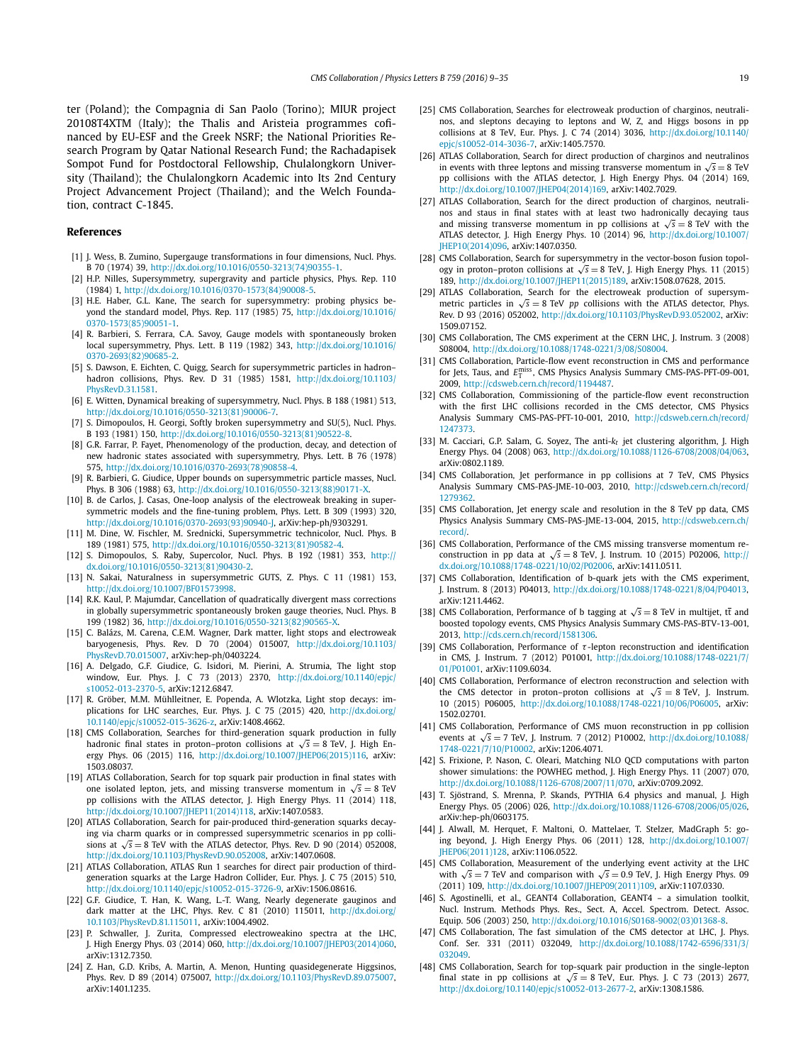<span id="page-10-0"></span>ter (Poland); the Compagnia di San Paolo (Torino); MIUR project 20108T4XTM (Italy); the Thalis and Aristeia programmes cofinanced by EU-ESF and the Greek NSRF; the National Priorities Research Program by Qatar National Research Fund; the Rachadapisek Sompot Fund for Postdoctoral Fellowship, Chulalongkorn University (Thailand); the Chulalongkorn Academic into Its 2nd Century Project Advancement Project (Thailand); and the Welch Foundation, contract C-1845.

#### **References**

- [1] J. Wess, B. Zumino, Supergauge transformations in four dimensions, Nucl. Phys. B 70 (1974) 39, [http://dx.doi.org/10.1016/0550-3213\(74\)90355-1.](http://dx.doi.org/10.1016/0550-3213(74)90355-1)
- [2] H.P. Nilles, Supersymmetry, supergravity and particle physics, Phys. Rep. 110 (1984) 1, [http://dx.doi.org/10.1016/0370-1573\(84\)90008-5.](http://dx.doi.org/10.1016/0370-1573(84)90008-5)
- [3] H.E. Haber, G.L. Kane, The search for supersymmetry: probing physics beyond the standard model, Phys. Rep. 117 (1985) 75, [http://dx.doi.org/10.1016/](http://dx.doi.org/10.1016/0370-1573(85)90051-1) [0370-1573\(85\)90051-1](http://dx.doi.org/10.1016/0370-1573(85)90051-1).
- [4] R. Barbieri, S. Ferrara, C.A. Savoy, Gauge models with spontaneously broken local supersymmetry, Phys. Lett. B 119 (1982) 343, [http://dx.doi.org/10.1016/](http://dx.doi.org/10.1016/0370-2693(82)90685-2) [0370-2693\(82\)90685-2](http://dx.doi.org/10.1016/0370-2693(82)90685-2).
- [5] S. Dawson, E. Eichten, C. Quigg, Search for supersymmetric particles in hadron– hadron collisions, Phys. Rev. D 31 (1985) 1581, [http://dx.doi.org/10.1103/](http://dx.doi.org/10.1103/PhysRevD.31.1581) [PhysRevD.31.1581.](http://dx.doi.org/10.1103/PhysRevD.31.1581)
- [6] E. Witten, Dynamical breaking of supersymmetry, Nucl. Phys. B 188 (1981) 513, [http://dx.doi.org/10.1016/0550-3213\(81\)90006-7.](http://dx.doi.org/10.1016/0550-3213(81)90006-7)
- [7] S. Dimopoulos, H. Georgi, Softly broken supersymmetry and SU(5), Nucl. Phys. B 193 (1981) 150, [http://dx.doi.org/10.1016/0550-3213\(81\)90522-8](http://dx.doi.org/10.1016/0550-3213(81)90522-8).
- [8] G.R. Farrar, P. Fayet, Phenomenology of the production, decay, and detection of new hadronic states associated with supersymmetry, Phys. Lett. B 76 (1978) 575, [http://dx.doi.org/10.1016/0370-2693\(78\)90858-4.](http://dx.doi.org/10.1016/0370-2693(78)90858-4)
- [9] R. Barbieri, G. Giudice, Upper bounds on supersymmetric particle masses, Nucl. Phys. B 306 (1988) 63, [http://dx.doi.org/10.1016/0550-3213\(88\)90171-X](http://dx.doi.org/10.1016/0550-3213(88)90171-X).
- [10] B. de Carlos, J. Casas, One-loop analysis of the electroweak breaking in supersymmetric models and the fine-tuning problem, Phys. Lett. B 309 (1993) 320, [http://dx.doi.org/10.1016/0370-2693\(93\)90940-J](http://dx.doi.org/10.1016/0370-2693(93)90940-J), arXiv:hep-ph/9303291.
- [11] M. Dine, W. Fischler, M. Srednicki, Supersymmetric technicolor, Nucl. Phys. B 189 (1981) 575, [http://dx.doi.org/10.1016/0550-3213\(81\)90582-4](http://dx.doi.org/10.1016/0550-3213(81)90582-4).
- [12] S. Dimopoulos, S. Raby, Supercolor, Nucl. Phys. B 192 (1981) 353, [http://](http://dx.doi.org/10.1016/0550-3213(81)90430-2) [dx.doi.org/10.1016/0550-3213\(81\)90430-2.](http://dx.doi.org/10.1016/0550-3213(81)90430-2)
- [13] N. Sakai, Naturalness in supersymmetric GUTS, Z. Phys. C 11 (1981) 153, [http://dx.doi.org/10.1007/BF01573998.](http://dx.doi.org/10.1007/BF01573998)
- [14] R.K. Kaul, P. Majumdar, Cancellation of quadratically divergent mass corrections in globally supersymmetric spontaneously broken gauge theories, Nucl. Phys. B 199 (1982) 36, [http://dx.doi.org/10.1016/0550-3213\(82\)90565-X.](http://dx.doi.org/10.1016/0550-3213(82)90565-X)
- [15] C. Balázs, M. Carena, C.E.M. Wagner, Dark matter, light stops and electroweak baryogenesis, Phys. Rev. D 70 (2004) 015007, [http://dx.doi.org/10.1103/](http://dx.doi.org/10.1103/PhysRevD.70.015007) [PhysRevD.70.015007](http://dx.doi.org/10.1103/PhysRevD.70.015007), arXiv:hep-ph/0403224.
- [16] A. Delgado, G.F. Giudice, G. Isidori, M. Pierini, A. Strumia, The light stop window, Eur. Phys. J. C 73 (2013) 2370, [http://dx.doi.org/10.1140/epjc/](http://dx.doi.org/10.1140/epjc/s10052-013-2370-5) [s10052-013-2370-5,](http://dx.doi.org/10.1140/epjc/s10052-013-2370-5) arXiv:1212.6847.
- [17] R. Gröber, M.M. Mühlleitner, E. Popenda, A. Wlotzka, Light stop decays: implications for LHC searches, Eur. Phys. J. C 75 (2015) 420, [http://dx.doi.org/](http://dx.doi.org/10.1140/epjc/s10052-015-3626-z) [10.1140/epjc/s10052-015-3626-z](http://dx.doi.org/10.1140/epjc/s10052-015-3626-z), arXiv:1408.4662.
- [18] CMS Collaboration, Searches for third-generation squark production in fully hadronic final states in proton–proton collisions at  $\sqrt{s} = 8$  TeV, J. High Energy Phys. 06 (2015) 116, [http://dx.doi.org/10.1007/JHEP06\(2015\)116,](http://dx.doi.org/10.1007/JHEP06(2015)116) arXiv: 1503.08037.
- [19] ATLAS Collaboration, Search for top squark pair production in final states with one isolated lepton, jets, and missing transverse momentum in  $\sqrt{s} = 8$  TeV pp collisions with the ATLAS detector, J. High Energy Phys. 11 (2014) 118, [http://dx.doi.org/10.1007/JHEP11\(2014\)118,](http://dx.doi.org/10.1007/JHEP11(2014)118) arXiv:1407.0583.
- [20] ATLAS Collaboration, Search for pair-produced third-generation squarks decaying via charm quarks or in compressed supersymmetric scenarios in pp collisions at  $\sqrt{s} = 8$  TeV with the ATLAS detector, Phys. Rev. D 90 (2014) 052008, <http://dx.doi.org/10.1103/PhysRevD.90.052008>, arXiv:1407.0608.
- [21] ATLAS Collaboration, ATLAS Run 1 searches for direct pair production of thirdgeneration squarks at the Large Hadron Collider, Eur. Phys. J. C 75 (2015) 510, <http://dx.doi.org/10.1140/epjc/s10052-015-3726-9>, arXiv:1506.08616.
- [22] G.F. Giudice, T. Han, K. Wang, L.-T. Wang, Nearly degenerate gauginos and dark matter at the LHC, Phys. Rev. C 81 (2010) 115011, [http://dx.doi.org/](http://dx.doi.org/10.1103/PhysRevD.81.115011) [10.1103/PhysRevD.81.115011,](http://dx.doi.org/10.1103/PhysRevD.81.115011) arXiv:1004.4902.
- [23] P. Schwaller, J. Zurita, Compressed electroweakino spectra at the LHC, J. High Energy Phys. 03 (2014) 060, [http://dx.doi.org/10.1007/JHEP03\(2014\)060,](http://dx.doi.org/10.1007/JHEP03(2014)060) arXiv:1312.7350.
- [24] Z. Han, G.D. Kribs, A. Martin, A. Menon, Hunting quasidegenerate Higgsinos, Phys. Rev. D 89 (2014) 075007, [http://dx.doi.org/10.1103/PhysRevD.89.075007,](http://dx.doi.org/10.1103/PhysRevD.89.075007) arXiv:1401.1235.
- [25] CMS Collaboration, Searches for electroweak production of charginos, neutralinos, and sleptons decaying to leptons and W, Z, and Higgs bosons in pp collisions at 8 TeV, Eur. Phys. J. C 74 (2014) 3036, [http://dx.doi.org/10.1140/](http://dx.doi.org/10.1140/epjc/s10052-014-3036-7) [epjc/s10052-014-3036-7](http://dx.doi.org/10.1140/epjc/s10052-014-3036-7), arXiv:1405.7570.
- [26] ATLAS Collaboration, Search for direct production of charginos and neutralinos in events with three leptons and missing transverse momentum in  $\sqrt{s} = 8$  TeV pp collisions with the ATLAS detector, J. High Energy Phys. 04 (2014) 169, [http://dx.doi.org/10.1007/JHEP04\(2014\)169,](http://dx.doi.org/10.1007/JHEP04(2014)169) arXiv:1402.7029.
- [27] ATLAS Collaboration, Search for the direct production of charginos, neutralinos and staus in final states with at least two hadronically decaying taus and missing transverse momentum in pp collisions at  $\sqrt{s} = 8$  TeV with the ATLAS detector, J. High Energy Phys. 10 (2014) 96, [http://dx.doi.org/10.1007/](http://dx.doi.org/10.1007/JHEP10(2014)096) [JHEP10\(2014\)096](http://dx.doi.org/10.1007/JHEP10(2014)096), arXiv:1407.0350.
- [28] CMS Collaboration, Search for supersymmetry in the vector-boson fusion topology in proton–proton collisions at  $\sqrt{s} = 8$  TeV, J. High Energy Phys. 11 (2015) 189, [http://dx.doi.org/10.1007/JHEP11\(2015\)189,](http://dx.doi.org/10.1007/JHEP11(2015)189) arXiv:1508.07628, 2015.
- [29] ATLAS Collaboration, Search for the electroweak production of supersymmetric particles in  $\sqrt{s} = 8$  TeV *pp* collisions with the ATLAS detector, Phys. Rev. D 93 (2016) 052002, <http://dx.doi.org/10.1103/PhysRevD.93.052002>, arXiv: 1509.07152.
- [30] CMS Collaboration, The CMS experiment at the CERN LHC, J. Instrum. 3 (2008) S08004, <http://dx.doi.org/10.1088/1748-0221/3/08/S08004>.
- [31] CMS Collaboration, Particle-flow event reconstruction in CMS and performance for Jets, Taus, and  $E_T^{\text{miss}}$ , CMS Physics Analysis Summary CMS-PAS-PFT-09-001, 2009, [http://cdsweb.cern.ch/record/1194487.](http://cdsweb.cern.ch/record/1194487)
- [32] CMS Collaboration, Commissioning of the particle-flow event reconstruction with the first LHC collisions recorded in the CMS detector, CMS Physics Analysis Summary CMS-PAS-PFT-10-001, 2010, [http://cdsweb.cern.ch/record/](http://cdsweb.cern.ch/record/1247373) [1247373](http://cdsweb.cern.ch/record/1247373).
- [33] M. Cacciari, G.P. Salam, G. Soyez, The anti-*kt* jet clustering algorithm, J. High Energy Phys. 04 (2008) 063, [http://dx.doi.org/10.1088/1126-6708/2008/04/063,](http://dx.doi.org/10.1088/1126-6708/2008/04/063) arXiv:0802.1189.
- [34] CMS Collaboration, Jet performance in pp collisions at 7 TeV, CMS Physics Analysis Summary CMS-PAS-JME-10-003, 2010, [http://cdsweb.cern.ch/record/](http://cdsweb.cern.ch/record/1279362) [1279362](http://cdsweb.cern.ch/record/1279362).
- [35] CMS Collaboration, Jet energy scale and resolution in the 8 TeV pp data, CMS Physics Analysis Summary CMS-PAS-JME-13-004, 2015, [http://cdsweb.cern.ch/](http://cdsweb.cern.ch/record/) [record/.](http://cdsweb.cern.ch/record/)
- [36] CMS Collaboration, Performance of the CMS missing transverse momentum reconstruction in pp data at  $\sqrt{s} = 8$  TeV, J. Instrum. 10 (2015) P02006, [http://](http://dx.doi.org/10.1088/1748-0221/10/02/P02006) [dx.doi.org/10.1088/1748-0221/10/02/P02006](http://dx.doi.org/10.1088/1748-0221/10/02/P02006), arXiv:1411.0511.
- [37] CMS Collaboration, Identification of b-quark jets with the CMS experiment, J. Instrum. 8 (2013) P04013, [http://dx.doi.org/10.1088/1748-0221/8/04/P04013,](http://dx.doi.org/10.1088/1748-0221/8/04/P04013) arXiv:1211.4462.
- [38] CMS Collaboration, Performance of b tagging at  $\sqrt{s} = 8$  TeV in multijet, tt and boosted topology events, CMS Physics Analysis Summary CMS-PAS-BTV-13-001, 2013, <http://cds.cern.ch/record/1581306>.
- [39] CMS Collaboration, Performance of *τ* -lepton reconstruction and identification in CMS, J. Instrum. 7 (2012) P01001, [http://dx.doi.org/10.1088/1748-0221/7/](http://dx.doi.org/10.1088/1748-0221/7/01/P01001) [01/P01001,](http://dx.doi.org/10.1088/1748-0221/7/01/P01001) arXiv:1109.6034.
- [40] CMS Collaboration, Performance of electron reconstruction and selection with the CMS detector in proton–proton collisions at  $\sqrt{s} = 8$  TeV, J. Instrum. 10 (2015) P06005, [http://dx.doi.org/10.1088/1748-0221/10/06/P06005,](http://dx.doi.org/10.1088/1748-0221/10/06/P06005) arXiv: 1502.02701.
- [41] CMS Collaboration, Performance of CMS muon reconstruction in pp collision events at <sup>√</sup>*<sup>s</sup>* <sup>=</sup> 7 TeV, J. Instrum. <sup>7</sup> (2012) P10002, [http://dx.doi.org/10.1088/](http://dx.doi.org/10.1088/1748-0221/7/10/P10002) [1748-0221/7/10/P10002](http://dx.doi.org/10.1088/1748-0221/7/10/P10002), arXiv:1206.4071.
- [42] S. Frixione, P. Nason, C. Oleari, Matching NLO QCD computations with parton shower simulations: the POWHEG method, J. High Energy Phys. 11 (2007) 070, [http://dx.doi.org/10.1088/1126-6708/2007/11/070,](http://dx.doi.org/10.1088/1126-6708/2007/11/070) arXiv:0709.2092.
- [43] T. Sjöstrand, S. Mrenna, P. Skands, PYTHIA 6.4 physics and manual, J. High Energy Phys. 05 (2006) 026, [http://dx.doi.org/10.1088/1126-6708/2006/05/026,](http://dx.doi.org/10.1088/1126-6708/2006/05/026) arXiv:hep-ph/0603175.
- [44] J. Alwall, M. Herquet, F. Maltoni, O. Mattelaer, T. Stelzer, MadGraph 5: going beyond, J. High Energy Phys. 06 (2011) 128, [http://dx.doi.org/10.1007/](http://dx.doi.org/10.1007/JHEP06(2011)128) [JHEP06\(2011\)128](http://dx.doi.org/10.1007/JHEP06(2011)128), arXiv:1106.0522.
- [45] CMS Collaboration, Measurement of the underlying event activity at the LHC with  $\sqrt{s}$  = 7 TeV and comparison with  $\sqrt{s}$  = 0.9 TeV, J. High Energy Phys. 09 (2011) 109, [http://dx.doi.org/10.1007/JHEP09\(2011\)109,](http://dx.doi.org/10.1007/JHEP09(2011)109) arXiv:1107.0330.
- [46] S. Agostinelli, et al., GEANT4 Collaboration, GEANT4 a simulation toolkit, Nucl. Instrum. Methods Phys. Res., Sect. A, Accel. Spectrom. Detect. Assoc. Equip. 506 (2003) 250, [http://dx.doi.org/10.1016/S0168-9002\(03\)01368-8.](http://dx.doi.org/10.1016/S0168-9002(03)01368-8)
- [47] CMS Collaboration, The fast simulation of the CMS detector at LHC, J. Phys. Conf. Ser. 331 (2011) 032049, [http://dx.doi.org/10.1088/1742-6596/331/3/](http://dx.doi.org/10.1088/1742-6596/331/3/032049) [032049.](http://dx.doi.org/10.1088/1742-6596/331/3/032049)
- [48] CMS Collaboration, Search for top-squark pair production in the single-lepton final state in pp collisions at  $\sqrt{s} = 8$  TeV, Eur. Phys. J. C 73 (2013) 2677, <http://dx.doi.org/10.1140/epjc/s10052-013-2677-2>, arXiv:1308.1586.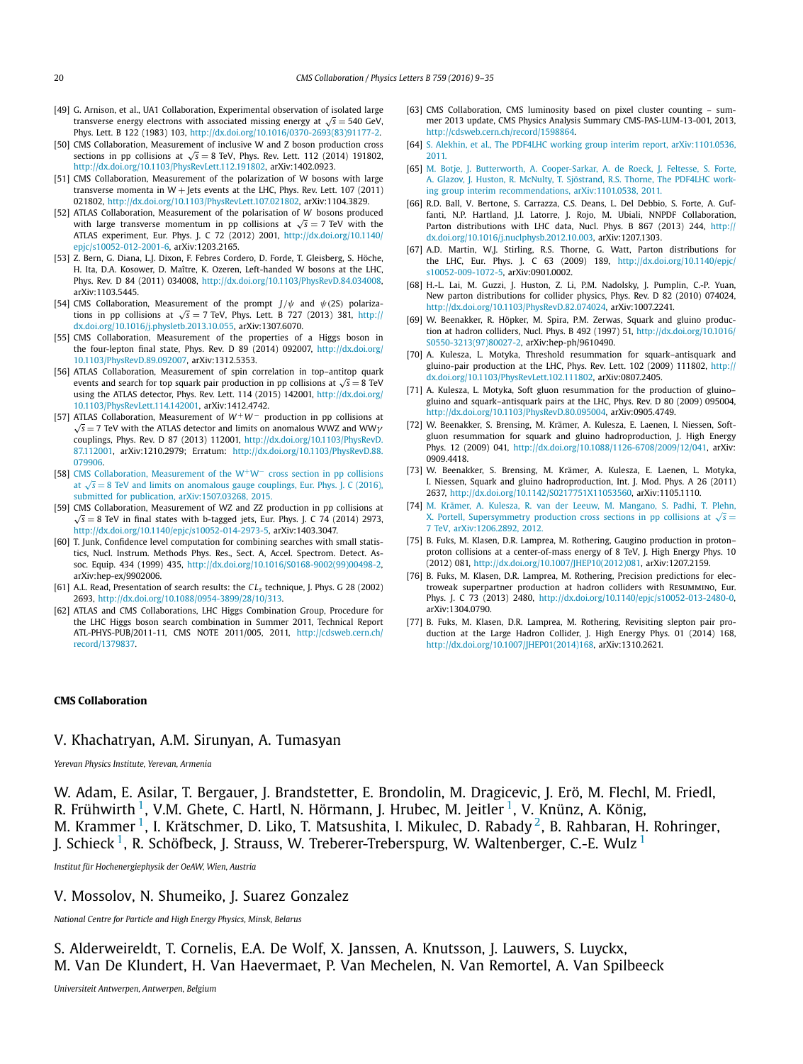- <span id="page-11-0"></span>[49] G. Arnison, et al., UA1 Collaboration, Experimental observation of isolated large transverse energy electrons with associated missing energy at  $\sqrt{s} = 540$  GeV, Phys. Lett. B 122 (1983) 103, [http://dx.doi.org/10.1016/0370-2693\(83\)91177-2.](http://dx.doi.org/10.1016/0370-2693(83)91177-2)
- [50] CMS Collaboration, Measurement of inclusive W and Z boson production cross sections in pp collisions at  $\sqrt{s} = 8$  TeV, Phys. Rev. Lett. 112 (2014) 191802, [http://dx.doi.org/10.1103/PhysRevLett.112.191802,](http://dx.doi.org/10.1103/PhysRevLett.112.191802) arXiv:1402.0923.
- [51] CMS Collaboration, Measurement of the polarization of W bosons with large transverse momenta in  $W$  + Jets events at the LHC, Phys. Rev. Lett. 107 (2011) 021802, [http://dx.doi.org/10.1103/PhysRevLett.107.021802,](http://dx.doi.org/10.1103/PhysRevLett.107.021802) arXiv:1104.3829.
- [52] ATLAS Collaboration, Measurement of the polarisation of *W* bosons produced with large transverse momentum in pp collisions at  $\sqrt{s} = 7$  TeV with the ATLAS experiment, Eur. Phys. J. C 72 (2012) 2001, [http://dx.doi.org/10.1140/](http://dx.doi.org/10.1140/epjc/s10052-012-2001-6) [epjc/s10052-012-2001-6](http://dx.doi.org/10.1140/epjc/s10052-012-2001-6), arXiv:1203.2165.
- [53] Z. Bern, G. Diana, L.J. Dixon, F. Febres Cordero, D. Forde, T. Gleisberg, S. Höche, H. Ita, D.A. Kosower, D. Maître, K. Ozeren, Left-handed W bosons at the LHC, Phys. Rev. D 84 (2011) 034008, <http://dx.doi.org/10.1103/PhysRevD.84.034008>, arXiv:1103.5445.
- [54] CMS Collaboration, Measurement of the prompt *J/ψ* and *ψ(*2S*)* polarizations in pp collisions at  $\sqrt{s} = 7$  TeV, Phys. Lett. B 727 (2013) 381, [http://](http://dx.doi.org/10.1016/j.physletb.2013.10.055) [dx.doi.org/10.1016/j.physletb.2013.10.055,](http://dx.doi.org/10.1016/j.physletb.2013.10.055) arXiv:1307.6070.
- [55] CMS Collaboration, Measurement of the properties of a Higgs boson in the four-lepton final state, Phys. Rev. D 89 (2014) 092007, [http://dx.doi.org/](http://dx.doi.org/10.1103/PhysRevD.89.092007) [10.1103/PhysRevD.89.092007,](http://dx.doi.org/10.1103/PhysRevD.89.092007) arXiv:1312.5353.
- [56] ATLAS Collaboration, Measurement of spin correlation in top–antitop quark events and search for top squark pair production in pp collisions at  $\sqrt{s} = 8$  TeV using the ATLAS detector, Phys. Rev. Lett. 114 (2015) 142001, [http://dx.doi.org/](http://dx.doi.org/10.1103/PhysRevLett.114.142001) [10.1103/PhysRevLett.114.142001](http://dx.doi.org/10.1103/PhysRevLett.114.142001), arXiv:1412.4742.
- [57] ATLAS Collaboration, Measurement of *<sup>W</sup>* <sup>+</sup>*<sup>W</sup>* <sup>−</sup> production in pp collisions at <sup>√</sup>*<sup>s</sup>* <sup>=</sup> 7 TeV with the ATLAS detector and limits on anomalous WWZ and WW*<sup>γ</sup>* couplings, Phys. Rev. D 87 (2013) 112001, [http://dx.doi.org/10.1103/PhysRevD.](http://dx.doi.org/10.1103/PhysRevD.87.112001) [87.112001](http://dx.doi.org/10.1103/PhysRevD.87.112001), arXiv:1210.2979; Erratum: [http://dx.doi.org/10.1103/PhysRevD.88.](http://dx.doi.org/10.1103/PhysRevD.88.079906) [079906.](http://dx.doi.org/10.1103/PhysRevD.88.079906)
- [58] CMS [Collaboration,](http://refhub.elsevier.com/S0370-2693(16)30180-0/bib4B6861636861747279616E3A32303135736761s1) Measurement of the W<sup>+</sup>W<sup>−</sup> cross section in pp collisions at  $\sqrt{s}$  = 8 TeV and limits on [anomalous](http://refhub.elsevier.com/S0370-2693(16)30180-0/bib4B6861636861747279616E3A32303135736761s1) gauge couplings, Eur. Phys. J. C (2016), submitted for publication, [arXiv:1507.03268,](http://refhub.elsevier.com/S0370-2693(16)30180-0/bib4B6861636861747279616E3A32303135736761s1) 2015.
- [59] CMS Collaboration, Measurement of WZ and ZZ production in pp collisions at <sup>√</sup>*<sup>s</sup>* <sup>=</sup> 8 TeV in final states with b-tagged jets, Eur. Phys. J. <sup>C</sup> <sup>74</sup> (2014) 2973, <http://dx.doi.org/10.1140/epjc/s10052-014-2973-5>, arXiv:1403.3047.
- [60] T. Junk, Confidence level computation for combining searches with small statistics, Nucl. Instrum. Methods Phys. Res., Sect. A, Accel. Spectrom. Detect. Assoc. Equip. 434 (1999) 435, [http://dx.doi.org/10.1016/S0168-9002\(99\)00498-2](http://dx.doi.org/10.1016/S0168-9002(99)00498-2), arXiv:hep-ex/9902006.
- [61] A.L. Read, Presentation of search results: the  $CL<sub>s</sub>$  technique, J. Phys. G 28 (2002) 2693, <http://dx.doi.org/10.1088/0954-3899/28/10/313>.
- [62] ATLAS and CMS Collaborations, LHC Higgs Combination Group, Procedure for the LHC Higgs boson search combination in Summer 2011, Technical Report ATL-PHYS-PUB/2011-11, CMS NOTE 2011/005, 2011, [http://cdsweb.cern.ch/](http://cdsweb.cern.ch/record/1379837) [record/1379837](http://cdsweb.cern.ch/record/1379837).
- [63] CMS Collaboration, CMS luminosity based on pixel cluster counting summer 2013 update, CMS Physics Analysis Summary CMS-PAS-LUM-13-001, 2013, <http://cdsweb.cern.ch/record/1598864>.
- [64] S. Alekhin, et al., The PDF4LHC working group interim report, [arXiv:1101.0536,](http://refhub.elsevier.com/S0370-2693(16)30180-0/bib416C656B68696E3A32303131736Bs1) [2011.](http://refhub.elsevier.com/S0370-2693(16)30180-0/bib416C656B68696E3A32303131736Bs1)
- [65] M. Botje, J. Butterworth, A. [Cooper-Sarkar,](http://refhub.elsevier.com/S0370-2693(16)30180-0/bib426F746A653A32303131736Es1) A. de Roeck, J. Feltesse, S. Forte, [A. Glazov,](http://refhub.elsevier.com/S0370-2693(16)30180-0/bib426F746A653A32303131736Es1) J. Huston, R. McNulty, T. Sjöstrand, R.S. Thorne, The PDF4LHC working group interim [recommendations,](http://refhub.elsevier.com/S0370-2693(16)30180-0/bib426F746A653A32303131736Es1) arXiv:1101.0538, 2011.
- [66] R.D. Ball, V. Bertone, S. Carrazza, C.S. Deans, L. Del Debbio, S. Forte, A. Guffanti, N.P. Hartland, J.I. Latorre, J. Rojo, M. Ubiali, NNPDF Collaboration, Parton distributions with LHC data, Nucl. Phys. B 867 (2013) 244, [http://](http://dx.doi.org/10.1016/j.nuclphysb.2012.10.003) [dx.doi.org/10.1016/j.nuclphysb.2012.10.003,](http://dx.doi.org/10.1016/j.nuclphysb.2012.10.003) arXiv:1207.1303.
- [67] A.D. Martin, W.J. Stirling, R.S. Thorne, G. Watt, Parton distributions for the LHC, Eur. Phys. J. C 63 (2009) 189, [http://dx.doi.org/10.1140/epjc/](http://dx.doi.org/10.1140/epjc/s10052-009-1072-5) [s10052-009-1072-5](http://dx.doi.org/10.1140/epjc/s10052-009-1072-5), arXiv:0901.0002.
- [68] H.-L. Lai, M. Guzzi, J. Huston, Z. Li, P.M. Nadolsky, J. Pumplin, C.-P. Yuan, New parton distributions for collider physics, Phys. Rev. D 82 (2010) 074024, <http://dx.doi.org/10.1103/PhysRevD.82.074024>, arXiv:1007.2241.
- [69] W. Beenakker, R. Höpker, M. Spira, P.M. Zerwas, Squark and gluino production at hadron colliders, Nucl. Phys. B 492 (1997) 51, [http://dx.doi.org/10.1016/](http://dx.doi.org/10.1016/S0550-3213(97)80027-2) [S0550-3213\(97\)80027-2,](http://dx.doi.org/10.1016/S0550-3213(97)80027-2) arXiv:hep-ph/9610490.
- [70] A. Kulesza, L. Motyka, Threshold resummation for squark–antisquark and gluino-pair production at the LHC, Phys. Rev. Lett. 102 (2009) 111802, [http://](http://dx.doi.org/10.1103/PhysRevLett.102.111802) [dx.doi.org/10.1103/PhysRevLett.102.111802,](http://dx.doi.org/10.1103/PhysRevLett.102.111802) arXiv:0807.2405.
- [71] A. Kulesza, L. Motyka, Soft gluon resummation for the production of gluinogluino and squark–antisquark pairs at the LHC, Phys. Rev. D 80 (2009) 095004, <http://dx.doi.org/10.1103/PhysRevD.80.095004>, arXiv:0905.4749.
- [72] W. Beenakker, S. Brensing, M. Krämer, A. Kulesza, E. Laenen, I. Niessen, Softgluon resummation for squark and gluino hadroproduction, J. High Energy Phys. 12 (2009) 041, <http://dx.doi.org/10.1088/1126-6708/2009/12/041>, arXiv: 0909.4418.
- [73] W. Beenakker, S. Brensing, M. Krämer, A. Kulesza, E. Laenen, L. Motyka, I. Niessen, Squark and gluino hadroproduction, Int. J. Mod. Phys. A 26 (2011) 2637, <http://dx.doi.org/10.1142/S0217751X11053560>, arXiv:1105.1110.
- [74] M. Krämer, A. Kulesza, R. van der Leeuw, M. [Mangano,](http://refhub.elsevier.com/S0370-2693(16)30180-0/bib4B72616D65723A323031326278s1) S. Padhi, T. Plehn, X. Portell, [Supersymmetry](http://refhub.elsevier.com/S0370-2693(16)30180-0/bib4B72616D65723A323031326278s1) production cross sections in pp collisions at  $\sqrt{s}$  = 7 TeV, [arXiv:1206.2892,](http://refhub.elsevier.com/S0370-2693(16)30180-0/bib4B72616D65723A323031326278s1) 2012.
- [75] B. Fuks, M. Klasen, D.R. Lamprea, M. Rothering, Gaugino production in proton– proton collisions at a center-of-mass energy of 8 TeV, J. High Energy Phys. 10 (2012) 081, [http://dx.doi.org/10.1007/JHEP10\(2012\)081](http://dx.doi.org/10.1007/JHEP10(2012)081), arXiv:1207.2159.
- [76] B. Fuks, M. Klasen, D.R. Lamprea, M. Rothering, Precision predictions for electroweak superpartner production at hadron colliders with Resummino, Eur. Phys. J. C 73 (2013) 2480, <http://dx.doi.org/10.1140/epjc/s10052-013-2480-0>, arXiv:1304.0790.
- [77] B. Fuks, M. Klasen, D.R. Lamprea, M. Rothering, Revisiting slepton pair production at the Large Hadron Collider, J. High Energy Phys. 01 (2014) 168, [http://dx.doi.org/10.1007/JHEP01\(2014\)168](http://dx.doi.org/10.1007/JHEP01(2014)168), arXiv:1310.2621.

#### **CMS Collaboration**

#### V. Khachatryan, A.M. Sirunyan, A. Tumasyan

*Yerevan Physics Institute, Yerevan, Armenia*

W. Adam, E. Asilar, T. Bergauer, J. Brandstetter, E. Brondolin, M. Dragicevic, J. Erö, M. Flechl, M. Friedl, R. Frühwirth<sup>1</sup>, V.M. Ghete, C. Hartl, N. Hörmann, J. Hrubec, M. Jeitler<sup>1</sup>, V. Knünz, A. König, M. Krammer <sup>1</sup>, I. Krätschmer, D. Liko, T. Matsushita, I. Mikulec, D. Rabady <sup>2</sup>, B. Rahbaran, H. Rohringer, J. Schieck <sup>[1](#page-25-0)</sup>, R. Schöfbeck, J. Strauss, W. Treberer-Treberspurg, W. Waltenberger, C.-E. Wulz  $^1$ 

*Institut für Hochenergiephysik der OeAW, Wien, Austria*

#### V. Mossolov, N. Shumeiko, J. Suarez Gonzalez

*National Centre for Particle and High Energy Physics, Minsk, Belarus*

S. Alderweireldt, T. Cornelis, E.A. De Wolf, X. Janssen, A. Knutsson, J. Lauwers, S. Luyckx, M. Van De Klundert, H. Van Haevermaet, P. Van Mechelen, N. Van Remortel, A. Van Spilbeeck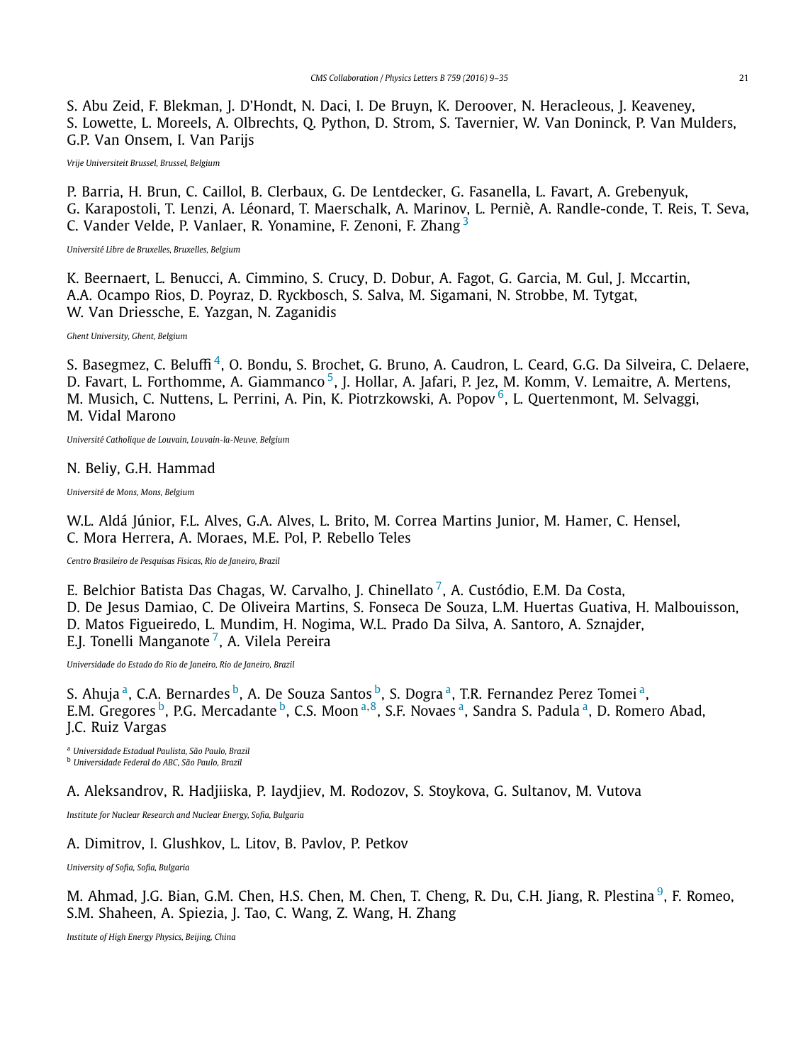S. Abu Zeid, F. Blekman, J. D'Hondt, N. Daci, I. De Bruyn, K. Deroover, N. Heracleous, J. Keaveney, S. Lowette, L. Moreels, A. Olbrechts, Q. Python, D. Strom, S. Tavernier, W. Van Doninck, P. Van Mulders, G.P. Van Onsem, I. Van Parijs

*Vrije Universiteit Brussel, Brussel, Belgium*

P. Barria, H. Brun, C. Caillol, B. Clerbaux, G. De Lentdecker, G. Fasanella, L. Favart, A. Grebenyuk, G. Karapostoli, T. Lenzi, A. Léonard, T. Maerschalk, A. Marinov, L. Perniè, A. Randle-conde, T. Reis, T. Seva, C. Vander Velde, P. Vanlaer, R. Yonamine, F. Zenoni, F. Zhang [3](#page-26-0)

*Université Libre de Bruxelles, Bruxelles, Belgium*

K. Beernaert, L. Benucci, A. Cimmino, S. Crucy, D. Dobur, A. Fagot, G. Garcia, M. Gul, J. Mccartin, A.A. Ocampo Rios, D. Poyraz, D. Ryckbosch, S. Salva, M. Sigamani, N. Strobbe, M. Tytgat, W. Van Driessche, E. Yazgan, N. Zaganidis

*Ghent University, Ghent, Belgium*

S. Basegmez, C. Beluffi<sup>[4](#page-26-0)</sup>, O. Bondu, S. Brochet, G. Bruno, A. Caudron, L. Ceard, G.G. Da Silveira, C. Delaere, D. Favart, L. Forthomme, A. Giammanco<sup>5</sup>, J. Hollar, A. Jafari, P. Jez, M. Komm, V. Lemaitre, A. Mertens, M. Musich, C. Nuttens, L. Perrini, A. Pin, K. Piotrzkowski, A. Popov [6,](#page-26-0) L. Quertenmont, M. Selvaggi, M. Vidal Marono

*Université Catholique de Louvain, Louvain-la-Neuve, Belgium*

### N. Beliy, G.H. Hammad

*Université de Mons, Mons, Belgium*

W.L. Aldá Júnior, F.L. Alves, G.A. Alves, L. Brito, M. Correa Martins Junior, M. Hamer, C. Hensel, C. Mora Herrera, A. Moraes, M.E. Pol, P. Rebello Teles

*Centro Brasileiro de Pesquisas Fisicas, Rio de Janeiro, Brazil*

E. Belchior Batista Das Chagas, W. Carvalho, J. Chinellato<sup>[7](#page-26-0)</sup>, A. Custódio, E.M. Da Costa, D. De Jesus Damiao, C. De Oliveira Martins, S. Fonseca De Souza, L.M. Huertas Guativa, H. Malbouisson, D. Matos Figueiredo, L. Mundim, H. Nogima, W.L. Prado Da Silva, A. Santoro, A. Sznajder, E.J. Tonelli Manganote<sup>7</sup>, A. Vilela Pereira

*Universidade do Estado do Rio de Janeiro, Rio de Janeiro, Brazil*

S. Ahuja<sup>a</sup>, C.A. Bernardes <sup>b</sup>, A. De Souza Santos <sup>b</sup>, S. Dogra<sup>a</sup>, T.R. Fernandez Perez Tomei<sup>a</sup>, E.M. Gregores<sup>b</sup>, P.G. Mercadante<sup>b</sup>, C.S. Moon<sup>a,8</sup>, S.F. Novaes<sup>a</sup>, Sandra S. Padula<sup>a</sup>, D. Romero Abad, J.C. Ruiz Vargas

<sup>a</sup> *Universidade Estadual Paulista, São Paulo, Brazil*

<sup>b</sup> *Universidade Federal do ABC, São Paulo, Brazil*

A. Aleksandrov, R. Hadjiiska, P. Iaydjiev, M. Rodozov, S. Stoykova, G. Sultanov, M. Vutova

*Institute for Nuclear Research and Nuclear Energy, Sofia, Bulgaria*

A. Dimitrov, I. Glushkov, L. Litov, B. Pavlov, P. Petkov

*University of Sofia, Sofia, Bulgaria*

M. Ahmad, J.G. Bian, G.M. Chen, H.S. Chen, M. Chen, T. Cheng, R. Du, C.H. Jiang, R. Plestina<sup>9</sup>, F. Romeo, S.M. Shaheen, A. Spiezia, J. Tao, C. Wang, Z. Wang, H. Zhang

*Institute of High Energy Physics, Beijing, China*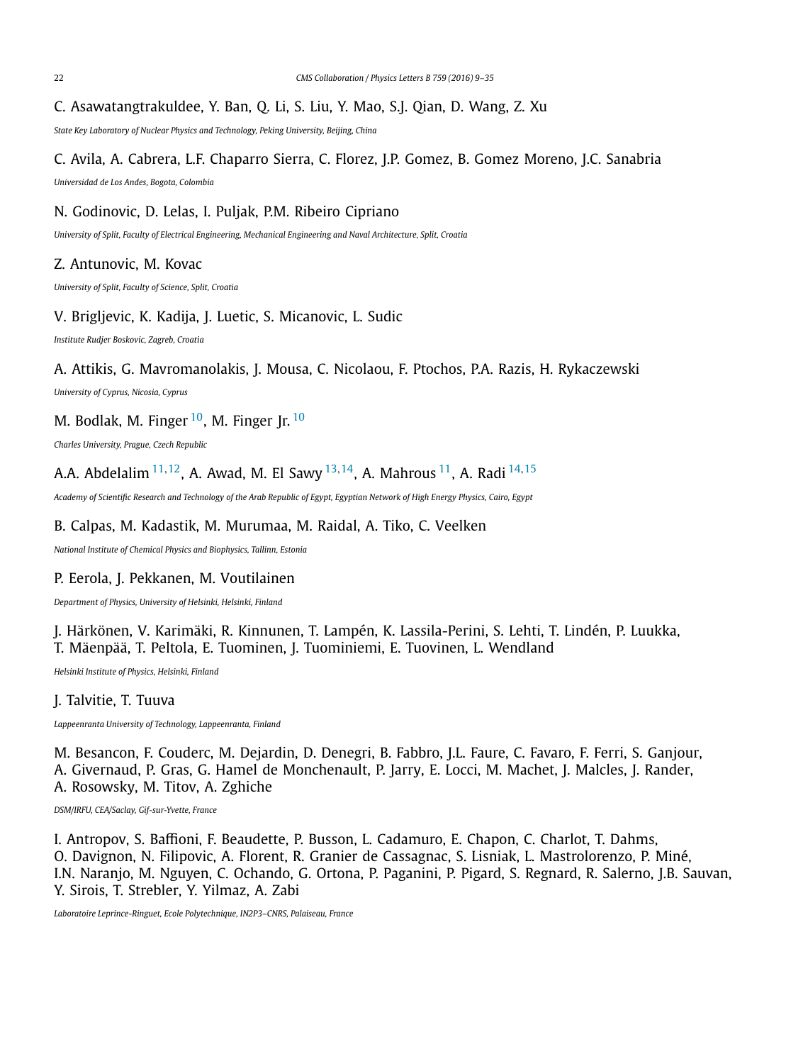### C. Asawatangtrakuldee, Y. Ban, Q. Li, S. Liu, Y. Mao, S.J. Qian, D. Wang, Z. Xu

*State Key Laboratory of Nuclear Physics and Technology, Peking University, Beijing, China*

### C. Avila, A. Cabrera, L.F. Chaparro Sierra, C. Florez, J.P. Gomez, B. Gomez Moreno, J.C. Sanabria

*Universidad de Los Andes, Bogota, Colombia*

#### N. Godinovic, D. Lelas, I. Puljak, P.M. Ribeiro Cipriano

*University of Split, Faculty of Electrical Engineering, Mechanical Engineering and Naval Architecture, Split, Croatia*

#### Z. Antunovic, M. Kovac

*University of Split, Faculty of Science, Split, Croatia*

#### V. Brigljevic, K. Kadija, J. Luetic, S. Micanovic, L. Sudic

*Institute Rudjer Boskovic, Zagreb, Croatia*

#### A. Attikis, G. Mavromanolakis, J. Mousa, C. Nicolaou, F. Ptochos, P.A. Razis, H. Rykaczewski

*University of Cyprus, Nicosia, Cyprus*

### M. Bodlak, M. Finger  $10$ , M. Finger Jr.  $10$

*Charles University, Prague, Czech Republic*

### A.A. Abdelalim [11](#page-26-0)*,*[12,](#page-26-0) A. Awad, M. El Sawy [13](#page-26-0)*,*[14,](#page-26-0) A. Mahrous [11,](#page-26-0) A. Radi [14](#page-26-0)*,*[15](#page-26-0)

Academy of Scientific Research and Technology of the Arab Republic of Egypt, Egyptian Network of High Energy Physics, Cairo, Egypt

#### B. Calpas, M. Kadastik, M. Murumaa, M. Raidal, A. Tiko, C. Veelken

*National Institute of Chemical Physics and Biophysics, Tallinn, Estonia*

#### P. Eerola, J. Pekkanen, M. Voutilainen

*Department of Physics, University of Helsinki, Helsinki, Finland*

### J. Härkönen, V. Karimäki, R. Kinnunen, T. Lampén, K. Lassila-Perini, S. Lehti, T. Lindén, P. Luukka, T. Mäenpää, T. Peltola, E. Tuominen, J. Tuominiemi, E. Tuovinen, L. Wendland

*Helsinki Institute of Physics, Helsinki, Finland*

#### J. Talvitie, T. Tuuva

*Lappeenranta University of Technology, Lappeenranta, Finland*

M. Besancon, F. Couderc, M. Dejardin, D. Denegri, B. Fabbro, J.L. Faure, C. Favaro, F. Ferri, S. Ganjour, A. Givernaud, P. Gras, G. Hamel de Monchenault, P. Jarry, E. Locci, M. Machet, J. Malcles, J. Rander, A. Rosowsky, M. Titov, A. Zghiche

*DSM/IRFU, CEA/Saclay, Gif-sur-Yvette, France*

I. Antropov, S. Baffioni, F. Beaudette, P. Busson, L. Cadamuro, E. Chapon, C. Charlot, T. Dahms, O. Davignon, N. Filipovic, A. Florent, R. Granier de Cassagnac, S. Lisniak, L. Mastrolorenzo, P. Miné, I.N. Naranjo, M. Nguyen, C. Ochando, G. Ortona, P. Paganini, P. Pigard, S. Regnard, R. Salerno, J.B. Sauvan, Y. Sirois, T. Strebler, Y. Yilmaz, A. Zabi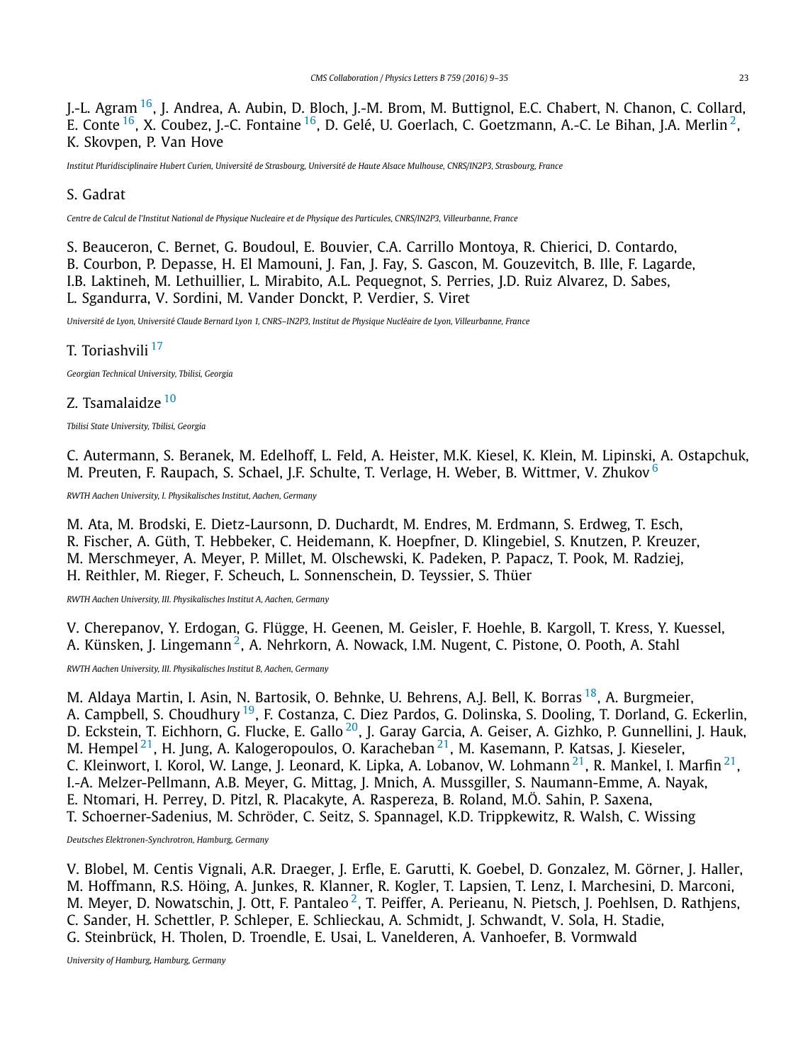J.-L. Agram <sup>16</sup>, J. Andrea, A. Aubin, D. Bloch, J.-M. Brom, M. Buttignol, E.C. Chabert, N. Chanon, C. Collard, E. Conte [16,](#page-26-0) X. Coubez, J.-C. Fontaine [16](#page-26-0), D. Gelé, U. Goerlach, C. Goetzmann, A.-C. Le Bihan, J.A. Merlin [2,](#page-26-0) K. Skovpen, P. Van Hove

Institut Pluridisciplinaire Hubert Curien. Université de Strasbourg. Université de Haute Alsace Mulhouse. CNRS/IN2P3. Strasbourg. France

#### S. Gadrat

Centre de Calcul de l'Institut National de Physique Nucleaire et de Physique des Particules, CNRS/IN2P3, Villeurbanne, France

S. Beauceron, C. Bernet, G. Boudoul, E. Bouvier, C.A. Carrillo Montoya, R. Chierici, D. Contardo, B. Courbon, P. Depasse, H. El Mamouni, J. Fan, J. Fay, S. Gascon, M. Gouzevitch, B. Ille, F. Lagarde, I.B. Laktineh, M. Lethuillier, L. Mirabito, A.L. Pequegnot, S. Perries, J.D. Ruiz Alvarez, D. Sabes, L. Sgandurra, V. Sordini, M. Vander Donckt, P. Verdier, S. Viret

Université de Lyon, Université Claude Bernard Lyon 1, CNRS-IN2P3, Institut de Physique Nucléaire de Lyon, Villeurbanne, France

### T. Toriashvili [17](#page-26-0)

*Georgian Technical University, Tbilisi, Georgia*

### Z. Tsamalaidze [10](#page-26-0)

*Tbilisi State University, Tbilisi, Georgia*

C. Autermann, S. Beranek, M. Edelhoff, L. Feld, A. Heister, M.K. Kiesel, K. Klein, M. Lipinski, A. Ostapchuk, M. Preuten, F. Raupach, S. Schael, J.F. Schulte, T. Verlage, H. Weber, B. Wittmer, V. Zhukov <sup>[6](#page-26-0)</sup>

*RWTH Aachen University, I. Physikalisches Institut, Aachen, Germany*

M. Ata, M. Brodski, E. Dietz-Laursonn, D. Duchardt, M. Endres, M. Erdmann, S. Erdweg, T. Esch, R. Fischer, A. Güth, T. Hebbeker, C. Heidemann, K. Hoepfner, D. Klingebiel, S. Knutzen, P. Kreuzer, M. Merschmeyer, A. Meyer, P. Millet, M. Olschewski, K. Padeken, P. Papacz, T. Pook, M. Radziej, H. Reithler, M. Rieger, F. Scheuch, L. Sonnenschein, D. Teyssier, S. Thüer

*RWTH Aachen University, III. Physikalisches Institut A, Aachen, Germany*

V. Cherepanov, Y. Erdogan, G. Flügge, H. Geenen, M. Geisler, F. Hoehle, B. Kargoll, T. Kress, Y. Kuessel, A. Künsken, J. Lingemann<sup>2</sup>, A. Nehrkorn, A. Nowack, I.M. Nugent, C. Pistone, O. Pooth, A. Stahl

*RWTH Aachen University, III. Physikalisches Institut B, Aachen, Germany*

M. Aldaya Martin, I. Asin, N. Bartosik, O. Behnke, U. Behrens, A.J. Bell, K. Borras <sup>[18](#page-26-0)</sup>, A. Burgmeier, A. Campbell, S. Choudhury <sup>19</sup>, F. Costanza, C. Diez Pardos, G. Dolinska, S. Dooling, T. Dorland, G. Eckerlin, D. Eckstein, T. Eichhorn, G. Flucke, E. Gallo <sup>[20](#page-26-0)</sup>, J. Garay Garcia, A. Geiser, A. Gizhko, P. Gunnellini, J. Hauk, M. Hempel $^{\mathrm{21}}$ , H. Jung, A. Kalogeropoulos, O. Karacheban $^{\mathrm{21}}$ , M. Kasemann, P. Katsas, J. Kieseler, C. Kleinwort, I. Korol, W. Lange, J. Leonard, K. Lipka, A. Lobanov, W. Lohmann<sup>21</sup>, R. Mankel, I. Marfin<sup>21</sup>, I.-A. Melzer-Pellmann, A.B. Meyer, G. Mittag, J. Mnich, A. Mussgiller, S. Naumann-Emme, A. Nayak, E. Ntomari, H. Perrey, D. Pitzl, R. Placakyte, A. Raspereza, B. Roland, M.Ö. Sahin, P. Saxena, T. Schoerner-Sadenius, M. Schröder, C. Seitz, S. Spannagel, K.D. Trippkewitz, R. Walsh, C. Wissing

*Deutsches Elektronen-Synchrotron, Hamburg, Germany*

V. Blobel, M. Centis Vignali, A.R. Draeger, J. Erfle, E. Garutti, K. Goebel, D. Gonzalez, M. Görner, J. Haller, M. Hoffmann, R.S. Höing, A. Junkes, R. Klanner, R. Kogler, T. Lapsien, T. Lenz, I. Marchesini, D. Marconi, M. Meyer, D. Nowatschin, J. Ott, F. Pantaleo<sup>2</sup>, T. Peiffer, A. Perieanu, N. Pietsch, J. Poehlsen, D. Rathjens, C. Sander, H. Schettler, P. Schleper, E. Schlieckau, A. Schmidt, J. Schwandt, V. Sola, H. Stadie, G. Steinbrück, H. Tholen, D. Troendle, E. Usai, L. Vanelderen, A. Vanhoefer, B. Vormwald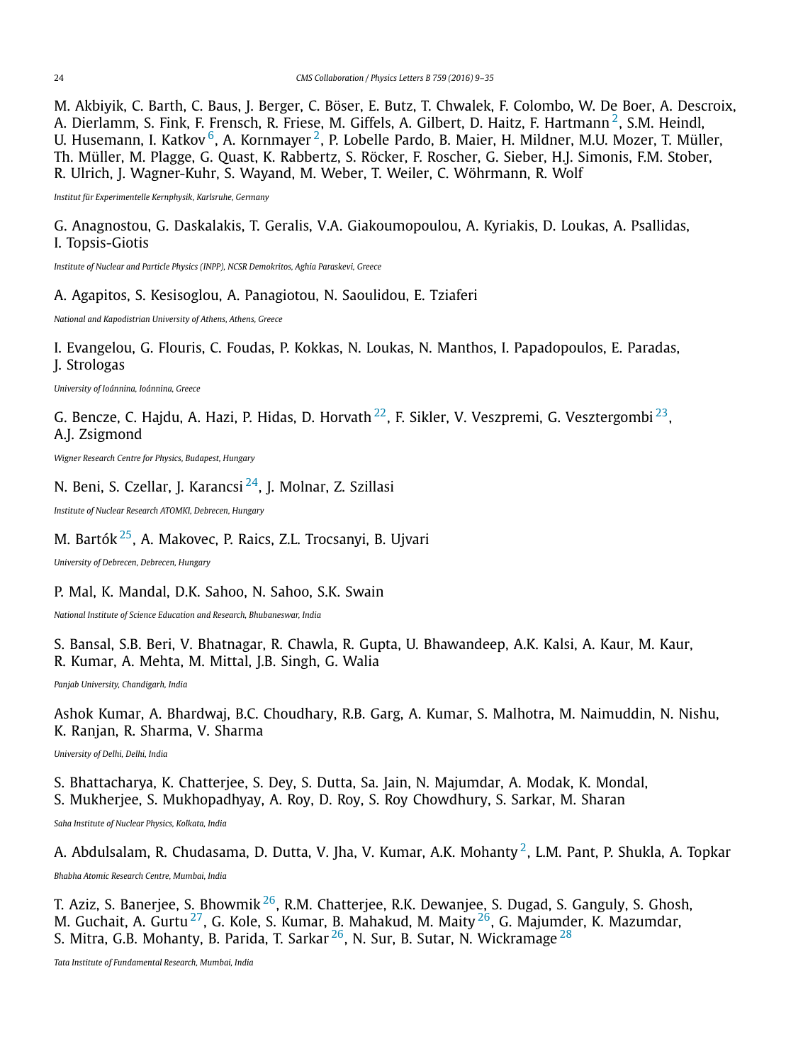M. Akbiyik, C. Barth, C. Baus, J. Berger, C. Böser, E. Butz, T. Chwalek, F. Colombo, W. De Boer, A. Descroix, A. Dierlamm, S. Fink, F. Frensch, R. Friese, M. Giffels, A. Gilbert, D. Haitz, F. Hartmann<sup>2</sup>, S.M. Heindl. U. Husemann, I. Katkov<sup>6</sup>, A. Kornmayer<sup>2</sup>, P. Lobelle Pardo, B. Maier, H. Mildner, M.U. Mozer, T. Müller, Th. Müller, M. Plagge, G. Quast, K. Rabbertz, S. Röcker, F. Roscher, G. Sieber, H.J. Simonis, F.M. Stober, R. Ulrich, J. Wagner-Kuhr, S. Wayand, M. Weber, T. Weiler, C. Wöhrmann, R. Wolf

*Institut für Experimentelle Kernphysik, Karlsruhe, Germany*

G. Anagnostou, G. Daskalakis, T. Geralis, V.A. Giakoumopoulou, A. Kyriakis, D. Loukas, A. Psallidas, I. Topsis-Giotis

*Institute of Nuclear and Particle Physics (INPP), NCSR Demokritos, Aghia Paraskevi, Greece*

#### A. Agapitos, S. Kesisoglou, A. Panagiotou, N. Saoulidou, E. Tziaferi

*National and Kapodistrian University of Athens, Athens, Greece*

### I. Evangelou, G. Flouris, C. Foudas, P. Kokkas, N. Loukas, N. Manthos, I. Papadopoulos, E. Paradas, J. Strologas

*University of Ioánnina, Ioánnina, Greece*

G. Bencze, C. Hajdu, A. Hazi, P. Hidas, D. Horvath [22,](#page-26-0) F. Sikler, V. Veszpremi, G. Vesztergombi [23,](#page-26-0) A.J. Zsigmond

*Wigner Research Centre for Physics, Budapest, Hungary*

### N. Beni, S. Czellar, J. Karancsi [24,](#page-26-0) J. Molnar, Z. Szillasi

*Institute of Nuclear Research ATOMKI, Debrecen, Hungary*

### M. Bartók [25,](#page-26-0) A. Makovec, P. Raics, Z.L. Trocsanyi, B. Ujvari

*University of Debrecen, Debrecen, Hungary*

#### P. Mal, K. Mandal, D.K. Sahoo, N. Sahoo, S.K. Swain

*National Institute of Science Education and Research, Bhubaneswar, India*

S. Bansal, S.B. Beri, V. Bhatnagar, R. Chawla, R. Gupta, U. Bhawandeep, A.K. Kalsi, A. Kaur, M. Kaur, R. Kumar, A. Mehta, M. Mittal, J.B. Singh, G. Walia

*Panjab University, Chandigarh, India*

Ashok Kumar, A. Bhardwaj, B.C. Choudhary, R.B. Garg, A. Kumar, S. Malhotra, M. Naimuddin, N. Nishu, K. Ranjan, R. Sharma, V. Sharma

*University of Delhi, Delhi, India*

S. Bhattacharya, K. Chatterjee, S. Dey, S. Dutta, Sa. Jain, N. Majumdar, A. Modak, K. Mondal, S. Mukherjee, S. Mukhopadhyay, A. Roy, D. Roy, S. Roy Chowdhury, S. Sarkar, M. Sharan

*Saha Institute of Nuclear Physics, Kolkata, India*

A. Abdulsalam, R. Chudasama, D. Dutta, V. Jha, V. Kumar, A.K. Mohanty<sup>2</sup>, L.M. Pant. P. Shukla. A. Topkar

*Bhabha Atomic Research Centre, Mumbai, India*

T. Aziz, S. Banerjee, S. Bhowmik<sup>[26](#page-26-0)</sup>, R.M. Chatterjee, R.K. Dewanjee, S. Dugad, S. Ganguly, S. Ghosh, M. Guchait, A. Gurtu<sup>27</sup>, G. Kole, S. Kumar, B. Mahakud, M. Maity<sup>26</sup>, G. Majumder, K. Mazumdar, S. Mitra, G.B. Mohanty, B. Parida, T. Sarkar $^{26}$  $^{26}$  $^{26}$ , N. Sur, B. Sutar, N. Wickramage $^{28}$  $^{28}$  $^{28}$ 

*Tata Institute of Fundamental Research, Mumbai, India*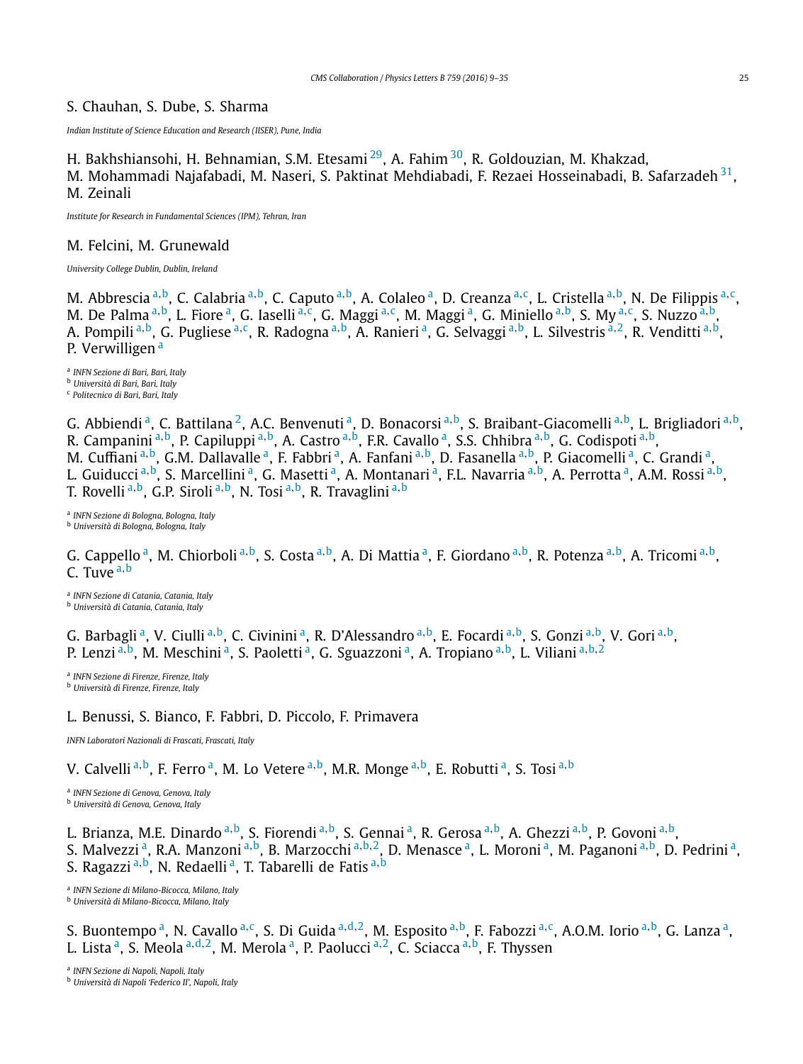### S. Chauhan, S. Dube, S. Sharma

*Indian Institute of Science Education and Research (IISER), Pune, India*

H. Bakhshiansohi, H. Behnamian, S.M. Etesami [29,](#page-26-0) A. Fahim [30,](#page-26-0) R. Goldouzian, M. Khakzad, M. Mohammadi Najafabadi, M. Naseri, S. Paktinat Mehdiabadi, F. Rezaei Hosseinabadi, B. Safarzadeh [31,](#page-26-0) M. Zeinali

*Institute for Research in Fundamental Sciences (IPM), Tehran, Iran*

#### M. Felcini, M. Grunewald

*University College Dublin, Dublin, Ireland*

M. Abbrescia <sup>a</sup>*,*b, C. Calabria <sup>a</sup>*,*b, C. Caputo <sup>a</sup>*,*b, A. Colaleo a, D. Creanza <sup>a</sup>*,*c, L. Cristella <sup>a</sup>*,*b, N. De Filippis <sup>a</sup>*,*c, M. De Palma <sup>a</sup>*,*b, L. Fiore a, G. Iaselli <sup>a</sup>*,*c, G. Maggi <sup>a</sup>*,*c, M. Maggi a, G. Miniello <sup>a</sup>*,*b, S. My <sup>a</sup>*,*c, S. Nuzzo <sup>a</sup>*,*b, A. Pompili <sup>a</sup>*,*b, G. Pugliese <sup>a</sup>*,*c, R. Radogna <sup>a</sup>*,*b, A. Ranieri a, G. Selvaggi <sup>a</sup>*,*b, L. Silvestris <sup>a</sup>*,*[2,](#page-26-0) R. Venditti <sup>a</sup>*,*b, P. Verwilligen<sup>a</sup>

<sup>a</sup> *INFN Sezione di Bari, Bari, Italy*

<sup>b</sup> *Università di Bari, Bari, Italy*

<sup>c</sup> *Politecnico di Bari, Bari, Italy*

G. Abbiendi<sup>a</sup>, C. Battilana<sup>2</sup>, A.C. Benvenuti<sup>a</sup>, D. Bonacorsi<sup>a,b</sup>, S. Braibant-Giacomelli<sup>a,b</sup>, L. Brigliadori<sup>a,b</sup>, R. Campanini <sup>a</sup>*,*b, P. Capiluppi <sup>a</sup>*,*b, A. Castro <sup>a</sup>*,*b, F.R. Cavallo a, S.S. Chhibra <sup>a</sup>*,*b, G. Codispoti <sup>a</sup>*,*b, M. Cuffiani <sup>a</sup>*,*b, G.M. Dallavalle a, F. Fabbri a, A. Fanfani <sup>a</sup>*,*b, D. Fasanella <sup>a</sup>*,*b, P. Giacomelli a, C. Grandi a, L. Guiducci <sup>a,b</sup>, S. Marcellini <sup>a</sup>, G. Masetti <sup>a</sup>, A. Montanari <sup>a</sup>, F.L. Navarria <sup>a,b</sup>, A. Perrotta <sup>a</sup>, A.M. Rossi <sup>a,b</sup>, T. Rovelli <sup>a</sup>*,*b, G.P. Siroli <sup>a</sup>*,*b, N. Tosi <sup>a</sup>*,*b, R. Travaglini <sup>a</sup>*,*<sup>b</sup>

<sup>a</sup> *INFN Sezione di Bologna, Bologna, Italy* <sup>b</sup> *Università di Bologna, Bologna, Italy*

G. Cappello a, M. Chiorboli <sup>a</sup>*,*b, S. Costa <sup>a</sup>*,*b, A. Di Mattia a, F. Giordano <sup>a</sup>*,*b, R. Potenza <sup>a</sup>*,*b, A. Tricomi <sup>a</sup>*,*b, C. Tuve <sup>a</sup>*,*<sup>b</sup>

<sup>a</sup> *INFN Sezione di Catania, Catania, Italy* <sup>b</sup> *Università di Catania, Catania, Italy*

G. Barbagli a, V. Ciulli <sup>a</sup>*,*b, C. Civinini a, R. D'Alessandro <sup>a</sup>*,*b, E. Focardi <sup>a</sup>*,*b, S. Gonzi <sup>a</sup>*,*b, V. Gori <sup>a</sup>*,*b, P. Lenzi <sup>a</sup>*,*b, M. Meschini a, S. Paoletti a, G. Sguazzoni a, A. Tropiano <sup>a</sup>*,*b, L. Viliani <sup>a</sup>*,*b*,*[2](#page-26-0)

<sup>a</sup> *INFN Sezione di Firenze, Firenze, Italy* <sup>b</sup> *Università di Firenze, Firenze, Italy*

#### L. Benussi, S. Bianco, F. Fabbri, D. Piccolo, F. Primavera

*INFN Laboratori Nazionali di Frascati, Frascati, Italy*

V. Calvelli<sup>a,b</sup>, F. Ferro<sup>a</sup>, M. Lo Vetere<sup>a,b</sup>, M.R. Monge<sup>a,b</sup>, E. Robutti<sup>a</sup>, S. Tosi<sup>a,b</sup>

<sup>a</sup> *INFN Sezione di Genova, Genova, Italy*

<sup>b</sup> *Università di Genova, Genova, Italy*

L. Brianza, M.E. Dinardo <sup>a</sup>*,*b, S. Fiorendi <sup>a</sup>*,*b, S. Gennai a, R. Gerosa <sup>a</sup>*,*b, A. Ghezzi <sup>a</sup>*,*b, P. Govoni <sup>a</sup>*,*b, S. Malvezzi a, R.A. Manzoni <sup>a</sup>*,*b, B. Marzocchi <sup>a</sup>*,*b*,*[2,](#page-26-0) D. Menasce a, L. Moroni a, M. Paganoni <sup>a</sup>*,*b, D. Pedrini a, S. Ragazzi <sup>a,b</sup>, N. Redaelli <sup>a</sup>, T. Tabarelli de Fatis <sup>a,b</sup>

<sup>a</sup> *INFN Sezione di Milano-Bicocca, Milano, Italy* <sup>b</sup> *Università di Milano-Bicocca, Milano, Italy*

S. Buontempo a, N. Cavallo <sup>a</sup>*,*c, S. Di Guida <sup>a</sup>*,*[d](#page-17-0)*,*[2,](#page-26-0) M. Esposito <sup>a</sup>*,*b, F. Fabozzi <sup>a</sup>*,*c, A.O.M. Iorio <sup>a</sup>*,*b, G. Lanza a, L. Lista a, S. Meola <sup>a</sup>*,*[d](#page-17-0)*,*[2,](#page-26-0) M. Merola a, P. Paolucci <sup>a</sup>*,*[2,](#page-26-0) C. Sciacca <sup>a</sup>*,*b, F. Thyssen

<sup>a</sup> *INFN Sezione di Napoli, Napoli, Italy*

<sup>b</sup> *Università di Napoli 'Federico II', Napoli, Italy*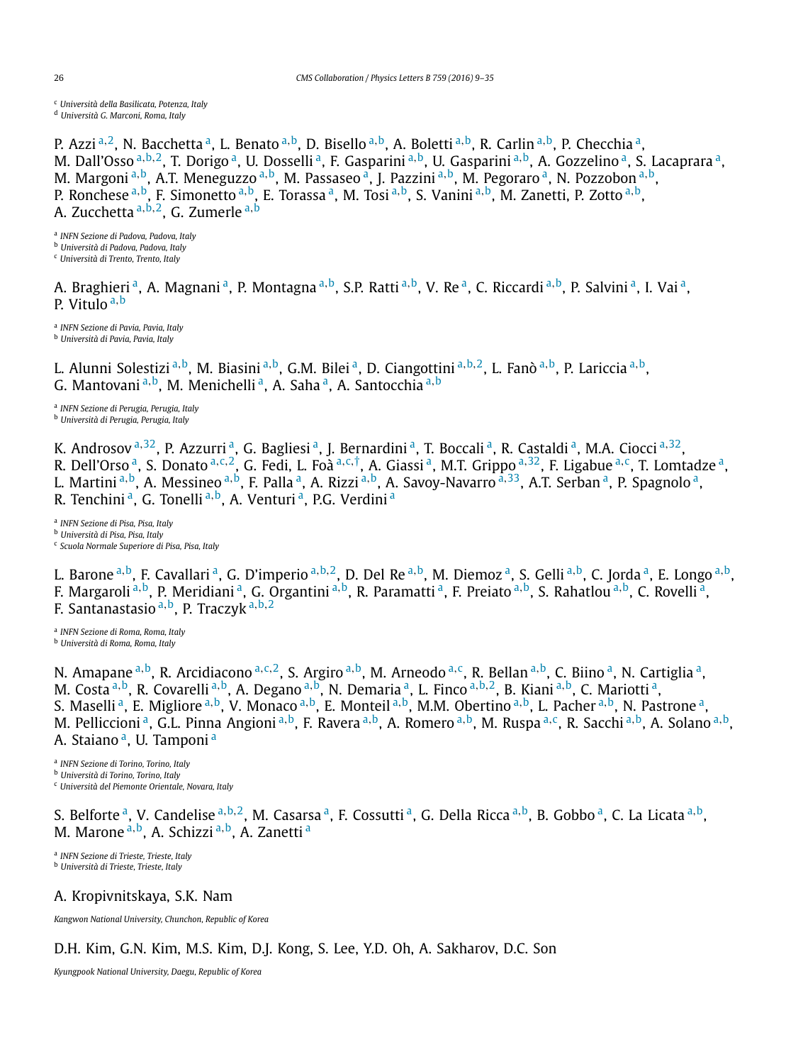<span id="page-17-0"></span><sup>c</sup> *Università della Basilicata, Potenza, Italy* <sup>d</sup> *Università G. Marconi, Roma, Italy*

P. Azzi <sup>a</sup>*,*[2,](#page-26-0) N. Bacchetta a, L. Benato <sup>a</sup>*,*b, D. Bisello <sup>a</sup>*,*b, A. Boletti <sup>a</sup>*,*b, R. Carlin <sup>a</sup>*,*b, P. Checchia a, M. Dall'Osso <sup>a</sup>*,*b*,*[2,](#page-26-0) T. Dorigo a, U. Dosselli a, F. Gasparini <sup>a</sup>*,*b, U. Gasparini <sup>a</sup>*,*b, A. Gozzelino a, S. Lacaprara a, M. Margoni <sup>a</sup>*,*b, A.T. Meneguzzo <sup>a</sup>*,*b, M. Passaseo a, J. Pazzini <sup>a</sup>*,*b, M. Pegoraro a, N. Pozzobon <sup>a</sup>*,*b, P. Ronchese <sup>a</sup>*,*b, F. Simonetto <sup>a</sup>*,*b, E. Torassa a, M. Tosi <sup>a</sup>*,*b, S. Vanini <sup>a</sup>*,*b, M. Zanetti, P. Zotto <sup>a</sup>*,*b, A. Zucchetta <sup>a</sup>*,*b*,*[2,](#page-26-0) G. Zumerle <sup>a</sup>*,*<sup>b</sup>

<sup>a</sup> *INFN Sezione di Padova, Padova, Italy*

<sup>b</sup> *Università di Padova, Padova, Italy*

<sup>c</sup> *Università di Trento, Trento, Italy*

A. Braghieri a, A. Magnani a, P. Montagna <sup>a</sup>*,*b, S.P. Ratti <sup>a</sup>*,*b, V. Re a, C. Riccardi <sup>a</sup>*,*b, P. Salvini a, I. Vai a, P. Vitulo <sup>a</sup>*,*<sup>b</sup>

<sup>a</sup> *INFN Sezione di Pavia, Pavia, Italy* <sup>b</sup> *Università di Pavia, Pavia, Italy*

L. Alunni Solestizi <sup>a</sup>*,*b, M. Biasini <sup>a</sup>*,*b, G.M. Bilei a, D. Ciangottini <sup>a</sup>*,*b*,*[2,](#page-26-0) L. Fanò <sup>a</sup>*,*b, P. Lariccia <sup>a</sup>*,*b, G. Mantovani <sup>a</sup>*,*b, M. Menichelli a, A. Saha a, A. Santocchia <sup>a</sup>*,*<sup>b</sup>

<sup>a</sup> *INFN Sezione di Perugia, Perugia, Italy* <sup>b</sup> *Università di Perugia, Perugia, Italy*

K. Androsov<sup>a,32</sup>, P. Azzurri<sup>a</sup>, G. Bagliesi<sup>a</sup>, J. Bernardini<sup>a</sup>, T. Boccali<sup>a</sup>, R. Castaldi<sup>a</sup>, M.A. Ciocci<sup>a,32</sup>, R. Dell'Orso a, S. Donato <sup>a</sup>*,*c*,*[2,](#page-26-0) G. Fedi, L. Foà <sup>a</sup>*,*c*,*[†,](#page-25-0) A. Giassi a, M.T. Grippo <sup>a</sup>*,*[32,](#page-26-0) F. Ligabue <sup>a</sup>*,*c, T. Lomtadze a, L. Martini<sup>a,b</sup>, A. Messineo a,b, F. Palla a, A. Rizzi a,b, A. Savoy-Navarro a, [33,](#page-26-0) A.T. Serban a, P. Spagnolo a, R. Tenchini<sup>a</sup>, G. Tonelli<sup>a, b</sup>, A. Venturi<sup>a</sup>, P.G. Verdini<sup>a</sup>

<sup>a</sup> *INFN Sezione di Pisa, Pisa, Italy* <sup>b</sup> *Università di Pisa, Pisa, Italy*

<sup>c</sup> *Scuola Normale Superiore di Pisa, Pisa, Italy*

L. Barone <sup>a</sup>*,*b, F. Cavallari a, G. D'imperio <sup>a</sup>*,*b*,*[2,](#page-26-0) D. Del Re <sup>a</sup>*,*b, M. Diemoz a, S. Gelli <sup>a</sup>*,*b, C. Jorda a, E. Longo <sup>a</sup>*,*b, F. Margaroli <sup>a</sup>*,*b, P. Meridiani a, G. Organtini <sup>a</sup>*,*b, R. Paramatti a, F. Preiato <sup>a</sup>*,*b, S. Rahatlou <sup>a</sup>*,*b, C. Rovelli a, F. Santanastasio <sup>a</sup>*,*b, P. Traczyk <sup>a</sup>*,*b*,*[2](#page-26-0)

<sup>a</sup> *INFN Sezione di Roma, Roma, Italy* <sup>b</sup> *Università di Roma, Roma, Italy*

N. Amapane <sup>a</sup>*,*b, R. Arcidiacono <sup>a</sup>*,*c*,*[2,](#page-26-0) S. Argiro <sup>a</sup>*,*b, M. Arneodo <sup>a</sup>*,*c, R. Bellan <sup>a</sup>*,*b, C. Biino a, N. Cartiglia a, M. Costa <sup>a</sup>*,*b, R. Covarelli <sup>a</sup>*,*b, A. Degano <sup>a</sup>*,*b, N. Demaria a, L. Finco <sup>a</sup>*,*b*,*[2,](#page-26-0) B. Kiani <sup>a</sup>*,*b, C. Mariotti a, S. Maselli a, E. Migliore <sup>a</sup>*,*b, V. Monaco <sup>a</sup>*,*b, E. Monteil <sup>a</sup>*,*b, M.M. Obertino <sup>a</sup>*,*b, L. Pacher <sup>a</sup>*,*b, N. Pastrone a, M. Pelliccioni a, G.L. Pinna Angioni <sup>a</sup>*,*b, F. Ravera <sup>a</sup>*,*b, A. Romero <sup>a</sup>*,*b, M. Ruspa <sup>a</sup>*,*c, R. Sacchi <sup>a</sup>*,*b, A. Solano <sup>a</sup>*,*b, A. Staiano<sup>a</sup>, U. Tamponi<sup>a</sup>

<sup>a</sup> *INFN Sezione di Torino, Torino, Italy*

<sup>b</sup> *Università di Torino, Torino, Italy*

<sup>c</sup> *Università del Piemonte Orientale, Novara, Italy*

S. Belforte a, V. Candelise <sup>a</sup>*,*b*,*[2,](#page-26-0) M. Casarsa a, F. Cossutti a, G. Della Ricca <sup>a</sup>*,*b, B. Gobbo a, C. La Licata <sup>a</sup>*,*b, M. Marone <sup>a</sup>*,*b, A. Schizzi <sup>a</sup>*,*b, A. Zanetti <sup>a</sup>

<sup>a</sup> *INFN Sezione di Trieste, Trieste, Italy*

<sup>b</sup> *Università di Trieste, Trieste, Italy*

A. Kropivnitskaya, S.K. Nam

*Kangwon National University, Chunchon, Republic of Korea*

D.H. Kim, G.N. Kim, M.S. Kim, D.J. Kong, S. Lee, Y.D. Oh, A. Sakharov, D.C. Son

*Kyungpook National University, Daegu, Republic of Korea*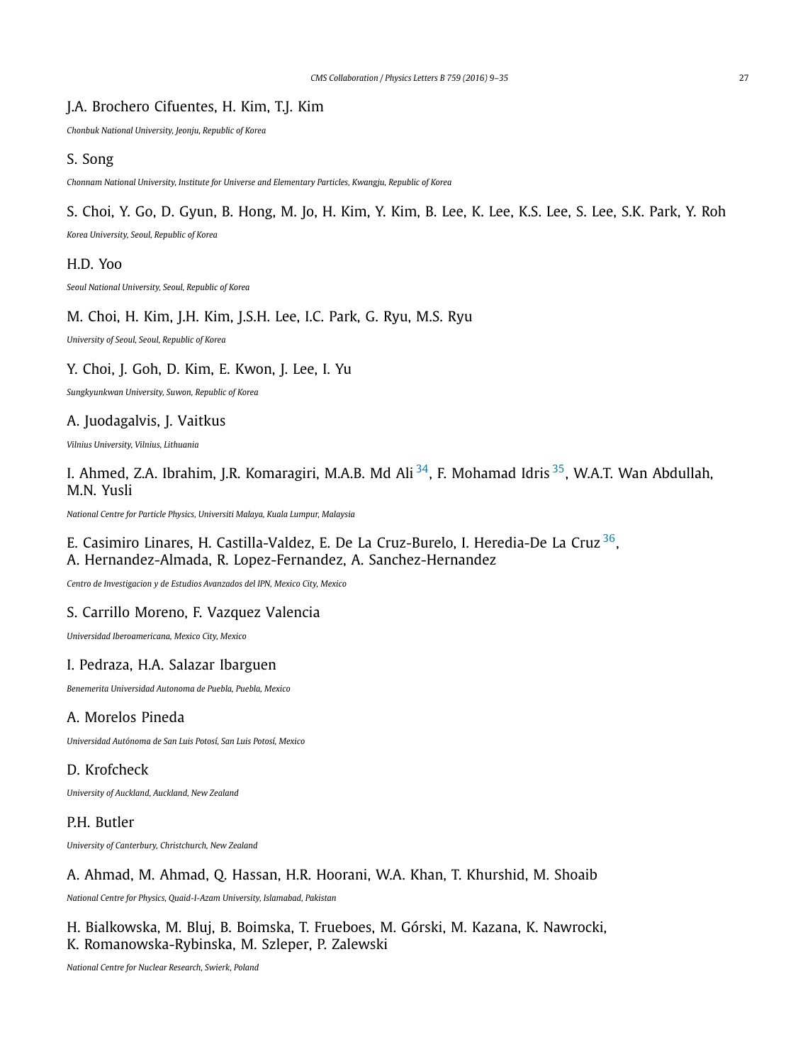### J.A. Brochero Cifuentes, H. Kim, T.J. Kim

*Chonbuk National University, Jeonju, Republic of Korea*

#### S. Song

*Chonnam National University, Institute for Universe and Elementary Particles, Kwangju, Republic of Korea*

### S. Choi, Y. Go, D. Gyun, B. Hong, M. Jo, H. Kim, Y. Kim, B. Lee, K. Lee, K.S. Lee, S. Lee, S.K. Park, Y. Roh

*Korea University, Seoul, Republic of Korea*

#### H.D. Yoo

*Seoul National University, Seoul, Republic of Korea*

### M. Choi, H. Kim, J.H. Kim, J.S.H. Lee, I.C. Park, G. Ryu, M.S. Ryu

*University of Seoul, Seoul, Republic of Korea*

### Y. Choi, J. Goh, D. Kim, E. Kwon, J. Lee, I. Yu

*Sungkyunkwan University, Suwon, Republic of Korea*

### A. Juodagalvis, J. Vaitkus

*Vilnius University, Vilnius, Lithuania*

### I. Ahmed, Z.A. Ibrahim, J.R. Komaragiri, M.A.B. Md Ali  $^{34}$ , F. Mohamad Idris  $^{35}$ , W.A.T. Wan Abdullah, M.N. Yusli

*National Centre for Particle Physics, Universiti Malaya, Kuala Lumpur, Malaysia*

### E. Casimiro Linares, H. Castilla-Valdez, E. De La Cruz-Burelo, I. Heredia-De La Cruz [36,](#page-26-0) A. Hernandez-Almada, R. Lopez-Fernandez, A. Sanchez-Hernandez

*Centro de Investigacion y de Estudios Avanzados del IPN, Mexico City, Mexico*

#### S. Carrillo Moreno, F. Vazquez Valencia

*Universidad Iberoamericana, Mexico City, Mexico*

#### I. Pedraza, H.A. Salazar Ibarguen

*Benemerita Universidad Autonoma de Puebla, Puebla, Mexico*

#### A. Morelos Pineda

*Universidad Autónoma de San Luis Potosí, San Luis Potosí, Mexico*

### D. Krofcheck

*University of Auckland, Auckland, New Zealand*

### P.H. Butler

*University of Canterbury, Christchurch, New Zealand*

#### A. Ahmad, M. Ahmad, Q. Hassan, H.R. Hoorani, W.A. Khan, T. Khurshid, M. Shoaib

*National Centre for Physics, Quaid-I-Azam University, Islamabad, Pakistan*

H. Bialkowska, M. Bluj, B. Boimska, T. Frueboes, M. Górski, M. Kazana, K. Nawrocki, K. Romanowska-Rybinska, M. Szleper, P. Zalewski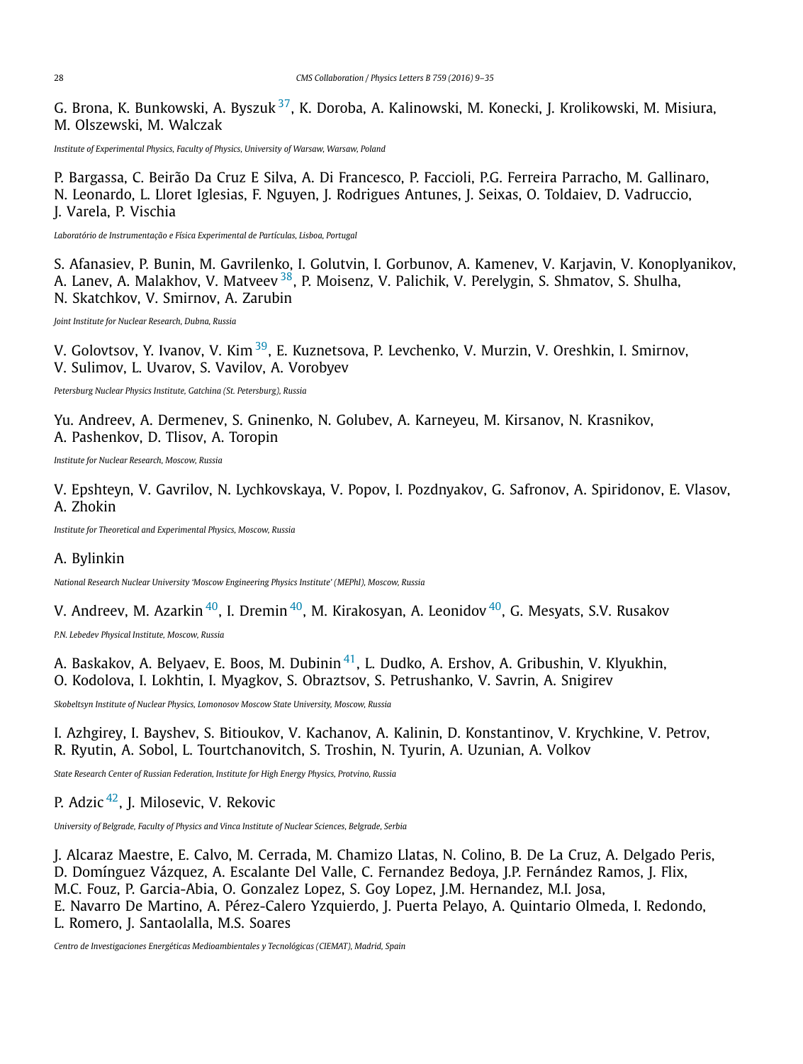G. Brona, K. Bunkowski, A. Byszuk [37,](#page-26-0) K. Doroba, A. Kalinowski, M. Konecki, J. Krolikowski, M. Misiura, M. Olszewski, M. Walczak

*Institute of Experimental Physics, Faculty of Physics, University of Warsaw, Warsaw, Poland*

P. Bargassa, C. Beirão Da Cruz E Silva, A. Di Francesco, P. Faccioli, P.G. Ferreira Parracho, M. Gallinaro, N. Leonardo, L. Lloret Iglesias, F. Nguyen, J. Rodrigues Antunes, J. Seixas, O. Toldaiev, D. Vadruccio, J. Varela, P. Vischia

*Laboratório de Instrumentação e Física Experimental de Partículas, Lisboa, Portugal*

S. Afanasiev, P. Bunin, M. Gavrilenko, I. Golutvin, I. Gorbunov, A. Kamenev, V. Karjavin, V. Konoplyanikov, A. Lanev, A. Malakhov, V. Matveev<sup>38</sup>, P. Moisenz, V. Palichik, V. Perelygin, S. Shmatov, S. Shulha, N. Skatchkov, V. Smirnov, A. Zarubin

*Joint Institute for Nuclear Research, Dubna, Russia*

V. Golovtsov, Y. Ivanov, V. Kim [39](#page-26-0), E. Kuznetsova, P. Levchenko, V. Murzin, V. Oreshkin, I. Smirnov, V. Sulimov, L. Uvarov, S. Vavilov, A. Vorobyev

*Petersburg Nuclear Physics Institute, Gatchina (St. Petersburg), Russia*

Yu. Andreev, A. Dermenev, S. Gninenko, N. Golubev, A. Karneyeu, M. Kirsanov, N. Krasnikov, A. Pashenkov, D. Tlisov, A. Toropin

*Institute for Nuclear Research, Moscow, Russia*

V. Epshteyn, V. Gavrilov, N. Lychkovskaya, V. Popov, I. Pozdnyakov, G. Safronov, A. Spiridonov, E. Vlasov, A. Zhokin

*Institute for Theoretical and Experimental Physics, Moscow, Russia*

#### A. Bylinkin

*National Research Nuclear University 'Moscow Engineering Physics Institute' (MEPhI), Moscow, Russia*

V. Andreev, M. Azarkin [40,](#page-26-0) I. Dremin [40,](#page-26-0) M. Kirakosyan, A. Leonidov [40,](#page-26-0) G. Mesyats, S.V. Rusakov

*P.N. Lebedev Physical Institute, Moscow, Russia*

A. Baskakov, A. Belyaev, E. Boos, M. Dubinin [41,](#page-26-0) L. Dudko, A. Ershov, A. Gribushin, V. Klyukhin, O. Kodolova, I. Lokhtin, I. Myagkov, S. Obraztsov, S. Petrushanko, V. Savrin, A. Snigirev

*Skobeltsyn Institute of Nuclear Physics, Lomonosov Moscow State University, Moscow, Russia*

I. Azhgirey, I. Bayshev, S. Bitioukov, V. Kachanov, A. Kalinin, D. Konstantinov, V. Krychkine, V. Petrov, R. Ryutin, A. Sobol, L. Tourtchanovitch, S. Troshin, N. Tyurin, A. Uzunian, A. Volkov

*State Research Center of Russian Federation, Institute for High Energy Physics, Protvino, Russia*

P. Adzic<sup>42</sup>, J. Milosevic, V. Rekovic

*University of Belgrade, Faculty of Physics and Vinca Institute of Nuclear Sciences, Belgrade, Serbia*

J. Alcaraz Maestre, E. Calvo, M. Cerrada, M. Chamizo Llatas, N. Colino, B. De La Cruz, A. Delgado Peris, D. Domínguez Vázquez, A. Escalante Del Valle, C. Fernandez Bedoya, J.P. Fernández Ramos, J. Flix, M.C. Fouz, P. Garcia-Abia, O. Gonzalez Lopez, S. Goy Lopez, J.M. Hernandez, M.I. Josa, E. Navarro De Martino, A. Pérez-Calero Yzquierdo, J. Puerta Pelayo, A. Quintario Olmeda, I. Redondo, L. Romero, J. Santaolalla, M.S. Soares

*Centro de Investigaciones Energéticas Medioambientales y Tecnológicas (CIEMAT), Madrid, Spain*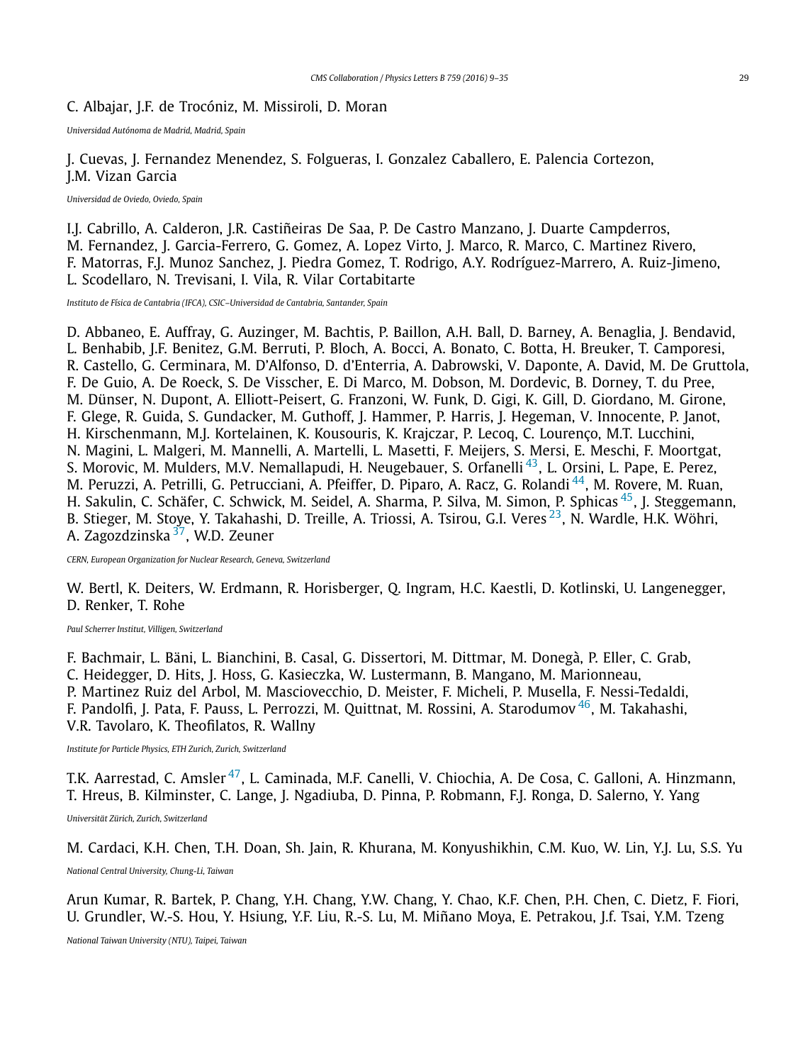### C. Albajar, J.F. de Trocóniz, M. Missiroli, D. Moran

*Universidad Autónoma de Madrid, Madrid, Spain*

J. Cuevas, J. Fernandez Menendez, S. Folgueras, I. Gonzalez Caballero, E. Palencia Cortezon, J.M. Vizan Garcia

*Universidad de Oviedo, Oviedo, Spain*

I.J. Cabrillo, A. Calderon, J.R. Castiñeiras De Saa, P. De Castro Manzano, J. Duarte Campderros, M. Fernandez, J. Garcia-Ferrero, G. Gomez, A. Lopez Virto, J. Marco, R. Marco, C. Martinez Rivero, F. Matorras, F.J. Munoz Sanchez, J. Piedra Gomez, T. Rodrigo, A.Y. Rodríguez-Marrero, A. Ruiz-Jimeno, L. Scodellaro, N. Trevisani, I. Vila, R. Vilar Cortabitarte

*Instituto de Física de Cantabria (IFCA), CSIC–Universidad de Cantabria, Santander, Spain*

D. Abbaneo, E. Auffray, G. Auzinger, M. Bachtis, P. Baillon, A.H. Ball, D. Barney, A. Benaglia, J. Bendavid, L. Benhabib, J.F. Benitez, G.M. Berruti, P. Bloch, A. Bocci, A. Bonato, C. Botta, H. Breuker, T. Camporesi, R. Castello, G. Cerminara, M. D'Alfonso, D. d'Enterria, A. Dabrowski, V. Daponte, A. David, M. De Gruttola, F. De Guio, A. De Roeck, S. De Visscher, E. Di Marco, M. Dobson, M. Dordevic, B. Dorney, T. du Pree, M. Dünser, N. Dupont, A. Elliott-Peisert, G. Franzoni, W. Funk, D. Gigi, K. Gill, D. Giordano, M. Girone, F. Glege, R. Guida, S. Gundacker, M. Guthoff, J. Hammer, P. Harris, J. Hegeman, V. Innocente, P. Janot, H. Kirschenmann, M.J. Kortelainen, K. Kousouris, K. Krajczar, P. Lecoq, C. Lourenço, M.T. Lucchini, N. Magini, L. Malgeri, M. Mannelli, A. Martelli, L. Masetti, F. Meijers, S. Mersi, E. Meschi, F. Moortgat, S. Morovic, M. Mulders, M.V. Nemallapudi, H. Neugebauer, S. Orfanelli<sup>43</sup>, L. Orsini, L. Pape, E. Perez, M. Peruzzi, A. Petrilli, G. Petrucciani, A. Pfeiffer, D. Piparo, A. Racz, G. Rolandi [44,](#page-26-0) M. Rovere, M. Ruan, H. Sakulin, C. Schäfer, C. Schwick, M. Seidel, A. Sharma, P. Silva, M. Simon, P. Sphicas [45,](#page-26-0) J. Steggemann, B. Stieger, M. Stoye, Y. Takahashi, D. Treille, A. Triossi, A. Tsirou, G.I. Veres [23,](#page-26-0) N. Wardle, H.K. Wöhri, A. Zagozdzinska<sup>37</sup>, W.D. Zeuner

*CERN, European Organization for Nuclear Research, Geneva, Switzerland*

W. Bertl, K. Deiters, W. Erdmann, R. Horisberger, Q. Ingram, H.C. Kaestli, D. Kotlinski, U. Langenegger, D. Renker, T. Rohe

*Paul Scherrer Institut, Villigen, Switzerland*

F. Bachmair, L. Bäni, L. Bianchini, B. Casal, G. Dissertori, M. Dittmar, M. Donegà, P. Eller, C. Grab, C. Heidegger, D. Hits, J. Hoss, G. Kasieczka, W. Lustermann, B. Mangano, M. Marionneau, P. Martinez Ruiz del Arbol, M. Masciovecchio, D. Meister, F. Micheli, P. Musella, F. Nessi-Tedaldi, F. Pandolfi, J. Pata, F. Pauss, L. Perrozzi, M. Quittnat, M. Rossini, A. Starodumov<sup>46</sup>, M. Takahashi, V.R. Tavolaro, K. Theofilatos, R. Wallny

*Institute for Particle Physics, ETH Zurich, Zurich, Switzerland*

T.K. Aarrestad, C. Amsler<sup>47</sup>, L. Caminada, M.F. Canelli, V. Chiochia, A. De Cosa, C. Galloni, A. Hinzmann, T. Hreus, B. Kilminster, C. Lange, J. Ngadiuba, D. Pinna, P. Robmann, F.J. Ronga, D. Salerno, Y. Yang

*Universität Zürich, Zurich, Switzerland*

M. Cardaci, K.H. Chen, T.H. Doan, Sh. Jain, R. Khurana, M. Konyushikhin, C.M. Kuo, W. Lin, Y.J. Lu, S.S. Yu

*National Central University, Chung-Li, Taiwan*

Arun Kumar, R. Bartek, P. Chang, Y.H. Chang, Y.W. Chang, Y. Chao, K.F. Chen, P.H. Chen, C. Dietz, F. Fiori, U. Grundler, W.-S. Hou, Y. Hsiung, Y.F. Liu, R.-S. Lu, M. Miñano Moya, E. Petrakou, J.f. Tsai, Y.M. Tzeng

*National Taiwan University (NTU), Taipei, Taiwan*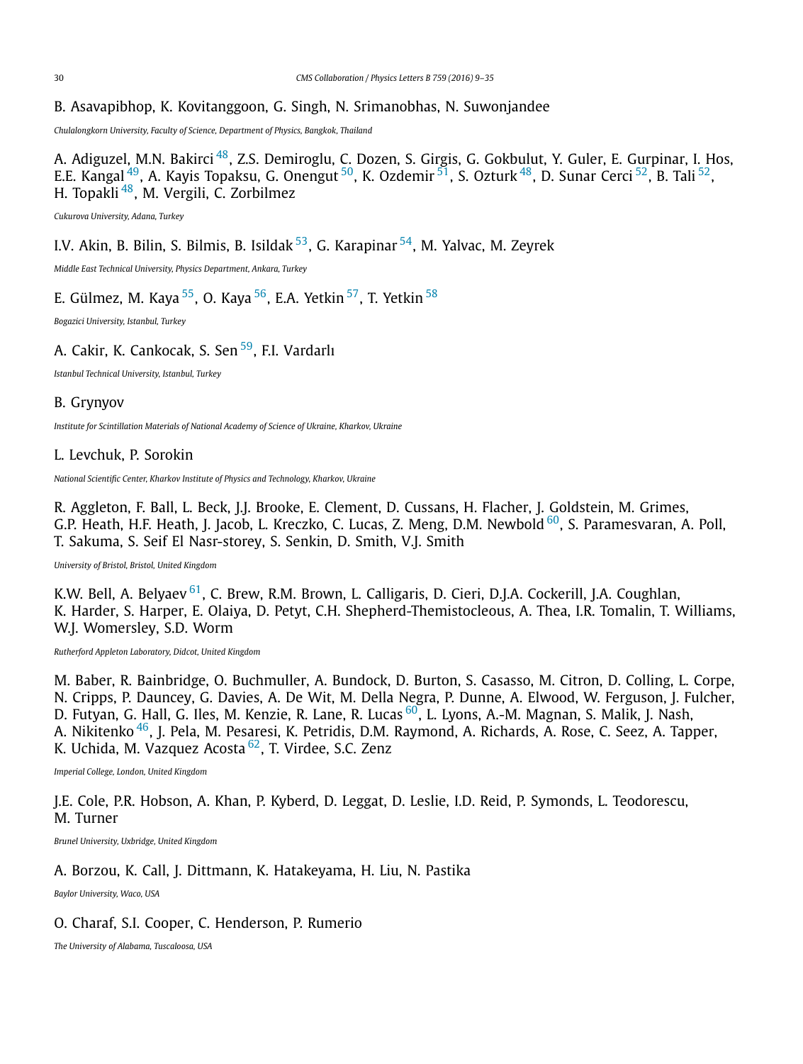### B. Asavapibhop, K. Kovitanggoon, G. Singh, N. Srimanobhas, N. Suwonjandee

*Chulalongkorn University, Faculty of Science, Department of Physics, Bangkok, Thailand*

A. Adiguzel, M.N. Bakirci<sup>48</sup>, Z.S. Demiroglu, C. Dozen, S. Girgis, G. Gokbulut, Y. Guler, E. Gurpinar, I. Hos, E.E. Kangal [49,](#page-26-0) A. Kayis Topaksu, G. Onengut [50,](#page-26-0) K. Ozdemir [51,](#page-26-0) S. Ozturk [48,](#page-26-0) D. Sunar Cerci [52,](#page-26-0) B. Tali [52,](#page-26-0) H. Topakli [48,](#page-26-0) M. Vergili, C. Zorbilmez

*Cukurova University, Adana, Turkey*

I.V. Akin, B. Bilin, S. Bilmis, B. Isildak  $53$ , G. Karapinar  $54$ , M. Yalvac, M. Zeyrek

*Middle East Technical University, Physics Department, Ankara, Turkey*

E. Gülmez, M. Kaya  $^{55}$  $^{55}$  $^{55}$ , O. Kaya  $^{56}$ , E.A. Yetkin  $^{57}$ , T. Yetkin  $^{58}$  $^{58}$  $^{58}$ 

*Bogazici University, Istanbul, Turkey*

### A. Cakir, K. Cankocak, S. Sen<sup>59</sup>, F.I. Vardarlı

*Istanbul Technical University, Istanbul, Turkey*

#### B. Grynyov

*Institute for Scintillation Materials of National Academy of Science of Ukraine, Kharkov, Ukraine*

#### L. Levchuk, P. Sorokin

*National Scientific Center, Kharkov Institute of Physics and Technology, Kharkov, Ukraine*

R. Aggleton, F. Ball, L. Beck, J.J. Brooke, E. Clement, D. Cussans, H. Flacher, J. Goldstein, M. Grimes, G.P. Heath, H.F. Heath, J. Jacob, L. Kreczko, C. Lucas, Z. Meng, D.M. Newbold <sup>60</sup>, S. Paramesvaran, A. Poll, T. Sakuma, S. Seif El Nasr-storey, S. Senkin, D. Smith, V.J. Smith

*University of Bristol, Bristol, United Kingdom*

K.W. Bell, A. Belyaev <sup>61</sup>, C. Brew, R.M. Brown, L. Calligaris, D. Cieri, D.J.A. Cockerill, J.A. Coughlan, K. Harder, S. Harper, E. Olaiya, D. Petyt, C.H. Shepherd-Themistocleous, A. Thea, I.R. Tomalin, T. Williams, W.J. Womersley, S.D. Worm

*Rutherford Appleton Laboratory, Didcot, United Kingdom*

M. Baber, R. Bainbridge, O. Buchmuller, A. Bundock, D. Burton, S. Casasso, M. Citron, D. Colling, L. Corpe, N. Cripps, P. Dauncey, G. Davies, A. De Wit, M. Della Negra, P. Dunne, A. Elwood, W. Ferguson, J. Fulcher, D. Futyan, G. Hall, G. Iles, M. Kenzie, R. Lane, R. Lucas [60,](#page-26-0) L. Lyons, A.-M. Magnan, S. Malik, J. Nash, A. Nikitenko [46,](#page-26-0) J. Pela, M. Pesaresi, K. Petridis, D.M. Raymond, A. Richards, A. Rose, C. Seez, A. Tapper, K. Uchida, M. Vazquez Acosta [62,](#page-26-0) T. Virdee, S.C. Zenz

*Imperial College, London, United Kingdom*

J.E. Cole, P.R. Hobson, A. Khan, P. Kyberd, D. Leggat, D. Leslie, I.D. Reid, P. Symonds, L. Teodorescu, M. Turner

*Brunel University, Uxbridge, United Kingdom*

A. Borzou, K. Call, J. Dittmann, K. Hatakeyama, H. Liu, N. Pastika

*Baylor University, Waco, USA*

### O. Charaf, S.I. Cooper, C. Henderson, P. Rumerio

*The University of Alabama, Tuscaloosa, USA*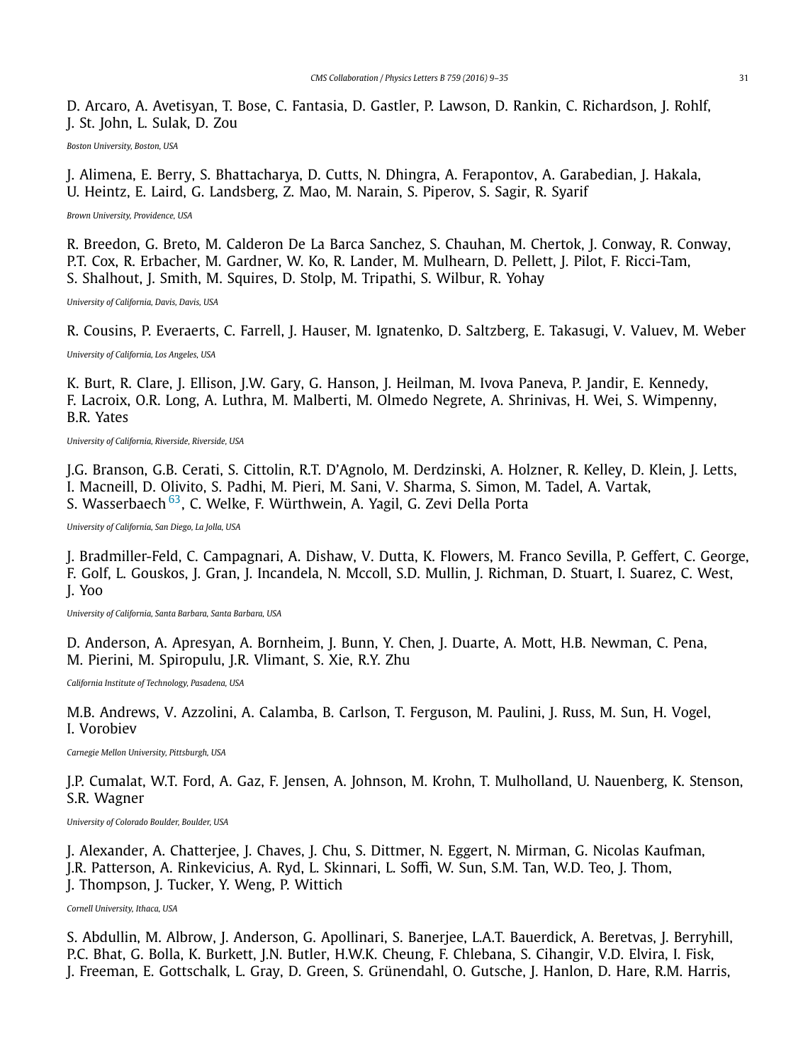D. Arcaro, A. Avetisyan, T. Bose, C. Fantasia, D. Gastler, P. Lawson, D. Rankin, C. Richardson, J. Rohlf, J. St. John, L. Sulak, D. Zou

*Boston University, Boston, USA*

J. Alimena, E. Berry, S. Bhattacharya, D. Cutts, N. Dhingra, A. Ferapontov, A. Garabedian, J. Hakala, U. Heintz, E. Laird, G. Landsberg, Z. Mao, M. Narain, S. Piperov, S. Sagir, R. Syarif

*Brown University, Providence, USA*

R. Breedon, G. Breto, M. Calderon De La Barca Sanchez, S. Chauhan, M. Chertok, J. Conway, R. Conway, P.T. Cox, R. Erbacher, M. Gardner, W. Ko, R. Lander, M. Mulhearn, D. Pellett, J. Pilot, F. Ricci-Tam, S. Shalhout, J. Smith, M. Squires, D. Stolp, M. Tripathi, S. Wilbur, R. Yohay

*University of California, Davis, Davis, USA*

R. Cousins, P. Everaerts, C. Farrell, J. Hauser, M. Ignatenko, D. Saltzberg, E. Takasugi, V. Valuev, M. Weber

*University of California, Los Angeles, USA*

K. Burt, R. Clare, J. Ellison, J.W. Gary, G. Hanson, J. Heilman, M. Ivova Paneva, P. Jandir, E. Kennedy, F. Lacroix, O.R. Long, A. Luthra, M. Malberti, M. Olmedo Negrete, A. Shrinivas, H. Wei, S. Wimpenny, B.R. Yates

*University of California, Riverside, Riverside, USA*

J.G. Branson, G.B. Cerati, S. Cittolin, R.T. D'Agnolo, M. Derdzinski, A. Holzner, R. Kelley, D. Klein, J. Letts, I. Macneill, D. Olivito, S. Padhi, M. Pieri, M. Sani, V. Sharma, S. Simon, M. Tadel, A. Vartak, S. Wasserbaech [63,](#page-26-0) C. Welke, F. Würthwein, A. Yagil, G. Zevi Della Porta

*University of California, San Diego, La Jolla, USA*

J. Bradmiller-Feld, C. Campagnari, A. Dishaw, V. Dutta, K. Flowers, M. Franco Sevilla, P. Geffert, C. George, F. Golf, L. Gouskos, J. Gran, J. Incandela, N. Mccoll, S.D. Mullin, J. Richman, D. Stuart, I. Suarez, C. West, J. Yoo

*University of California, Santa Barbara, Santa Barbara, USA*

D. Anderson, A. Apresyan, A. Bornheim, J. Bunn, Y. Chen, J. Duarte, A. Mott, H.B. Newman, C. Pena, M. Pierini, M. Spiropulu, J.R. Vlimant, S. Xie, R.Y. Zhu

*California Institute of Technology, Pasadena, USA*

M.B. Andrews, V. Azzolini, A. Calamba, B. Carlson, T. Ferguson, M. Paulini, J. Russ, M. Sun, H. Vogel, I. Vorobiev

*Carnegie Mellon University, Pittsburgh, USA*

J.P. Cumalat, W.T. Ford, A. Gaz, F. Jensen, A. Johnson, M. Krohn, T. Mulholland, U. Nauenberg, K. Stenson, S.R. Wagner

*University of Colorado Boulder, Boulder, USA*

J. Alexander, A. Chatterjee, J. Chaves, J. Chu, S. Dittmer, N. Eggert, N. Mirman, G. Nicolas Kaufman, J.R. Patterson, A. Rinkevicius, A. Ryd, L. Skinnari, L. Soffi, W. Sun, S.M. Tan, W.D. Teo, J. Thom, J. Thompson, J. Tucker, Y. Weng, P. Wittich

*Cornell University, Ithaca, USA*

S. Abdullin, M. Albrow, J. Anderson, G. Apollinari, S. Banerjee, L.A.T. Bauerdick, A. Beretvas, J. Berryhill, P.C. Bhat, G. Bolla, K. Burkett, J.N. Butler, H.W.K. Cheung, F. Chlebana, S. Cihangir, V.D. Elvira, I. Fisk, J. Freeman, E. Gottschalk, L. Gray, D. Green, S. Grünendahl, O. Gutsche, J. Hanlon, D. Hare, R.M. Harris,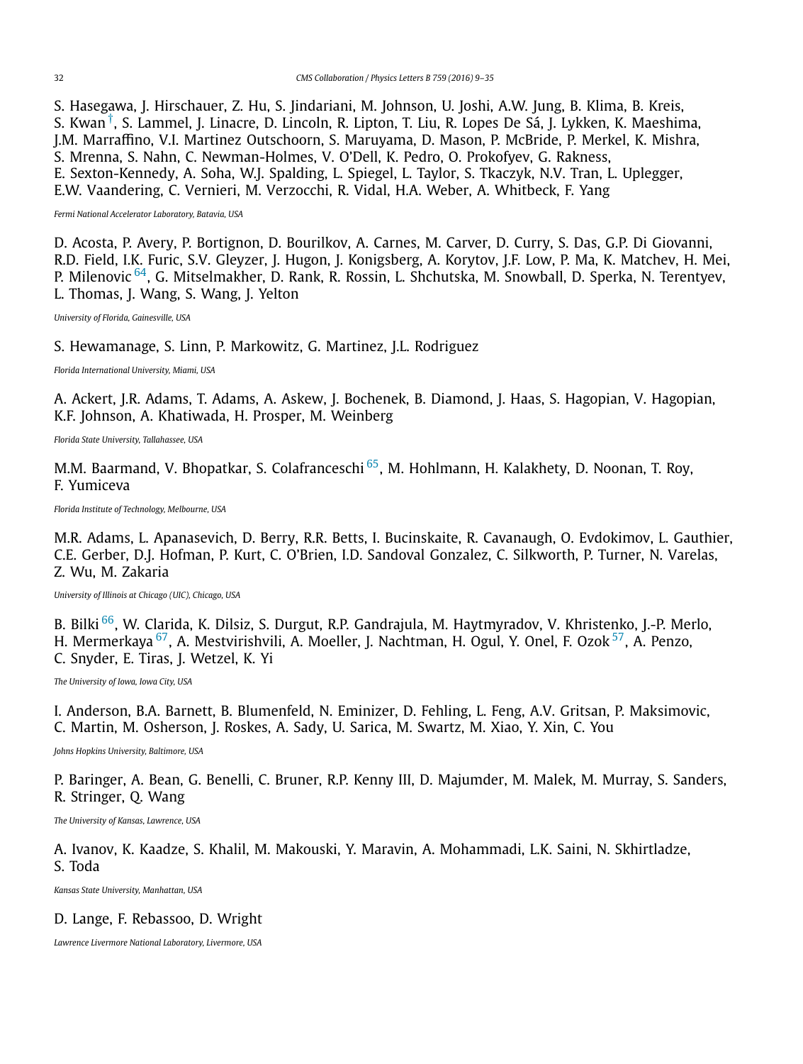S. Hasegawa, J. Hirschauer, Z. Hu, S. Jindariani, M. Johnson, U. Joshi, A.W. Jung, B. Klima, B. Kreis, S. Kwan [†,](#page-25-0) S. Lammel, J. Linacre, D. Lincoln, R. Lipton, T. Liu, R. Lopes De Sá, J. Lykken, K. Maeshima, J.M. Marraffino, V.I. Martinez Outschoorn, S. Maruyama, D. Mason, P. McBride, P. Merkel, K. Mishra, S. Mrenna, S. Nahn, C. Newman-Holmes, V. O'Dell, K. Pedro, O. Prokofyev, G. Rakness, E. Sexton-Kennedy, A. Soha, W.J. Spalding, L. Spiegel, L. Taylor, S. Tkaczyk, N.V. Tran, L. Uplegger, E.W. Vaandering, C. Vernieri, M. Verzocchi, R. Vidal, H.A. Weber, A. Whitbeck, F. Yang

*Fermi National Accelerator Laboratory, Batavia, USA*

D. Acosta, P. Avery, P. Bortignon, D. Bourilkov, A. Carnes, M. Carver, D. Curry, S. Das, G.P. Di Giovanni, R.D. Field, I.K. Furic, S.V. Gleyzer, J. Hugon, J. Konigsberg, A. Korytov, J.F. Low, P. Ma, K. Matchev, H. Mei, P. Milenovic [64,](#page-26-0) G. Mitselmakher, D. Rank, R. Rossin, L. Shchutska, M. Snowball, D. Sperka, N. Terentyev, L. Thomas, J. Wang, S. Wang, J. Yelton

*University of Florida, Gainesville, USA*

S. Hewamanage, S. Linn, P. Markowitz, G. Martinez, J.L. Rodriguez

*Florida International University, Miami, USA*

A. Ackert, J.R. Adams, T. Adams, A. Askew, J. Bochenek, B. Diamond, J. Haas, S. Hagopian, V. Hagopian, K.F. Johnson, A. Khatiwada, H. Prosper, M. Weinberg

*Florida State University, Tallahassee, USA*

M.M. Baarmand, V. Bhopatkar, S. Colafranceschi<sup>65</sup>, M. Hohlmann, H. Kalakhety, D. Noonan, T. Roy, F. Yumiceva

*Florida Institute of Technology, Melbourne, USA*

M.R. Adams, L. Apanasevich, D. Berry, R.R. Betts, I. Bucinskaite, R. Cavanaugh, O. Evdokimov, L. Gauthier, C.E. Gerber, D.J. Hofman, P. Kurt, C. O'Brien, I.D. Sandoval Gonzalez, C. Silkworth, P. Turner, N. Varelas, Z. Wu, M. Zakaria

*University of Illinois at Chicago (UIC), Chicago, USA*

B. Bilki<sup>66</sup>, W. Clarida, K. Dilsiz, S. Durgut, R.P. Gandrajula, M. Haytmyradov, V. Khristenko, J.-P. Merlo, H. Mermerkaya [67,](#page-26-0) A. Mestvirishvili, A. Moeller, J. Nachtman, H. Ogul, Y. Onel, F. Ozok [57,](#page-26-0) A. Penzo, C. Snyder, E. Tiras, J. Wetzel, K. Yi

*The University of Iowa, Iowa City, USA*

I. Anderson, B.A. Barnett, B. Blumenfeld, N. Eminizer, D. Fehling, L. Feng, A.V. Gritsan, P. Maksimovic, C. Martin, M. Osherson, J. Roskes, A. Sady, U. Sarica, M. Swartz, M. Xiao, Y. Xin, C. You

*Johns Hopkins University, Baltimore, USA*

P. Baringer, A. Bean, G. Benelli, C. Bruner, R.P. Kenny III, D. Majumder, M. Malek, M. Murray, S. Sanders, R. Stringer, Q. Wang

*The University of Kansas, Lawrence, USA*

A. Ivanov, K. Kaadze, S. Khalil, M. Makouski, Y. Maravin, A. Mohammadi, L.K. Saini, N. Skhirtladze, S. Toda

*Kansas State University, Manhattan, USA*

#### D. Lange, F. Rebassoo, D. Wright

*Lawrence Livermore National Laboratory, Livermore, USA*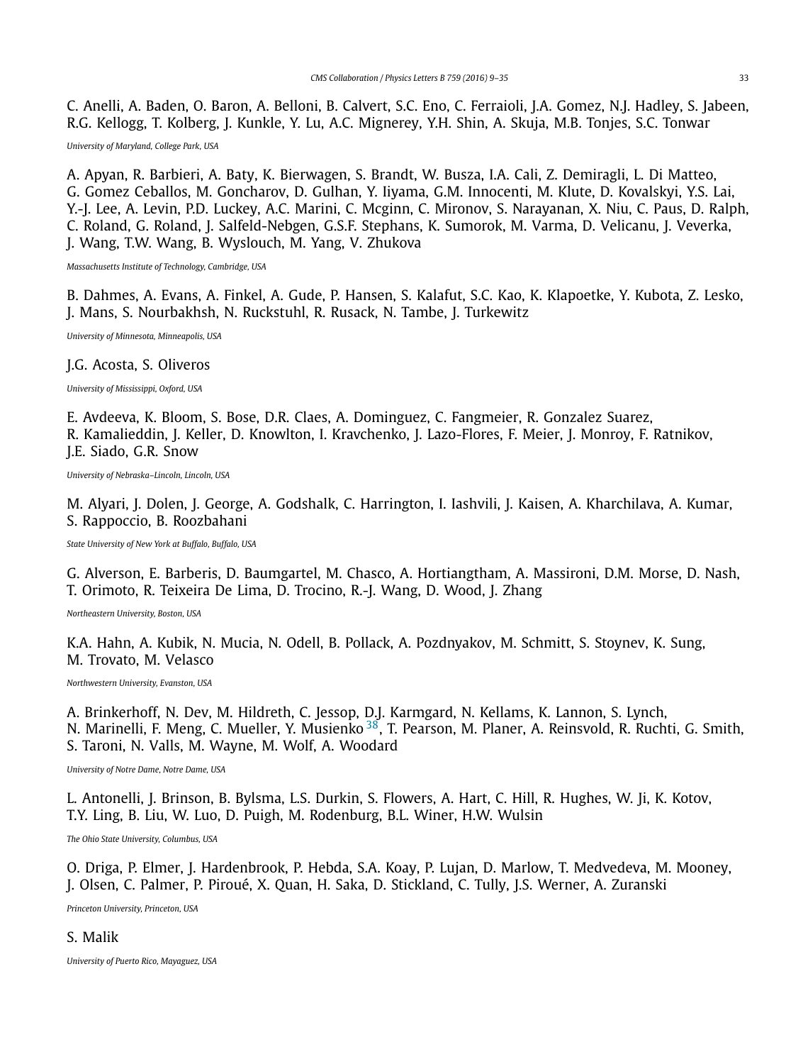C. Anelli, A. Baden, O. Baron, A. Belloni, B. Calvert, S.C. Eno, C. Ferraioli, J.A. Gomez, N.J. Hadley, S. Jabeen, R.G. Kellogg, T. Kolberg, J. Kunkle, Y. Lu, A.C. Mignerey, Y.H. Shin, A. Skuja, M.B. Tonjes, S.C. Tonwar

*University of Maryland, College Park, USA*

A. Apyan, R. Barbieri, A. Baty, K. Bierwagen, S. Brandt, W. Busza, I.A. Cali, Z. Demiragli, L. Di Matteo, G. Gomez Ceballos, M. Goncharov, D. Gulhan, Y. Iiyama, G.M. Innocenti, M. Klute, D. Kovalskyi, Y.S. Lai, Y.-J. Lee, A. Levin, P.D. Luckey, A.C. Marini, C. Mcginn, C. Mironov, S. Narayanan, X. Niu, C. Paus, D. Ralph, C. Roland, G. Roland, J. Salfeld-Nebgen, G.S.F. Stephans, K. Sumorok, M. Varma, D. Velicanu, J. Veverka, J. Wang, T.W. Wang, B. Wyslouch, M. Yang, V. Zhukova

*Massachusetts Institute of Technology, Cambridge, USA*

B. Dahmes, A. Evans, A. Finkel, A. Gude, P. Hansen, S. Kalafut, S.C. Kao, K. Klapoetke, Y. Kubota, Z. Lesko, J. Mans, S. Nourbakhsh, N. Ruckstuhl, R. Rusack, N. Tambe, J. Turkewitz

*University of Minnesota, Minneapolis, USA*

J.G. Acosta, S. Oliveros

*University of Mississippi, Oxford, USA*

E. Avdeeva, K. Bloom, S. Bose, D.R. Claes, A. Dominguez, C. Fangmeier, R. Gonzalez Suarez, R. Kamalieddin, J. Keller, D. Knowlton, I. Kravchenko, J. Lazo-Flores, F. Meier, J. Monroy, F. Ratnikov, J.E. Siado, G.R. Snow

*University of Nebraska–Lincoln, Lincoln, USA*

M. Alyari, J. Dolen, J. George, A. Godshalk, C. Harrington, I. Iashvili, J. Kaisen, A. Kharchilava, A. Kumar, S. Rappoccio, B. Roozbahani

*State University of New York at Buffalo, Buffalo, USA*

G. Alverson, E. Barberis, D. Baumgartel, M. Chasco, A. Hortiangtham, A. Massironi, D.M. Morse, D. Nash, T. Orimoto, R. Teixeira De Lima, D. Trocino, R.-J. Wang, D. Wood, J. Zhang

*Northeastern University, Boston, USA*

K.A. Hahn, A. Kubik, N. Mucia, N. Odell, B. Pollack, A. Pozdnyakov, M. Schmitt, S. Stoynev, K. Sung, M. Trovato, M. Velasco

*Northwestern University, Evanston, USA*

A. Brinkerhoff, N. Dev, M. Hildreth, C. Jessop, D.J. Karmgard, N. Kellams, K. Lannon, S. Lynch, N. Marinelli, F. Meng, C. Mueller, Y. Musienko [38,](#page-26-0) T. Pearson, M. Planer, A. Reinsvold, R. Ruchti, G. Smith, S. Taroni, N. Valls, M. Wayne, M. Wolf, A. Woodard

*University of Notre Dame, Notre Dame, USA*

L. Antonelli, J. Brinson, B. Bylsma, L.S. Durkin, S. Flowers, A. Hart, C. Hill, R. Hughes, W. Ji, K. Kotov, T.Y. Ling, B. Liu, W. Luo, D. Puigh, M. Rodenburg, B.L. Winer, H.W. Wulsin

*The Ohio State University, Columbus, USA*

O. Driga, P. Elmer, J. Hardenbrook, P. Hebda, S.A. Koay, P. Lujan, D. Marlow, T. Medvedeva, M. Mooney, J. Olsen, C. Palmer, P. Piroué, X. Quan, H. Saka, D. Stickland, C. Tully, J.S. Werner, A. Zuranski

*Princeton University, Princeton, USA*

### S. Malik

*University of Puerto Rico, Mayaguez, USA*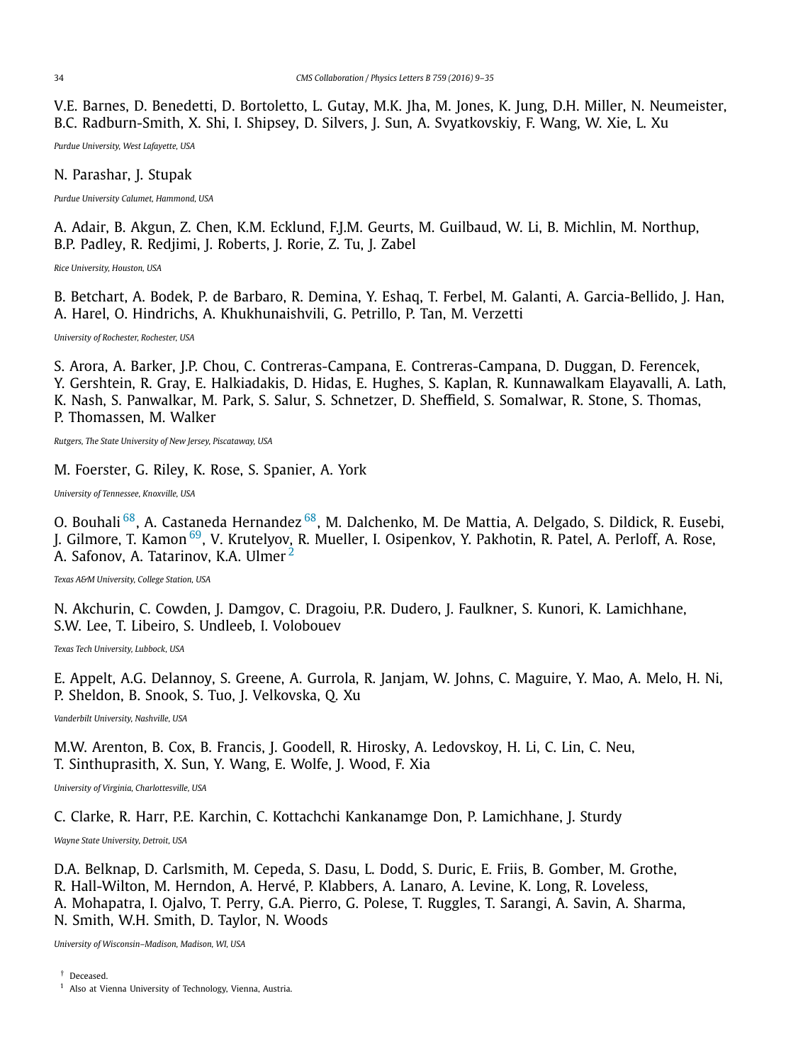<span id="page-25-0"></span>V.E. Barnes, D. Benedetti, D. Bortoletto, L. Gutay, M.K. Jha, M. Jones, K. Jung, D.H. Miller, N. Neumeister, B.C. Radburn-Smith, X. Shi, I. Shipsey, D. Silvers, J. Sun, A. Svyatkovskiy, F. Wang, W. Xie, L. Xu

*Purdue University, West Lafayette, USA*

N. Parashar, J. Stupak

*Purdue University Calumet, Hammond, USA*

A. Adair, B. Akgun, Z. Chen, K.M. Ecklund, F.J.M. Geurts, M. Guilbaud, W. Li, B. Michlin, M. Northup, B.P. Padley, R. Redjimi, J. Roberts, J. Rorie, Z. Tu, J. Zabel

*Rice University, Houston, USA*

B. Betchart, A. Bodek, P. de Barbaro, R. Demina, Y. Eshaq, T. Ferbel, M. Galanti, A. Garcia-Bellido, J. Han, A. Harel, O. Hindrichs, A. Khukhunaishvili, G. Petrillo, P. Tan, M. Verzetti

*University of Rochester, Rochester, USA*

S. Arora, A. Barker, J.P. Chou, C. Contreras-Campana, E. Contreras-Campana, D. Duggan, D. Ferencek, Y. Gershtein, R. Gray, E. Halkiadakis, D. Hidas, E. Hughes, S. Kaplan, R. Kunnawalkam Elayavalli, A. Lath, K. Nash, S. Panwalkar, M. Park, S. Salur, S. Schnetzer, D. Sheffield, S. Somalwar, R. Stone, S. Thomas, P. Thomassen, M. Walker

*Rutgers, The State University of New Jersey, Piscataway, USA*

M. Foerster, G. Riley, K. Rose, S. Spanier, A. York

*University of Tennessee, Knoxville, USA*

O. Bouhali [68,](#page-26-0) A. Castaneda Hernandez [68,](#page-26-0) M. Dalchenko, M. De Mattia, A. Delgado, S. Dildick, R. Eusebi, J. Gilmore, T. Kamon <sup>69</sup>, V. Krutelyov, R. Mueller, I. Osipenkov, Y. Pakhotin, R. Patel, A. Perloff, A. Rose, A. Safonov, A. Tatarinov, K.A. Ulmer [2](#page-26-0)

*Texas A&M University, College Station, USA*

N. Akchurin, C. Cowden, J. Damgov, C. Dragoiu, P.R. Dudero, J. Faulkner, S. Kunori, K. Lamichhane, S.W. Lee, T. Libeiro, S. Undleeb, I. Volobouev

*Texas Tech University, Lubbock, USA*

E. Appelt, A.G. Delannoy, S. Greene, A. Gurrola, R. Janjam, W. Johns, C. Maguire, Y. Mao, A. Melo, H. Ni, P. Sheldon, B. Snook, S. Tuo, J. Velkovska, Q. Xu

*Vanderbilt University, Nashville, USA*

M.W. Arenton, B. Cox, B. Francis, J. Goodell, R. Hirosky, A. Ledovskoy, H. Li, C. Lin, C. Neu, T. Sinthuprasith, X. Sun, Y. Wang, E. Wolfe, J. Wood, F. Xia

*University of Virginia, Charlottesville, USA*

C. Clarke, R. Harr, P.E. Karchin, C. Kottachchi Kankanamge Don, P. Lamichhane, J. Sturdy

*Wayne State University, Detroit, USA*

D.A. Belknap, D. Carlsmith, M. Cepeda, S. Dasu, L. Dodd, S. Duric, E. Friis, B. Gomber, M. Grothe, R. Hall-Wilton, M. Herndon, A. Hervé, P. Klabbers, A. Lanaro, A. Levine, K. Long, R. Loveless, A. Mohapatra, I. Ojalvo, T. Perry, G.A. Pierro, G. Polese, T. Ruggles, T. Sarangi, A. Savin, A. Sharma, N. Smith, W.H. Smith, D. Taylor, N. Woods

*University of Wisconsin–Madison, Madison, WI, USA*

† Deceased.

<sup>1</sup> Also at Vienna University of Technology, Vienna, Austria.